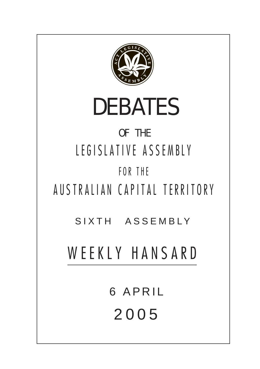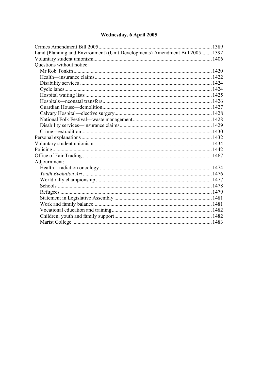# Wednesday, 6 April 2005

| Land (Planning and Environment) (Unit Developments) Amendment Bill 2005 1392 |  |
|------------------------------------------------------------------------------|--|
|                                                                              |  |
| Questions without notice:                                                    |  |
|                                                                              |  |
|                                                                              |  |
|                                                                              |  |
|                                                                              |  |
|                                                                              |  |
|                                                                              |  |
|                                                                              |  |
|                                                                              |  |
|                                                                              |  |
|                                                                              |  |
|                                                                              |  |
|                                                                              |  |
|                                                                              |  |
|                                                                              |  |
|                                                                              |  |
| Adjournment:                                                                 |  |
|                                                                              |  |
|                                                                              |  |
|                                                                              |  |
|                                                                              |  |
|                                                                              |  |
|                                                                              |  |
|                                                                              |  |
|                                                                              |  |
|                                                                              |  |
|                                                                              |  |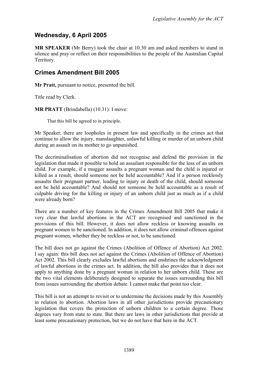## **Wednesday, 6 April 2005**

**MR SPEAKER** (Mr Berry) took the chair at 10.30 am and asked members to stand in silence and pray or reflect on their responsibilities to the people of the Australian Capital Territory.

## <span id="page-2-0"></span>**Crimes Amendment Bill 2005**

**Mr Pratt,** pursuant to notice, presented the bill.

Title read by Clerk.

**MR PRATT** (Brindabella) (10.31): I move:

That this bill be agreed to in principle.

Mr Speaker, there are loopholes in present law and specifically in the crimes act that continue to allow the injury, manslaughter, unlawful killing or murder of an unborn child during an assault on its mother to go unpunished.

The decriminalisation of abortion did not recognise and defend the provision in the legislation that made it possible to hold an assailant responsible for the loss of an unborn child. For example, if a mugger assaults a pregnant woman and the child is injured or killed as a result, should someone not be held accountable? And if a person recklessly assaults their pregnant partner, leading to injury or death of the child, should someone not be held accountable? And should not someone be held accountable as a result of culpable driving for the killing or injury of an unborn child just as much as if a child were already born?

There are a number of key features in the Crimes Amendment Bill 2005 that make it very clear that lawful abortions in the ACT are recognised and sanctioned in the provisions of this bill. However, it does not allow reckless or knowing assaults on pregnant women to be sanctioned. In addition, it does not allow criminal offences against pregnant women, whether they be reckless or not, to be sanctioned.

The bill does not go against the Crimes (Abolition of Offence of Abortion) Act 2002. I say again: this bill does not act against the Crimes (Abolition of Offence of Abortion) Act 2002. This bill clearly excludes lawful abortions and enshrines the acknowledgment of lawful abortions in the crimes act. In addition, the bill also provides that it does not apply to anything done by a pregnant woman in relation to her unborn child. These are the two vital elements deliberately designed to separate the issues surrounding this bill from issues surrounding the abortion debate. I cannot make that point too clear.

This bill is not an attempt to revisit or to undermine the decisions made by this Assembly in relation to abortion. Abortion laws in all other jurisdictions provide precautionary legislation that covers the protection of unborn children to a certain degree. Those degrees vary from state to state. But there are laws in other jurisdictions that provide at least some precautionary protection, but we do not have that here in the ACT.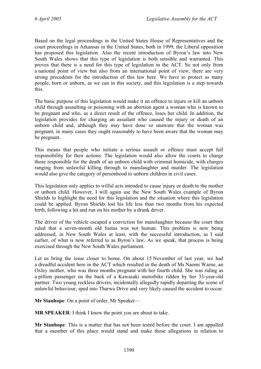Based on the legal proceedings in the United States House of Representatives and the court proceedings in Arkansas in the United States, both in 1999, the Liberal opposition has proposed this legislation. Also the recent introduction of Byron's law into New South Wales shows that this type of legislation is both sensible and warranted. This proves that there is a need for this type of legislation in the ACT. So not only from a national point of view but also from an international point of view, there are very strong precedents for the introduction of this law here. We have to protect as many people, born or unborn, as we can in this society, and this legislation is a step towards this.

The basic purpose of this legislation would make it an offence to injure or kill an unborn child through assaulting or poisoning with an abortion agent a woman who is known to be pregnant and who, as a direct result of the offence, loses her child. In addition, the legislation provides for charging an assailant who caused the injury or death of an unborn child and, although they may have done so unaware that the woman was pregnant, in many cases they ought reasonably to have been aware that the woman may be pregnant.

This means that people who initiate a serious assault or offence must accept full responsibility for their actions. The legislation would also allow the courts to charge those responsible for the death of an unborn child with criminal homicide, with charges ranging from unlawful killing through to manslaughter and murder. The legislation would also give the category of personhood to unborn children in civil cases.

This legislation only applies to wilful acts intended to cause injury or death to the mother or unborn child. However, I will again use the New South Wales example of Byron Shields to highlight the need for this legislation and the situation where this legislation could be applied. Byron Shields lost his life less than two months from his expected birth, following a hit and run on his mother by a drunk driver.

The driver of the vehicle escaped a conviction for manslaughter because the court then ruled that a seven-month old foetus was not human. This problem is now being addressed, in New South Wales at least, with the successful introduction, as I said earlier, of what is now referred to as Byron's law. As we speak, that process is being exercised through the New South Wales parliament.

Let us bring the issue closer to home. On about 15 November of last year, we had a dreadful accident here in the ACT which resulted in the death of Ms Naomi Warne, an Oxley mother, who was three months pregnant with her fourth child. She was riding as a pillion passenger on the back of a Kawasaki motorbike ridden by her 33-year-old partner. Two young reckless drivers, incidentally allegedly rapidly departing the scene of unlawful behaviour, sped into Tharwa Drive and very likely caused the accident to occur.

**Mr Stanhope**: On a point of order, Mr Speaker—

**MR SPEAKER**: I think I know the point you are about to take.

**Mr Stanhope**: This is a matter that has not been tested before the court. I am appalled that a member of this place would stand and make those allegations in relation to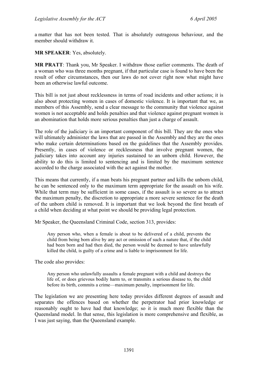a matter that has not been tested. That is absolutely outrageous behaviour, and the member should withdraw it.

**MR SPEAKER**: Yes, absolutely.

**MR PRATT**: Thank you, Mr Speaker. I withdraw those earlier comments. The death of a woman who was three months pregnant, if that particular case is found to have been the result of other circumstances, then our laws do not cover right now what might have been an otherwise lawful outcome.

This bill is not just about recklessness in terms of road incidents and other actions; it is also about protecting women in cases of domestic violence. It is important that we, as members of this Assembly, send a clear message to the community that violence against women is not acceptable and holds penalties and that violence against pregnant women is an abomination that holds more serious penalties than just a charge of assault.

The role of the judiciary is an important component of this bill. They are the ones who will ultimately administer the laws that are passed in the Assembly and they are the ones who make certain determinations based on the guidelines that the Assembly provides. Presently, in cases of violence or recklessness that involve pregnant women, the judiciary takes into account any injuries sustained to an unborn child. However, the ability to do this is limited to sentencing and is limited by the maximum sentence accorded to the charge associated with the act against the mother.

This means that currently, if a man beats his pregnant partner and kills the unborn child, he can be sentenced only to the maximum term appropriate for the assault on his wife. While that term may be sufficient in some cases, if the assault is so severe as to attract the maximum penalty, the discretion to appropriate a more severe sentence for the death of the unborn child is removed. It is important that we look beyond the first breath of a child when deciding at what point we should be providing legal protection.

Mr Speaker, the Queensland Criminal Code, section 313, provides:

Any person who, when a female is about to be delivered of a child, prevents the child from being born alive by any act or omission of such a nature that, if the child had been born and had then died, the person would be deemed to have unlawfully killed the child, is guilty of a crime and is liable to imprisonment for life.

The code also provides:

Any person who unlawfully assaults a female pregnant with a child and destroys the life of, or does grievous bodily harm to, or transmits a serious disease to, the child before its birth, commits a crime—maximum penalty, imprisonment for life.

The legislation we are presenting here today provides different degrees of assault and separates the offences based on whether the perpetrator had prior knowledge or reasonably ought to have had that knowledge; so it is much more flexible than the Queensland model. In that sense, this legislation is more comprehensive and flexible, as I was just saying, than the Queensland example.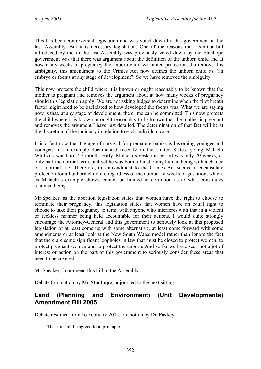This has been controversial legislation and was voted down by this government in the last Assembly. But it is necessary legislation. One of the reasons that a similar bill introduced by me in the last Assembly was previously voted down by the Stanhope government was that there was argument about the definition of the unborn child and at how many weeks of pregnancy the unborn child warranted protection. To remove this ambiguity, this amendment to the Crimes Act now defines the unborn child as "an embryo or foetus at any stage of development". So we have removed the ambiguity.

This now protects the child where it is known or ought reasonably to be known that the mother is pregnant and removes the argument about at how many weeks of pregnancy should this legislation apply. We are not asking judges to determine when the first breath factor might need to be backdated to how developed the foetus was. What we are saying now is that, at any stage of development, the crime can be committed. This now protects the child where it is known or ought reasonably to be known that the mother is pregnant and removes the argument I have just detailed. The determination of that fact will be at the discretion of the judiciary in relation to each individual case.

It is a fact now that the age of survival for premature babies is becoming younger and younger. In an example documented recently in the United States, young Malachi Whitlock was born 4½ months early. Malachi's gestation period was only 20 weeks, or only half the normal term, and yet he was born a functioning human being with a chance of a normal life. Therefore, this amendment to the Crimes Act seems to encapsulate protection for all unborn children, regardless of the number of weeks of gestation, which, as Malachi's example shows, cannot be limited in definition as to what constitutes a human being.

Mr Speaker, as the abortion legislation states that women have the right to choose to terminate their pregnancy, this legislation states that women have an equal right to choose to take their pregnancy to term, with anyone who interferes with that in a violent or reckless manner being held accountable for their actions. I would quite strongly encourage the Attorney-General and this government to seriously look at this proposed legislation or at least come up with some alternative, at least come forward with some amendments or at least look at the New South Wales model rather than ignore the fact that there are some significant loopholes in law that must be closed to protect women, to protect pregnant women and to protect the unborn. And so far we have seen not a jot of interest or action on the part of this government to seriously consider these areas that need to be covered.

Mr Speaker, I commend this bill to the Assembly.

Debate (on motion by **Mr Stanhope**) adjourned to the next sitting.

### <span id="page-5-0"></span>**Land (Planning and Environment) (Unit Developments) Amendment Bill 2005**

Debate resumed from 16 February 2005, on motion by **Dr Foskey**:

That this bill be agreed to in principle.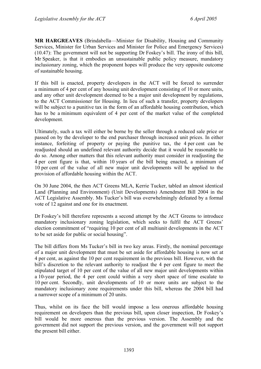**MR HARGREAVES** (Brindabella—Minister for Disability, Housing and Community Services, Minister for Urban Services and Minister for Police and Emergency Services) (10.47): The government will not be supporting Dr Foskey's bill. The irony of this bill, Mr Speaker, is that it embodies an unsustainable public policy measure, mandatory inclusionary zoning, which the proponent hopes will produce the very opposite outcome of sustainable housing.

If this bill is enacted, property developers in the ACT will be forced to surrender a minimum of 4 per cent of any housing unit development consisting of 10 or more units, and any other unit development deemed to be a major unit development by regulations, to the ACT Commissioner for Housing. In lieu of such a transfer, property developers will be subject to a punitive tax in the form of an affordable housing contribution, which has to be a minimum equivalent of 4 per cent of the market value of the completed development.

Ultimately, such a tax will either be borne by the seller through a reduced sale price or passed on by the developer to the end purchaser through increased unit prices. In either instance, forfeiting of property or paying the punitive tax, the 4 per cent can be readjusted should an undefined relevant authority decide that it would be reasonable to do so. Among other matters that this relevant authority must consider in readjusting the 4 per cent figure is that, within 10 years of the bill being enacted, a minimum of 10 per cent of the value of all new major unit developments will be applied to the provision of affordable housing within the ACT.

On 30 June 2004, the then ACT Greens MLA, Kerrie Tucker, tabled an almost identical Land (Planning and Environment) (Unit Developments) Amendment Bill 2004 in the ACT Legislative Assembly. Ms Tucker's bill was overwhelmingly defeated by a formal vote of 12 against and one for its enactment.

Dr Foskey's bill therefore represents a second attempt by the ACT Greens to introduce mandatory inclusionary zoning legislation, which seeks to fulfil the ACT Greens' election commitment of "requiring 10 per cent of all multiunit developments in the ACT to be set aside for public or social housing".

The bill differs from Ms Tucker's bill in two key areas. Firstly, the nominal percentage of a major unit development that must be set aside for affordable housing is now set at 4 per cent, as against the 10 per cent requirement in the previous bill. However, with the bill's discretion to the relevant authority to readjust the 4 per cent figure to meet the stipulated target of 10 per cent of the value of all new major unit developments within a 10-year period, the 4 per cent could within a very short space of time escalate to 10 per cent. Secondly, unit developments of 10 or more units are subject to the mandatory inclusionary zone requirements under this bill, whereas the 2004 bill had a narrower scope of a minimum of 20 units.

Thus, whilst on its face the bill would impose a less onerous affordable housing requirement on developers than the previous bill, upon closer inspection, Dr Foskey's bill would be more onerous than the previous version. The Assembly and the government did not support the previous version, and the government will not support the present bill either.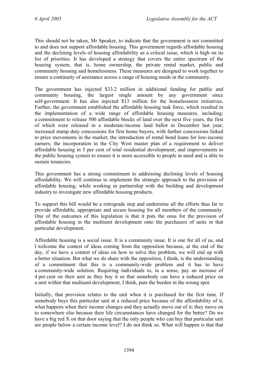This should not be taken, Mr Speaker, to indicate that the government is not committed to and does not support affordable housing. This government regards affordable housing and the declining levels of housing affordability as a critical issue, which is high on its list of priorities. It has developed a strategy that covers the entire spectrum of the housing system, that is, home ownership, the private rental market, public and community housing and homelessness. These measures are designed to work together to ensure a continuity of assistance across a range of housing needs in the community.

The government has injected \$33.2 million in additional funding for public and community housing, the largest single amount by any government since self-government. It has also injected \$13 million for the homelessness initiatives. Further, the government established the affordable housing task force, which resulted in the implementation of a wide range of affordable housing measures, including: a commitment to release 500 affordable blocks of land over the next five years, the first of which were released in a moderate-income land ballot in December last year; increased stamp duty concessions for first home buyers, with further concessions linked to price movements in the market; the introduction of rental bond loans for low-income earners; the incorporation in the City West master plan of a requirement to deliver affordable housing in 5 per cent of total residential development; and improvements to the public housing system to ensure it is more accessible to people in need and is able to sustain tenancies.

This government has a strong commitment to addressing declining levels of housing affordability. We will continue to implement the strategic approach to the provision of affordable housing, while working in partnership with the building and development industry to investigate new affordable housing products.

To support this bill would be a retrograde step and undermine all the efforts thus far to provide affordable, appropriate and secure housing for all members of the community. One of the outcomes of this legislation is that it puts the onus for the provision of affordable housing in the multiunit development onto the purchasers of units in that particular development.

Affordable housing is a social issue. It is a community issue. It is one for all of us, and I welcome the contest of ideas coming from the opposition because, at the end of the day, if we have a contest of ideas on how to solve this problem, we will end up with a better situation. But what we do share with the opposition, I think, is the understanding of a commitment that this is a community-wide problem and it has to have a community-wide solution. Requiring individuals to, in a sense, pay an increase of 4 per cent on their unit as they buy it so that somebody can have a reduced price on a unit within that multiunit development, I think, puts the burden in the wrong spot.

Initially, that provision relates to the unit when it is purchased for the first time. If somebody buys this particular unit at a reduced price because of the affordability of it, what happens when their income changes and they actually move out of it; they move on to somewhere else because their life circumstances have changed for the better? Do we have a big red X on that door saying that the only people who can buy that particular unit are people below a certain income level? I do not think so. What will happen is that that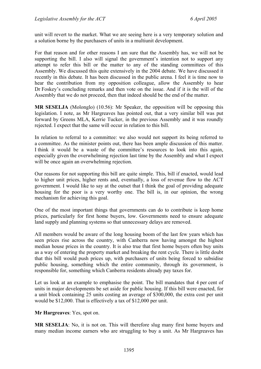unit will revert to the market. What we are seeing here is a very temporary solution and a solution borne by the purchasers of units in a multiunit development.

For that reason and for other reasons I am sure that the Assembly has, we will not be supporting the bill. I also will signal the government's intention not to support any attempt to refer this bill or the matter to any of the standing committees of this Assembly. We discussed this quite extensively in the 2004 debate. We have discussed it recently in this debate. It has been discussed in the public arena. I feel it is time now to hear the contribution from my opposition colleague, allow the Assembly to hear Dr Foskey's concluding remarks and then vote on the issue. And if it is the will of the Assembly that we do not proceed, then that indeed should be the end of the matter.

**MR SESELJA** (Molonglo) (10.56): Mr Speaker, the opposition will be opposing this legislation. I note, as Mr Hargreaves has pointed out, that a very similar bill was put forward by Greens MLA, Kerrie Tucker, in the previous Assembly and it was roundly rejected. I expect that the same will occur in relation to this bill.

In relation to referral to a committee: we also would not support its being referred to a committee. As the minister points out, there has been ample discussion of this matter. I think it would be a waste of the committee's resources to look into this again, especially given the overwhelming rejection last time by the Assembly and what I expect will be once again an overwhelming rejection.

Our reasons for not supporting this bill are quite simple. This, bill if enacted, would lead to higher unit prices, higher rents and, eventually, a loss of revenue flow to the ACT government. I would like to say at the outset that I think the goal of providing adequate housing for the poor is a very worthy one. The bill is, in our opinion, the wrong mechanism for achieving this goal.

One of the most important things that governments can do to contribute is keep home prices, particularly for first home buyers, low. Governments need to ensure adequate land supply and planning systems so that unnecessary delays are removed.

All members would be aware of the long housing boom of the last few years which has seen prices rise across the country, with Canberra now having amongst the highest median house prices in the country. It is also true that first home buyers often buy units as a way of entering the property market and breaking the rent cycle. There is little doubt that this bill would push prices up, with purchasers of units being forced to subsidise public housing, something which the entire community, through its government, is responsible for, something which Canberra residents already pay taxes for.

Let us look at an example to emphasise the point. The bill mandates that 4 per cent of units in major developments be set aside for public housing. If this bill were enacted, for a unit block containing 25 units costing an average of \$300,000, the extra cost per unit would be \$12,000. That is effectively a tax of \$12,000 per unit.

**Mr Hargreaves**: Yes, spot on.

**MR SESELJA**: No, it is not on. This will therefore slug many first home buyers and many median income earners who are struggling to buy a unit. As Mr Hargreaves has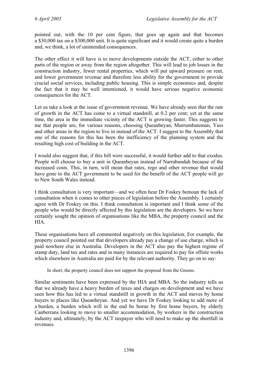pointed out, with the 10 per cent figure, that goes up again and that becomes a \$30,000 tax on a \$300,000 unit. It is quite significant and it would create quite a burden and, we think, a lot of unintended consequences.

The other effect it will have is to move developments outside the ACT, either to other parts of the region or away from the region altogether. This will lead to job losses in the construction industry, fewer rental properties, which will put upward pressure on rent, and lower government revenue and therefore less ability for the government to provide crucial social services, including public housing. This is simple economics and, despite the fact that it may be well intentioned, it would have serious negative economic consequences for the ACT.

Let us take a look at the issue of government revenue. We have already seen that the rate of growth in the ACT has come to a virtual standstill, at 0.2 per cent; yet at the same time, the area in the immediate vicinity of the ACT is growing faster. This suggests to me that people are, for various reasons, choosing Queanbeyan, Murrumbateman, Yass and other areas in the region to live in instead of the ACT. I suggest to the Assembly that one of the reasons for this has been the inefficiency of the planning system and the resulting high cost of building in the ACT.

I would also suggest that, if this bill were successful, it would further add to that exodus. People will choose to buy a unit in Queanbeyan instead of Narrabundah because of the increased costs. This, in turn, will mean that rates, rego and other revenue that would have gone to the ACT government to be used for the benefit of the ACT people will go to New South Wales instead.

I think consultation is very important—and we often hear Dr Foskey bemoan the lack of consultation when it comes to other pieces of legislation before the Assembly. I certainly agree with Dr Foskey on this. I think consultation is important and I think some of the people who would be directly affected by this legislation are the developers. So we have certainly sought the opinion of organisations like the MBA, the property council and the HIA.

These organisations have all commented negatively on this legislation. For example, the property council pointed out that developers already pay a change of use charge, which is paid nowhere else in Australia. Developers in the ACT also pay the highest regime of stamp duty, land tax and rates and in many instances are required to pay for offsite works which elsewhere in Australia are paid for by the relevant authority. They go on to say:

In short, the property council does not support the proposal from the Greens.

Similar sentiments have been expressed by the HIA and MBA. So the industry tells us that we already have a heavy burden of taxes and charges on development and we have seen how this has led to a virtual standstill in growth in the ACT and moves by home buyers to places like Queanbeyan. And yet we have Dr Foskey looking to add more of a burden, a burden which will in the end be borne by first home buyers, by elderly Canberrans looking to move to smaller accommodation, by workers in the construction industry and, ultimately, by the ACT taxpayer who will need to make up the shortfall in revenues.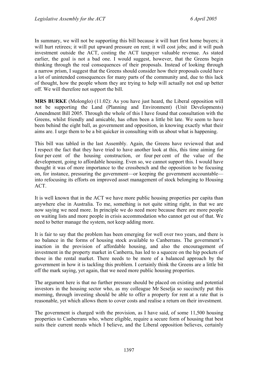In summary, we will not be supporting this bill because it will hurt first home buyers; it will hurt retirees; it will put upward pressure on rent; it will cost jobs; and it will push investment outside the ACT, costing the ACT taxpayer valuable revenue. As stated earlier, the goal is not a bad one. I would suggest, however, that the Greens begin thinking through the real consequences of their proposals. Instead of looking through a narrow prism, I suggest that the Greens should consider how their proposals could have a lot of unintended consequences for many parts of the community and, due to this lack of thought, how the people whom they are trying to help will actually not end up better off. We will therefore not support the bill.

**MRS BURKE** (Molonglo) (11.02): As you have just heard, the Liberal opposition will not be supporting the Land (Planning and Environment) (Unit Developments) Amendment Bill 2005. Through the whole of this I have found that consultation with the Greens, whilst friendly and amicable, has often been a little bit late. We seem to have been behind the eight ball, as government and opposition, in knowing exactly what their aims are. I urge them to be a bit quicker in consulting with us about what is happening.

This bill was tabled in the last Assembly. Again, the Greens have reviewed that and I respect the fact that they have tried to have another look at this, this time aiming for four per cent of the housing construction, or four per cent of the value of the development, going to affordable housing. Even so, we cannot support this. I would have thought it was of more importance to the crossbench and the opposition to be focusing on, for instance, pressuring the government—or keeping the government accountable into refocusing its efforts on improved asset management of stock belonging to Housing ACT.

It is well known that in the ACT we have more public housing properties per capita than anywhere else in Australia. To me, something is not quite sitting right, in that we are now saying we need more. In principle we do need more because there are more people on waiting lists and more people in crisis accommodation who cannot get out of that. We need to better manage the system, not keep adding more.

It is fair to say that the problem has been emerging for well over two years, and there is no balance in the forms of housing stock available to Canberrans. The government's inaction in the provision of affordable housing, and also the encouragement of investment in the property market in Canberra, has led to a squeeze on the hip pockets of those in the rental market. There needs to be more of a balanced approach by the government in how it is tackling this problem. I certainly think the Greens are a little bit off the mark saying, yet again, that we need more public housing properties.

The argument here is that no further pressure should be placed on existing and potential investors in the housing sector who, as my colleague Mr Seselja so succinctly put this morning, through investing should be able to offer a property for rent at a rate that is reasonable, yet which allows them to cover costs and realise a return on their investment.

The government is charged with the provision, as I have said, of some 11,500 housing properties to Canberrans who, where eligible, require a secure form of housing that best suits their current needs which I believe, and the Liberal opposition believes, certainly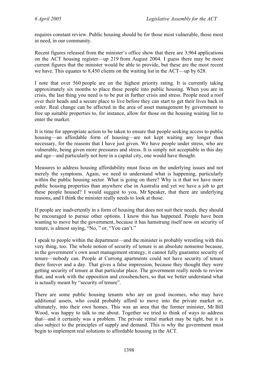requires constant review. Public housing should be for those most vulnerable, those most in need, in our community.

Recent figures released from the minister's office show that there are 3,964 applications on the ACT housing register—up 219 from August 2004. I guess there may be more current figures that the minister would be able to provide, but these are the most recent we have. This equates to 8,450 clients on the waiting list in the ACT—up by 628.

I note that over 560 people are on the highest priority rating. It is currently taking approximately six months to place these people into public housing. When you are in crisis, the last thing you need is to be put in further crisis and stress. People need a roof over their heads and a secure place to live before they can start to get their lives back in order. Real change can be affected in the area of asset management by government to free up suitable properties to, for instance, allow for those on the housing waiting list to enter the market.

It is time for appropriate action to be taken to ensure that people seeking access to public housing—an affordable form of housing—are not kept waiting any longer than necessary, for the reasons that I have just given. We have people under stress, who are vulnerable, being given more pressures and stress. It is simply not acceptable in this day and age—and particularly not here in a capital city, one would have thought.

Measures to address housing affordability must focus on the underlying issues and not merely the symptoms. Again, we need to understand what is happening, particularly within the public housing sector. What is going on there? Why is it that we have more public housing properties than anywhere else in Australia and yet we have a job to get these people housed? I would suggest to you, Mr Speaker, that there are underlying reasons, and I think the minister really needs to look at those.

If people are inadvertently in a form of housing that does not suit their needs, they should be encouraged to pursue other options. I know this has happened. People have been wanting to move but the government, because it has hamstrung itself now on security of tenure, is almost saying, "No, " or, "You can't."

I speak to people within the department—and the minister is probably wrestling with this very thing, too. The whole notion of security of tenure is an absolute nonsense because, in the government's own asset management strategy, it cannot fully guarantee security of tenure—nobody can. People at Currong apartments could not have security of tenure there forever and a day. That gives a false impression, because they thought they were getting security of tenure at that particular place. The government really needs to review that, and work with the opposition and crossbenchers, so that we better understand what is actually meant by "security of tenure".

There are some public housing tenants who are on good incomes, who may have additional assets, who could probably afford to move into the private market or, ultimately, into their own homes. This was an area that the former minister, Mr Bill Wood, was happy to talk to me about. Together we tried to think of ways to address that—and it certainly was a problem. The private rental market may be tight, but it is also subject to the principles of supply and demand. This is why the government must begin to implement real solutions to affordable housing in the ACT.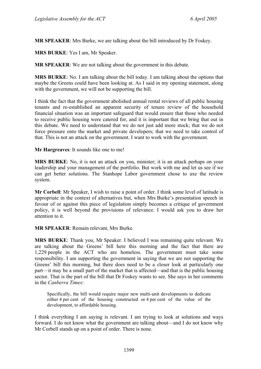**MR SPEAKER**: Mrs Burke, we are talking about the bill introduced by Dr Foskey.

**MRS BURKE**: Yes I am, Mr Speaker.

**MR SPEAKER**: We are not talking about the government in this debate.

**MRS BURKE**: No. I am talking about the bill today. I am talking about the options that maybe the Greens could have been looking at. As I said in my opening statement, along with the government, we will not be supporting the bill.

I think the fact that the government abolished annual rental reviews of all public housing tenants and re-established an apparent security of tenure review of the household financial situation was an important safeguard that would ensure that those who needed to receive public housing were catered for, and it is important that we bring that out in this debate. We need to understand that we do not just add more stock; that we do not force pressure onto the market and private developers; that we need to take control of that. This is not an attack on the government. I want to work with the government.

**Mr Hargreaves**: It sounds like one to me!

**MRS BURKE**: No, it is not an attack on you, minister; it is an attack perhaps on your leadership and your management of the portfolio. But work with me and let us see if we can get better solutions. The Stanhope Labor government chose to axe the review system.

**Mr Corbell**: Mr Speaker, I wish to raise a point of order. I think some level of latitude is appropriate in the context of alternatives but, when Mrs Burke's presentation speech in favour of or against this piece of legislation simply becomes a critique of government policy, it is well beyond the provisions of relevance. I would ask you to draw her attention to it.

#### **MR SPEAKER**: Remain relevant, Mrs Burke.

**MRS BURKE**: Thank you, Mr Speaker. I believed I was remaining quite relevant. We are talking about the Greens' bill here this morning and the fact that there are 1,229 people in the ACT who are homeless. The government must take some responsibility. I am supporting the government in saying that we are not supporting the Greens' bill this morning, but there does need to be a closer look at particularly one part—it may be a small part of the market that is affected—and that is the public housing sector. That is the part of the bill that Dr Foskey wants to see. She says in her comments in the *Canberra Times*:

Specifically, the bill would require major new multi-unit developments to dedicate either 4 per cent of the housing constructed or 4 per cent of the value of the development, to affordable housing.

I think everything I am saying is relevant. I am trying to look at solutions and ways forward. I do not know what the government are talking about—and I do not know why Mr Corbell stands up on a point of order. There is none.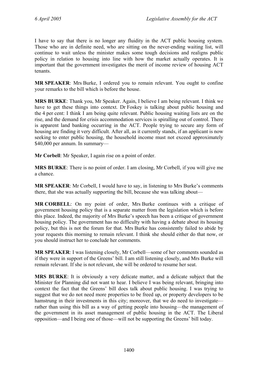I have to say that there is no longer any fluidity in the ACT public housing system. Those who are in definite need, who are sitting on the never-ending waiting list, will continue to wait unless the minister makes some tough decisions and realigns public policy in relation to housing into line with how the market actually operates. It is important that the government investigates the merit of income review of housing ACT tenants.

**MR SPEAKER**: Mrs Burke, I ordered you to remain relevant. You ought to confine your remarks to the bill which is before the house.

**MRS BURKE**: Thank you, Mr Speaker. Again, I believe I am being relevant. I think we have to get these things into context. Dr Foskey is talking about public housing and the 4 per cent: I think I am being quite relevant. Public housing waiting lists are on the rise, and the demand for crisis accommodation services is spiralling out of control. There is apparent land banking occurring in the ACT. People trying to secure any form of housing are finding it very difficult. After all, as it currently stands, if an applicant is now seeking to enter public housing, the household income must not exceed approximately \$40,000 per annum. In summary—

**Mr Corbell**: Mr Speaker, I again rise on a point of order.

**MRS BURKE**: There is no point of order. I am closing, Mr Corbell, if you will give me a chance.

**MR SPEAKER**: Mr Corbell, I would have to say, in listening to Mrs Burke's comments there, that she was actually supporting the bill, because she was talking about—

**MR CORBELL**: On my point of order, Mrs Burke continues with a critique of government housing policy that is a separate matter from the legislation which is before this place. Indeed, the majority of Mrs Burke's speech has been a critique of government housing policy. The government has no difficulty with having a debate about its housing policy, but this is not the forum for that. Mrs Burke has consistently failed to abide by your requests this morning to remain relevant. I think she should either do that now, or you should instruct her to conclude her comments.

**MR SPEAKER**: I was listening closely, Mr Corbell—some of her comments sounded as if they were in support of the Greens' bill. I am still listening closely, and Mrs Burke will remain relevant. If she is not relevant, she will be ordered to resume her seat.

**MRS BURKE**: It is obviously a very delicate matter, and a delicate subject that the Minister for Planning did not want to hear. I believe I was being relevant, bringing into context the fact that the Greens' bill does talk about public housing. I was trying to suggest that we do not need more properties to be freed up, or property developers to be hamstrung in their investments in this city; moreover, that we do need to investigate rather than using this bill as a way of getting people into housing—the management of the government in its asset management of public housing in the ACT. The Liberal opposition—and I being one of those—will not be supporting the Greens' bill today.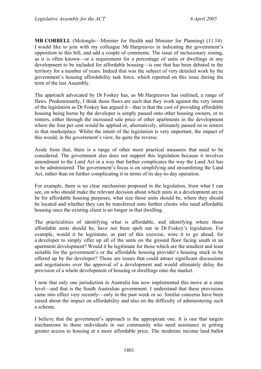**MR CORBELL** (Molonglo—Minister for Health and Minister for Planning) (11.14): I would like to join with my colleague Mr Hargreaves in indicating the government's opposition to this bill, and add a couple of comments. The issue of inclusionary zoning, as it is often known—or a requirement for a percentage of units or dwellings in any development to be included for affordable housing—is one that has been debated in the territory for a number of years. Indeed that was the subject of very detailed work by the government's housing affordability task force, which reported on this issue during the term of the last Assembly.

The approach advocated by Dr Foskey has, as Mr Hargreaves has outlined, a range of flaws. Predominantly, I think those flaws are such that they work against the very intent of the legislation as Dr Foskey has argued it—that is that the cost of providing affordable housing being borne by the developer is simply passed onto other housing owners, or to renters, either through the increased sale price of other apartments in the development where the four per cent would be applied or, alternatively, ultimately passed on to renters in that marketplace. Whilst the intent of the legislation is very important, the impact of this would, in the government's view, be quite the reverse.

Aside from that, there is a range of other more practical measures that need to be considered. The government also does not support this legislation because it involves amendment to the Land Act in a way that further complicates the way the Land Act has to be administered. The government's focus is on simplifying and streamlining the Land Act, rather than on further complicating it in terms of its day-to-day operation.

For example, there is no clear mechanism proposed in the legislation, from what I can see, on who should make the relevant decision about which units in a development are to be for affordable housing purposes, what size those units should be, where they should be located and whether they can be transferred onto further clients who need affordable housing once the existing client is no longer in that dwelling.

The practicalities of identifying what is affordable, and identifying where those affordable units should be, have not been spelt out in Dr Foskey's legislation. For example, would it be legitimate, as part of this exercise, were it to go ahead, for a developer to simply offer up all of the units on the ground floor facing south in an apartment development? Would it be legitimate for those which are the smallest and least suitable for the government's or the affordable housing provider's housing stock to be offered up by the developer? Those are issues that could attract significant discussions and negotiations over the approval of a development and would ultimately delay the provision of a whole development of housing or dwellings onto the market.

I note that only one jurisdiction in Australia has now implemented this move at a state level—and that is the South Australian government. I understand that these provisions came into effect very recently—only in the past week or so. Similar concerns have been raised about the impact on affordability and also on the difficulty of administering such a scheme.

I believe that the government's approach is the appropriate one. It is one that targets mechanisms to those individuals in our community who need assistance in getting greater access to housing at a more affordable price. The moderate income land ballot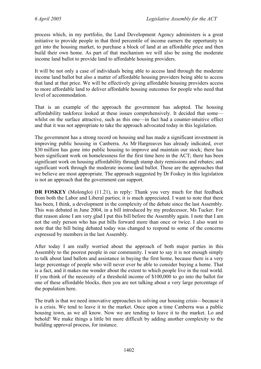process which, in my portfolio, the Land Development Agency administers is a great initiative to provide people in that third percentile of income earners the opportunity to get into the housing market, to purchase a block of land at an affordable price and then build their own home. As part of that mechanism we will also be using the moderate income land ballot to provide land to affordable housing providers.

It will be not only a case of individuals being able to access land through the moderate income land ballot but also a matter of affordable housing providers being able to access that land at that price. We will be effectively giving affordable housing providers access to more affordable land to deliver affordable housing outcomes for people who need that level of accommodation.

That is an example of the approach the government has adopted. The housing affordability taskforce looked at these issues comprehensively. It decided that some whilst on the surface attractive, such as this one—in fact had a counter-intuitive effect and that it was not appropriate to take the approach advocated today in this legislation.

The government has a strong record on housing and has made a significant investment in improving public housing in Canberra. As Mr Hargreaves has already indicated, over \$30 million has gone into public housing to improve and maintain our stock; there has been significant work on homelessness for the first time here in the ACT; there has been significant work on housing affordability through stamp duty remissions and rebates; and significant work through the moderate income land ballot. Those are the approaches that we believe are most appropriate. The approach suggested by Dr Foskey in this legislation is not an approach that the government can support.

**DR FOSKEY** (Molonglo) (11.21), in reply: Thank you very much for that feedback from both the Labor and Liberal parties; it is much appreciated. I want to note that there has been, I think, a development in the complexity of the debate since the last Assembly. This was debated in June 2004, in a bill introduced by my predecessor, Ms Tucker. For that reason alone I am very glad I put this bill before the Assembly again. I note that I am not the only person who has put bills forward more than once or twice. I also want to note that the bill being debated today was changed to respond to some of the concerns expressed by members in the last Assembly.

After today I am really worried about the approach of both major parties in this Assembly to the poorest people in our community. I want to say it is not enough simply to talk about land ballots and assistance in buying the first home, because there is a very large percentage of people who will never ever be able to consider buying a home. That is a fact, and it makes me wonder about the extent to which people live in the real world. If you think of the necessity of a threshold income of \$100,000 to go into the ballot for one of these affordable blocks, then you are not talking about a very large percentage of the population here.

The truth is that we need innovative approaches to solving our housing crisis—because it is a crisis. We tend to leave it to the market. Once upon a time Canberra was a public housing town, as we all know. Now we are tending to leave it to the market. Lo and behold! We make things a little bit more difficult by adding another complexity to the building approval process, for instance.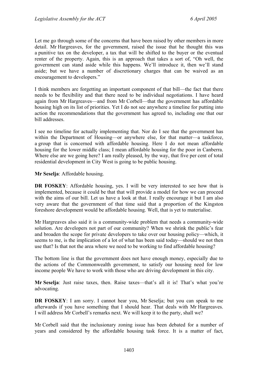Let me go through some of the concerns that have been raised by other members in more detail. Mr Hargreaves, for the government, raised the issue that he thought this was a punitive tax on the developer, a tax that will be shifted to the buyer or the eventual renter of the property. Again, this is an approach that takes a sort of, "Oh well, the government can stand aside while this happens. We'll introduce it, then we'll stand aside; but we have a number of discretionary charges that can be waived as an encouragement to developers."

I think members are forgetting an important component of that bill—the fact that there needs to be flexibility and that there need to be individual negotiations. I have heard again from Mr Hargreaves—and from Mr Corbell—that the government has affordable housing high on its list of priorities. Yet I do not see anywhere a timeline for putting into action the recommendations that the government has agreed to, including one that our bill addresses.

I see no timeline for actually implementing that. Nor do I see that the government has within the Department of Housing—or anywhere else, for that matter—a taskforce, a group that is concerned with affordable housing. Here I do not mean affordable housing for the lower middle class; I mean affordable housing for the poor in Canberra. Where else are we going here? I am really pleased, by the way, that five per cent of total residential development in City West is going to be public housing.

**Mr Seselja**: Affordable housing.

**DR FOSKEY**: Affordable housing, yes. I will be very interested to see how that is implemented, because it could be that that will provide a model for how we can proceed with the aims of our bill. Let us have a look at that. I really encourage it but I am also very aware that the government of that time said that a proportion of the Kingston foreshore development would be affordable housing. Well, that is yet to materialise.

Mr Hargreaves also said it is a community-wide problem that needs a community-wide solution. Are developers not part of our community? When we shrink the public's fear and broaden the scope for private developers to take over our housing policy—which, it seems to me, is the implication of a lot of what has been said today—should we not then use that? Is that not the area where we need to be working to find affordable housing?

The bottom line is that the government does not have enough money, especially due to the actions of the Commonwealth government, to satisfy our housing need for low income people We have to work with those who are driving development in this city.

**Mr Seselja**: Just raise taxes, then. Raise taxes—that's all it is! That's what you're advocating.

**DR FOSKEY**: I am sorry. I cannot hear you, Mr Seselja; but you can speak to me afterwards if you have something that I should hear. That deals with Mr Hargreaves. I will address Mr Corbell's remarks next. We will keep it to the party, shall we?

Mr Corbell said that the inclusionary zoning issue has been debated for a number of years and considered by the affordable housing task force. It is a matter of fact,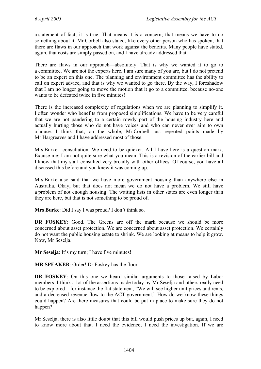a statement of fact; it is true. That means it is a concern; that means we have to do something about it. Mr Corbell also stated, like every other person who has spoken, that there are flaws in our approach that work against the benefits. Many people have stated, again, that costs are simply passed on, and I have already addressed that.

There are flaws in our approach—absolutely. That is why we wanted it to go to a committee. We are not the experts here. I am sure many of you are, but I do not pretend to be an expert on this one. The planning and environment committee has the ability to call on expert advice, and that is why we wanted to go there. By the way, I foreshadow that I am no longer going to move the motion that it go to a committee, because no-one wants to be defeated twice in five minutes!

There is the increased complexity of regulations when we are planning to simplify it. I often wonder who benefits from proposed simplifications. We have to be very careful that we are not pandering to a certain rowdy part of the housing industry here and actually hurting those who do not have voices and who can never ever aim to own a house. I think that, on the whole, Mr Corbell just repeated points made by Mr Hargreaves and I have addressed most of those.

Mrs Burke—consultation. We need to be quicker. All I have here is a question mark. Excuse me: I am not quite sure what you mean. This is a revision of the earlier bill and I know that my staff consulted very broadly with other offices. Of course, you have all discussed this before and you knew it was coming up.

Mrs Burke also said that we have more government housing than anywhere else in Australia. Okay, but that does not mean we do not have a problem. We still have a problem of not enough housing. The waiting lists in other states are even longer than they are here, but that is not something to be proud of.

**Mrs Burke**: Did I say I was proud? I don't think so.

**DR FOSKEY**: Good. The Greens are off the mark because we should be more concerned about asset protection. We are concerned about asset protection. We certainly do not want the public housing estate to shrink. We are looking at means to help it grow. Now, Mr Seselja.

**Mr Seselia**: It's my turn: I have five minutes!

**MR SPEAKER**: Order! Dr Foskey has the floor.

**DR FOSKEY**: On this one we heard similar arguments to those raised by Labor members. I think a lot of the assertions made today by Mr Seselja and others really need to be explored—for instance the flat statement, "We will see higher unit prices and rents, and a decreased revenue flow to the ACT government." How do we know these things could happen? Are there measures that could be put in place to make sure they do not happen?

Mr Seselja, there is also little doubt that this bill would push prices up but, again, I need to know more about that. I need the evidence; I need the investigation. If we are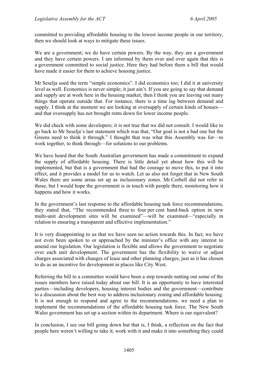committed to providing affordable housing to the lowest income people in our territory, then we should look at ways to mitigate these issues.

We are a government; we do have certain powers. By the way, they are a government and they have certain powers. I am informed by them over and over again that this is a government committed to social justice. Here they had before them a bill that would have made it easier for them to achieve housing justice.

Mr Seselja used the term "simple economics". I did economics too; I did it at university level as well. Economics is never simple; it just ain't. If you are going to say that demand and supply are at work here in the housing market, then I think you are leaving out many things that operate outside that. For instance, there is a time lag between demand and supply. I think at the moment we are looking at oversupply of certain kinds of houses and that oversupply has not brought rents down for lower income people.

We did check with some developers; it is not true that we did not consult. I would like to go back to Mr Seselja's last statement which was that, "Our goal is not a bad one but the Greens need to think it through." I thought that was what this Assembly was for—to work together, to think through—for solutions to our problems.

We have heard that the South Australian government has made a commitment to expand the supply of affordable housing. There is little detail yet about how this will be implemented, but that is a government that had the courage to move this, to put it into effect, and it provides a model for us to watch. Let us also not forget that in New South Wales there are some areas set up as inclusionary zones. Mr Corbell did not refer to those, but I would hope the government is in touch with people there, monitoring how it happens and how it works.

In the government's last response to the affordable housing task force recommendations, they stated that, "The recommended three to four per cent hand-back option in new multi-unit development sites will be examined"—will be examined—"especially in relation to ensuring a transparent and effective implementation."

It is very disappointing to us that we have seen no action towards this. In fact, we have not even been spoken to or approached by the minister's office with any interest to amend our legislation. Our legislation is flexible and allows the government to negotiate over each unit development. The government has the flexibility to waive or adjust charges associated with changes of lease and other planning charges, just as it has chosen to do as an incentive for development in places like City West.

Referring the bill to a committee would have been a step towards nutting out some of the issues members have raised today about our bill. It is an opportunity to have interested parties—including developers, housing interest bodies and the government—contribute to a discussion about the best way to address inclusionary zoning and affordable housing. It is not enough to respond and agree to the recommendations; we need a plan to implement the recommendations of the affordable housing task force. The New South Wales government has set up a section within its department. Where is our equivalent?

In conclusion, I see our bill going down but that is, I think, a reflection on the fact that people here weren't willing to take it, work with it and make it into something they could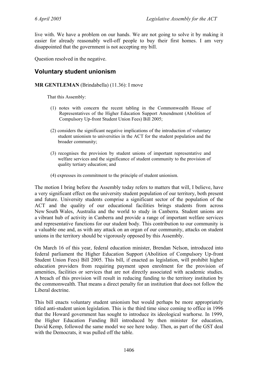live with. We have a problem on our hands. We are not going to solve it by making it easier for already reasonably well-off people to buy their first homes. I am very disappointed that the government is not accepting my bill.

Question resolved in the negative.

## <span id="page-19-0"></span>**Voluntary student unionism**

#### **MR GENTLEMAN** (Brindabella) (11.36): I move

That this Assembly:

- (1) notes with concern the recent tabling in the Commonwealth House of Representatives of the Higher Education Support Amendment (Abolition of Compulsory Up-front Student Union Fees) Bill 2005;
- (2) considers the significant negative implications of the introduction of voluntary student unionism to universities in the ACT for the student population and the broader community;
- (3) recognises the provision by student unions of important representative and welfare services and the significance of student community to the provision of quality tertiary education; and
- (4) expresses its commitment to the principle of student unionism.

The motion I bring before the Assembly today refers to matters that will, I believe, have a very significant effect on the university student population of our territory, both present and future. University students comprise a significant sector of the population of the ACT and the quality of our educational facilities brings students from across New South Wales, Australia and the world to study in Canberra. Student unions are a vibrant hub of activity in Canberra and provide a range of important welfare services and representative functions for our student body. This contribution to our community is a valuable one and, as with any attack on an organ of our community, attacks on student unions in the territory should be vigorously opposed by this Assembly.

On March 16 of this year, federal education minister, Brendan Nelson, introduced into federal parliament the Higher Education Support (Abolition of Compulsory Up-front Student Union Fees) Bill 2005. This bill, if enacted as legislation, will prohibit higher education providers from requiring payment upon enrolment for the provision of amenities, facilities or services that are not directly associated with academic studies. A breach of this provision will result in reducing funding to the territory institution by the commonwealth. That means a direct penalty for an institution that does not follow the Liberal doctrine.

This bill enacts voluntary student unionism but would perhaps be more appropriately titled anti-student union legislation. This is the third time since coming to office in 1996 that the Howard government has sought to introduce its ideological warhorse. In 1999, the Higher Education Funding Bill introduced by then minister for education, David Kemp, followed the same model we see here today. Then, as part of the GST deal with the Democrats, it was pulled off the table.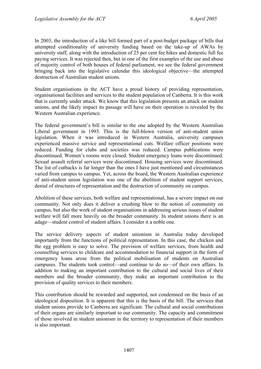In 2003, the introduction of a like bill formed part of a post-budget package of bills that attempted conditionality of university funding based on the take-up of AWAs by university staff, along with the introduction of 25 per cent fee hikes and domestic full fee paying services. It was rejected then, but in one of the first examples of the use and abuse of majority control of both houses of federal parliament, we see the federal government bringing back into the legislative calendar this ideological objective—the attempted destruction of Australian student unions.

Student organisations in the ACT have a proud history of providing representation, organisational facilities and services to the student population of Canberra. It is this work that is currently under attack. We know that this legislation presents an attack on student unions, and the likely impact its passage will have on their operation is revealed by the Western Australian experience.

The federal government's bill is similar to the one adopted by the Western Australian Liberal government in 1993. This is the full-blown version of anti-student union legislation. When it was introduced in Western Australia, university campuses experienced massive service and representational cuts. Welfare officer positions were reduced. Funding for clubs and societies was reduced. Campus publications were discontinued. Women's rooms were closed. Student emergency loans were discontinued. Sexual assault referral services were discontinued. Housing services were discontinued. The list of cutbacks is far longer than the ones I have just mentioned and circumstances varied from campus to campus. Yet, across the board, the Western Australian experience of anti-student union legislation was one of the abolition of student support services, denial of structures of representation and the destruction of community on campus.

Abolition of these services, both welfare and representational, has a severe impact on our community. Not only does it deliver a crushing blow to the notion of community on campus, but also the work of student organisations in addressing serious issues of student welfare will fall more heavily on the broader community. In student unions there is an adage—student control of student affairs. I consider it a noble one.

The service delivery aspects of student unionism in Australia today developed importantly from the functions of political representation. In this case, the chicken and the egg problem is easy to solve. The provision of welfare services, from health and counselling services to childcare and accommodation to financial support in the form of emergency loans arose from the political mobilisation of students on Australian campuses. The students took control—and continue to do so—of their own affairs. In addition to making an important contribution to the cultural and social lives of their members and the broader community, they make an important contribution to the provision of quality services to their members.

This contribution should be rewarded and supported, not condemned on the basis of an ideological disposition. It is apparent that this is the basis of the bill. The services that student unions provide to Canberra are significant. The cultural and social contributions of their organs are similarly important to our community. The capacity and commitment of those involved in student unionism in the territory to representation of their members is also important.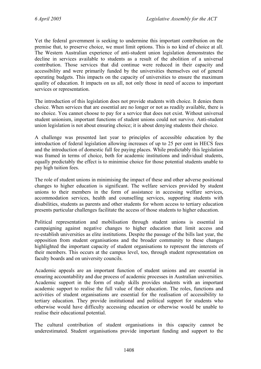Yet the federal government is seeking to undermine this important contribution on the premise that, to preserve choice, we must limit options. This is no kind of choice at all. The Western Australian experience of anti-student union legislation demonstrates the decline in services available to students as a result of the abolition of a universal contribution. Those services that did continue were reduced in their capacity and accessibility and were primarily funded by the universities themselves out of general operating budgets. This impacts on the capacity of universities to ensure the maximum quality of education. It impacts on us all, not only those in need of access to important services or representation.

The introduction of this legislation does not provide students with choice. It denies them choice. When services that are essential are no longer or not as readily available, there is no choice. You cannot choose to pay for a service that does not exist. Without universal student unionism, important functions of student unions could not survive. Anti-student union legislation is not about ensuring choice; it is about denying students their choice.

A challenge was presented last year to principles of accessible education by the introduction of federal legislation allowing increases of up to 25 per cent in HECS fees and the introduction of domestic full fee paying places. While predictably this legislation was framed in terms of choice, both for academic institutions and individual students, equally predictably the effect is to minimise choice for those potential students unable to pay high tuition fees.

The role of student unions in minimising the impact of these and other adverse positional changes to higher education is significant. The welfare services provided by student unions to their members in the form of assistance in accessing welfare services, accommodation services, health and counselling services, supporting students with disabilities, students as parents and other students for whom access to tertiary education presents particular challenges facilitate the access of those students to higher education.

Political representation and mobilisation through student unions is essential in campaigning against negative changes to higher education that limit access and re-establish universities as elite institutions. Despite the passage of the bills last year, the opposition from student organisations and the broader community to these changes highlighted the important capacity of student organisations to represent the interests of their members. This occurs at the campus level, too, through student representation on faculty boards and on university councils.

Academic appeals are an important function of student unions and are essential in ensuring accountability and due process of academic processes in Australian universities. Academic support in the form of study skills provides students with an important academic support to realise the full value of their education. The roles, functions and activities of student organisations are essential for the realisation of accessibility to tertiary education. They provide institutional and political support for students who otherwise would have difficulty accessing education or otherwise would be unable to realise their educational potential.

The cultural contribution of student organisations in this capacity cannot be underestimated. Student organisations provide important funding and support to the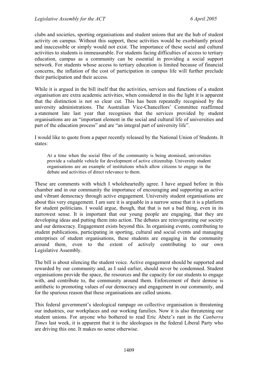clubs and societies, sporting organisations and student unions that are the hub of student activity on campus. Without this support, these activities would be exorbitantly priced and inaccessible or simply would not exist. The importance of these social and cultural activities to students is immeasurable. For students facing difficulties of access to tertiary education, campus as a community can be essential in providing a social support network. For students whose access to tertiary education is limited because of financial concerns, the inflation of the cost of participation in campus life will further preclude their participation and their access.

While it is argued in the bill itself that the activities, services and functions of a student organisation are extra academic activities, when considered in this the light it is apparent that the distinction is not so clear cut. This has been repeatedly recognised by the university administrations. The Australian Vice-Chancellors' Committee reaffirmed a statement late last year that recognises that the services provided by student organisations are an "important element in the social and cultural life of universities and part of the education process" and are "an integral part of university life".

I would like to quote from a paper recently released by the National Union of Students. It states:

At a time when the social fibre of the community is being atomised, universities provide a valuable vehicle for development of active citizenship. University student organisations are an example of institutions which allow citizens to engage in the debate and activities of direct relevance to them.

These are comments with which I wholeheartedly agree. I have argued before in this chamber and in our community the importance of encouraging and supporting an active and vibrant democracy through active engagement. University student organisations are about this very engagement. I am sure it is arguable in a narrow sense that it is a platform for student politicians. I would argue, though, that that is not a bad thing, even in its narrowest sense. It is important that our young people are engaging, that they are developing ideas and putting them into action. The debates are reinvigorating our society and our democracy. Engagement exists beyond this. In organising events, contributing to student publications, participating in sporting, cultural and social events and managing enterprises of student organisations, these students are engaging in the community around them, even to the extent of actively contributing to our own Legislative Assembly.

The bill is about silencing the student voice. Active engagement should be supported and rewarded by our community and, as I said earlier, should never be condemned. Student organisations provide the space, the resources and the capacity for our students to engage with, and contribute to, the community around them. Enforcement of their demise is antithetic to promoting values of our democracy and engagement in our community, and for the spurious reason that these organisations are called unions.

This federal government's ideological rampage on collective organisation is threatening our industries, our workplaces and our working families. Now it is also threatening our student unions. For anyone who bothered to read Eric Abetz's rant in the *Canberra Times* last week, it is apparent that it is the ideologues in the federal Liberal Party who are driving this one. It makes no sense otherwise.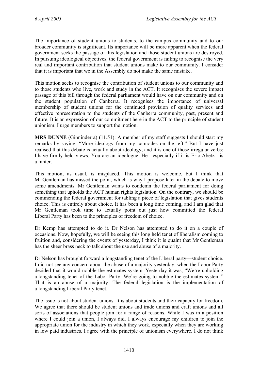The importance of student unions to students, to the campus community and to our broader community is significant. Its importance will be more apparent when the federal government seeks the passage of this legislation and those student unions are destroyed. In pursuing ideological objectives, the federal government is failing to recognise the very real and important contribution that student unions make to our community. I consider that it is important that we in the Assembly do not make the same mistake.

This motion seeks to recognise the contribution of student unions to our community and to those students who live, work and study in the ACT. It recognises the severe impact passage of this bill through the federal parliament would have on our community and on the student population of Canberra. It recognises the importance of universal membership of student unions for the continued provision of quality services and effective representation to the students of the Canberra community, past, present and future. It is an expression of our commitment here in the ACT to the principle of student unionism. I urge members to support the motion.

**MRS DUNNE** (Ginninderra) (11.51): A member of my staff suggests I should start my remarks by saying, "More ideology from my comrades on the left." But I have just realised that this debate is actually about ideology, and it is one of those irregular verbs: I have firmly held views. You are an ideologue. He—especially if it is Eric Abetz—is a ranter.

This motion, as usual, is misplaced. This motion is welcome, but I think that Mr Gentleman has missed the point, which is why I propose later in the debate to move some amendments. Mr Gentleman wants to condemn the federal parliament for doing something that upholds the ACT human rights legislation. On the contrary, we should be commending the federal government for tabling a piece of legislation that gives students choice. This is entirely about choice. It has been a long time coming, and I am glad that Mr Gentleman took time to actually point out just how committed the federal Liberal Party has been to the principles of freedom of choice.

Dr Kemp has attempted to do it. Dr Nelson has attempted to do it on a couple of occasions. Now, hopefully, we will be seeing this long held tenet of liberalism coming to fruition and, considering the events of yesterday, I think it is quaint that Mr Gentleman has the sheer brass neck to talk about the use and abuse of a majority.

Dr Nelson has brought forward a longstanding tenet of the Liberal party—student choice. I did not see any concern about the abuse of a majority yesterday, when the Labor Party decided that it would nobble the estimates system. Yesterday it was, "We're upholding a longstanding tenet of the Labor Party. We're going to nobble the estimates system." That is an abuse of a majority. The federal legislation is the implementation of a longstanding Liberal Party tenet.

The issue is not about student unions. It is about students and their capacity for freedom. We agree that there should be student unions and trade unions and craft unions and all sorts of associations that people join for a range of reasons. While I was in a position where I could join a union, I always did. I always encourage my children to join the appropriate union for the industry in which they work, especially when they are working in low paid industries. I agree with the principle of unionism everywhere. I do not think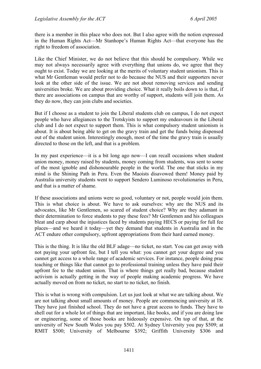there is a member in this place who does not. But I also agree with the notion expressed in the Human Rights Act—Mr Stanhope's Human Rights Act—that everyone has the right to freedom of association.

Like the Chief Minister, we do not believe that this should be compulsory. While we may not always necessarily agree with everything that unions do, we agree that they ought to exist. Today we are looking at the merits of voluntary student unionism. This is what Mr Gentleman would prefer not to do because the NUS and their supporters never look at the other side of the issue. We are not about removing services and sending universities broke. We are about providing choice. What it really boils down to is that, if there are associations on campus that are worthy of support, students will join them. As they do now, they can join clubs and societies.

But if I choose as a student to join the Liberal students club on campus, I do not expect people who have allegiances to the Trotskyists to support my endeavours in the Liberal club and I do not expect to support them. This is what compulsory student unionism is about. It is about being able to get on the gravy train and get the funds being dispensed out of the student union. Interestingly enough, most of the time the gravy train is usually directed to those on the left, and that is a problem.

In my past experience—it is a bit long ago now—I can recall occasions when student union money, money raised by students, money coming from students, was sent to some of the most ignoble and dishonourable people in the world. The one that sticks in my mind is the Shining Path in Peru. Even the Maoists disavowed them! Money paid by Australia university students went to support Sendero Luminoso revolutionaries in Peru, and that is a matter of shame.

If these associations and unions were so good, voluntary or not, people would join them. This is what choice is about. We have to ask ourselves: why are the NUS and its advocates, like Mr Gentlemen, so scared of student choice? Why are they adamant in their determination to force students to pay these fees? Mr Gentlemen and his colleagues bleat and carp about the injustices faced by students paying HECS or paying for full fee places—and we heard it today—yet they demand that students in Australia and in the ACT endure other compulsory, upfront appropriations from their hard earned money.

This is the thing. It is like the old BLF adage—no ticket, no start. You can get away with not paying your upfront fee, but I tell you what: you cannot get your degree and you cannot get access to a whole range of academic services. For instance, people doing prac teaching or things like that cannot go to professional training unless they have paid their upfront fee to the student union. That is where things get really bad, because student activism is actually getting in the way of people making academic progress. We have actually moved on from no ticket, no start to no ticket, no finish.

This is what is wrong with compulsion. Let us just look at what we are talking about. We are not talking about small amounts of money. People are commencing university at 18. They have just finished school. They do not have a great access to funds. They have to shell out for a whole lot of things that are important, like books, and if you are doing law or engineering, some of those books are hideously expensive. On top of that, at the university of New South Wales you pay \$502. At Sydney University you pay \$509; at RMIT \$500; University of Melbourne \$392; Griffith University \$306 and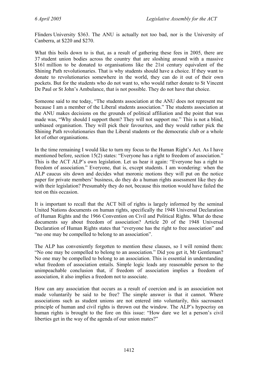Flinders University \$363. The ANU is actually not too bad, nor is the University of Canberra, at \$220 and \$270.

What this boils down to is that, as a result of gathering these fees in 2005, there are 37 student union bodies across the country that are sloshing around with a massive \$161 million to be donated to organisations like the 21st century equivalent of the Shining Path revolutionaries. That is why students should have a choice. If they want to donate to revolutionaries somewhere in the world, they can do it out of their own pockets. But for the students who do not want to, who would rather donate to St Vincent De Paul or St John's Ambulance, that is not possible. They do not have that choice.

Someone said to me today, "The students association at the ANU does not represent me because I am a member of the Liberal students association." The students association at the ANU makes decisions on the grounds of political affiliation and the point that was made was, "Why should I support them? They will not support me." This is not a blind, unbiased organisation. They will pick their favourites, and they would rather pick the Shining Path revolutionaries than the Liberal students or the democratic club or a whole lot of other organisations.

In the time remaining I would like to turn my focus to the Human Right's Act. As I have mentioned before, section 15(2) states: "Everyone has a right to freedom of association." This is the ACT ALP's own legislation. Let us hear it again: "Everyone has a right to freedom of association." Everyone, that is, except students. I am wondering: when the ALP caucus sits down and decides what moronic motions they will put on the notice paper for private members' business, do they do a human rights assessment like they do with their legislation? Presumably they do not, because this motion would have failed the test on this occasion.

It is important to recall that the ACT bill of rights is largely informed by the seminal United Nations documents on human rights, specifically the 1948 Universal Declaration of Human Rights and the 1966 Convention on Civil and Political Rights. What do these documents say about freedom of association? Article 20 of the 1948 Universal Declaration of Human Rights states that "everyone has the right to free association" and "no one may be compelled to belong to an association".

The ALP has conveniently forgotten to mention these clauses, so I will remind them: "No one may be compelled to belong to an association." Did you get it, Mr Gentleman? No one may be compelled to belong to an association. This is essential in understanding what freedom of association entails. Simple logic leads any reasonable person to the unimpeachable conclusion that, if freedom of association implies a freedom of association, it also implies a freedom not to associate.

How can any association that occurs as a result of coercion and is an association not made voluntarily be said to be free? The simple answer is that it cannot. Where associations such as student unions are not entered into voluntarily, this sacrosanct principle of human and civil rights is thrown out the window. The ALP's hypocrisy on human rights is brought to the fore on this issue: "How dare we let a person's civil liberties get in the way of the agenda of our union mates?"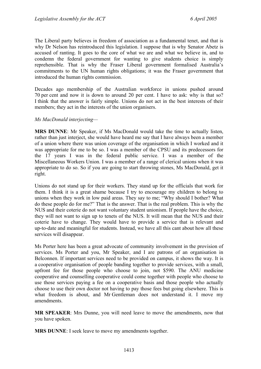The Liberal party believes in freedom of association as a fundamental tenet, and that is why Dr Nelson has reintroduced this legislation. I suppose that is why Senator Abetz is accused of ranting. It goes to the core of what we are and what we believe in, and to condemn the federal government for wanting to give students choice is simply reprehensible. That is why the Fraser Liberal government formalised Australia's commitments to the UN human rights obligations; it was the Fraser government that introduced the human rights commission.

Decades ago membership of the Australian workforce in unions pushed around 70 per cent and now it is down to around 20 per cent. I have to ask: why is that so? I think that the answer is fairly simple. Unions do not act in the best interests of their members; they act in the interests of the union organisers.

#### *Ms MacDonald interjecting—*

**MRS DUNNE**: Mr Speaker, if Ms MacDonald would take the time to actually listen, rather than just interject, she would have heard me say that I have always been a member of a union where there was union coverage of the organisation in which I worked and it was appropriate for me to be so. I was a member of the CPSU and its predecessors for the 17 years I was in the federal public service. I was a member of the Miscellaneous Workers Union. I was a member of a range of clerical unions when it was appropriate to do so. So if you are going to start throwing stones, Ms MacDonald, get it right.

Unions do not stand up for their workers. They stand up for the officials that work for them. I think it is a great shame because I try to encourage my children to belong to unions when they work in low paid areas. They say to me; "Why should I bother? What do these people do for me?" That is the answer. That is the real problem. This is why the NUS and their coterie do not want voluntary student unionism. If people have the choice, they will not want to sign up to tenets of the NUS. It will mean that the NUS and their coterie have to change. They would have to provide a service that is relevant and up-to-date and meaningful for students. Instead, we have all this cant about how all these services will disappear.

Ms Porter here has been a great advocate of community involvement in the provision of services. Ms Porter and you, Mr Speaker, and I are patrons of an organisation in Belconnen. If important services need to be provided on campus, it shows the way. It is a cooperative organisation of people banding together to provide services, with a small, upfront fee for those people who choose to join, not \$590. The ANU medicine cooperative and counselling cooperative could come together with people who choose to use those services paying a fee on a cooperative basis and those people who actually choose to use their own doctor not having to pay those fees but going elsewhere. This is what freedom is about, and Mr Gentleman does not understand it. I move my amendments.

**MR SPEAKER**: Mrs Dunne, you will need leave to move the amendments, now that you have spoken.

**MRS DUNNE**: I seek leave to move my amendments together.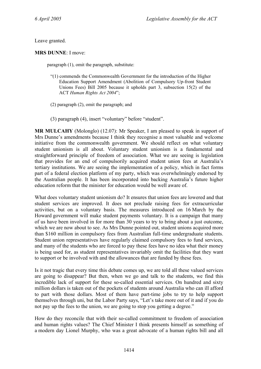Leave granted.

**MRS DUNNE**: I move:

paragraph (1), omit the paragraph, substitute:

- "(1) commends the Commonwealth Government for the introduction of the Higher Education Support Amendment (Abolition of Compulsory Up-front Student Unions Fees) Bill 2005 because it upholds part 3, subsection 15(2) of the ACT *Human Rights Act 2004*";
- (2) paragraph (2), omit the paragraph; and
- (3) paragraph (4), insert "voluntary" before "student".

**MR MULCAHY** (Molonglo) (12.07): Mr Speaker, I am pleased to speak in support of Mrs Dunne's amendments because I think they recognise a most valuable and welcome initiative from the commonwealth government. We should reflect on what voluntary student unionism is all about. Voluntary student unionism is a fundamental and straightforward principle of freedom of association. What we are seeing is legislation that provides for an end of compulsorily acquired student union fees at Australia's tertiary institutions. We are seeing the implementation of a policy, which in fact forms part of a federal election platform of my party, which was overwhelmingly endorsed by the Australian people. It has been incorporated into backing Australia's future higher education reform that the minister for education would be well aware of.

What does voluntary student unionism do? It ensures that union fees are lowered and that student services are improved. It does not preclude raising fees for extracurricular activities, but on a voluntary basis. The measures introduced on 16 March by the Howard government will make student payments voluntary. It is a campaign that many of us have been involved in for more than 30 years to try to bring about a just outcome, which we are now about to see. As Mrs Dunne pointed out, student unions acquired more than \$160 million in compulsory fees from Australian full-time undergraduate students. Student union representatives have regularly claimed compulsory fees to fund services, and many of the students who are forced to pay these fees have no idea what their money is being used for, as student representatives invariably omit the facilities that they want to support or be involved with and the allowances that are funded by these fees.

Is it not tragic that every time this debate comes up, we are told all these valued services are going to disappear? But then, when we go and talk to the students, we find this incredible lack of support for these so-called essential services. On hundred and sixty million dollars is taken out of the pockets of students around Australia who can ill afford to part with those dollars. Most of them have part-time jobs to try to help support themselves through uni, but the Labor Party says, "Let's take more out of it and if you do not pay up the fees to the union, we are going to stop you getting a degree."

How do they reconcile that with their so-called commitment to freedom of association and human rights values? The Chief Minister I think presents himself as something of a modern day Lionel Murphy, who was a great advocate of a human rights bill and all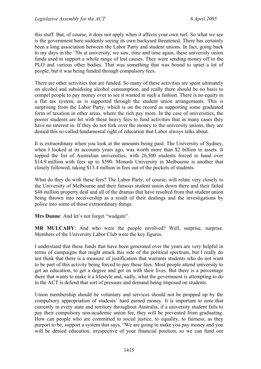this stuff. But, of course, it does not apply when it affects your own turf. So what we see is the government here suddenly seeing its own backyard threatened. There has certainly been a long association between the Labor Party and student unions. In fact, going back to my days in the '70s at university, we saw, time and time again, these university union funds used to support a whole range of lost causes. They were sending money off to the PLO and various other bodies. That was something that was bound to upset a lot of people, but it was being funded through compulsory fees.

There are other activities that are funded. So many of these activities are spent ultimately on alcohol and subsidising alcohol consumption, and really there should be no basis to compel people to pay money over to see it wasted in such a fashion. There is no equity in a flat tax system, as is supported through the student union arrangements. This is surprising from the Labor Party, which is on the record as supporting some graduated form of taxation in other areas, where the rich pay more. In the case of universities, the poorer students are hit with these heavy fees to fund activities that in many cases they have no interest in. If they do not fork over the money to the university unions, they are denied this so-called fundamental right of education that Labor always talks about.

It is extraordinary when you look at the amounts being paid. The University of Sydney, when I looked at its accounts years ago, was worth more than \$2 billion in assets. It topped the list of Australian universities, with 26,500 students forced to hand over \$14.9 million with fees up to \$590. Monash University in Melbourne is another that closely followed, taking \$13.4 million in fees out of the pockets of students.

What do they do with these fees? The Labor Party, of course, will relate very closely to the University of Melbourne and their famous student union down there and their failed \$48 million property deal and all of the dramas that have resulted from that student union being thrown into receivership as a result of their dealings and the investigations by police into some of those extraordinary things.

**Mrs Dunne**: And let's not forget "wadgate".

**MR MULCAHY**: And who were the people involved? Well, surprise, surprise. Members of the University Labor Club were the key figures.

I understand that these funds that have been generated over the years are very helpful in terms of campaigns that might attack this side of the political spectrum, but I really do not think that there is a measure of justification that warrants students who do not want to be part of this activity being forced to pay these fees. Most people attend university to get an education, to get a degree and get on with their lives. But there is a percentage there that wants to make it a lifestyle and, sadly, what the government is attempting to do in the ACT is defend that sort of pressure and demand being imposed on students.

Union membership should be voluntary and services should not be propped up by the compulsory appropriation of students' hard earned money. It is important to note that currently in every state and territory throughout Australia, if a university student fails to pay their compulsory non-academic union fee, they will be prevented from graduating. How can people who are committed to social justice, to equality, to fairness, as they purport to be, support a system that says, "We are going to make you pay money and you will be denied education, irrespective of your financial position, so we can fund our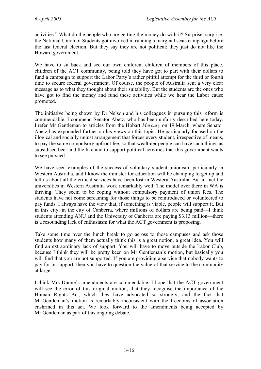activities." What do the people who are getting the money do with it? Surprise, surprise, the National Union of Students got involved in running a marginal seats campaign before the last federal election. But they say they are not political; they just do not like the Howard government.

We have to sit back and see our own children, children of members of this place, children of the ACT community, being told they have got to part with their dollars to fund a campaign to support the Labor Party's rather pitiful attempt for the third or fourth time to secure federal government. Of course, the people of Australia sent a very clear message as to what they thought about their suitability. But the students are the ones who have got to find the money and fund these activities while we hear the Labor cause promoted.

The initiative being shown by Dr Nelson and his colleagues in pursuing this reform is commendable. I commend Senator Abetz, who has been unfairly described here today. I refer Mr Gentleman to articles from the Hobart *Mercury* on 19 March, where Senator Abetz has expounded further on his views on this topic. He particularly focused on the illogical and socially unjust arrangement that forces every student, irrespective of means, to pay the same compulsory upfront fee, so that wealthier people can have such things as subsidised beer and the like and to support political activities that this government wants to see pursued.

We have seen examples of the success of voluntary student unionism, particularly in Western Australia, and I know the minister for education will be champing to get up and tell us about all the critical services have been lost in Western Australia. But in fact the universities in Western Australia work remarkably well. The model over there in WA is thriving. They seem to be coping without compulsory payment of union fees. The students have not come screaming for those things to be reintroduced or volunteered to pay funds. I always have the view that, if something is viable, people will support it. But in this city, in the city of Canberra, where millions of dollars are being paid—I think students attending ANU and the University of Canberra are paying \$3.13 million—there is a resounding lack of enthusiasm for what the ACT government is proposing.

Take some time over the lunch break to go across to those campuses and ask those students how many of them actually think this is a great notion, a great idea. You will find an extraordinary lack of support. You will have to move outside the Labor Club, because I think they will be pretty keen on Mr Gentleman's motion, but basically you will find that you are not supported. If you are providing a service that nobody wants to pay for or support, then you have to question the value of that service to the community at large.

I think Mrs Dunne's amendments are commendable. I hope that the ACT government will see the error of this original motion, that they recognise the importance of the Human Rights Act, which they have advocated so strongly, and the fact that Mr Gentleman's motion is remarkably inconsistent with the freedoms of association enshrined in this act. We look forward to the amendments being accepted by Mr Gentleman as part of this ongoing debate.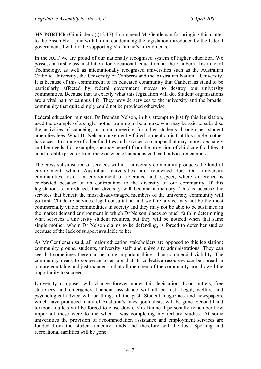**MS PORTER** (Ginninderra) (12.17): I commend Mr Gentleman for bringing this matter to the Assembly. I join with him in condemning the legislation introduced by the federal government. I will not be supporting Ms Dunne's amendments.

In the ACT we are proud of our nationally recognised system of higher education. We possess a first class institution for vocational education in the Canberra Institute of Technology, as well as internationally recognised universities such as the Australian Catholic University, the University of Canberra and the Australian National University. It is because of this commitment to an educated community that Canberrans stand to be particularly affected by federal government moves to destroy our university communities. Because that is exactly what this legislation will do. Student organisations are a vital part of campus life. They provide services to the university and the broader community that quite simply could not be provided otherwise.

Federal education minister, Dr Brendan Nelson, in his attempt to justify this legislation, used the example of a single mother training to be a nurse who may be said to subsidise the activities of canoeing or mountaineering for other students through her student amenities fees. What Dr Nelson conveniently failed to mention is that this single mother has access to a range of other facilities and services on campus that may more adequately suit her needs. For example, she may benefit from the provision of childcare facilities at an affordable price or from the existence of inexpensive health advice on campus.

The cross-subsidisation of services within a university community produces the kind of environment which Australian universities are renowned for. Our university communities foster an environment of tolerance and respect, where difference is celebrated because of its contribution to the diversity of our community. If this legislation is introduced, that diversity will become a memory. This is because the services that benefit the most disadvantaged members of the university community will go first. Childcare services, legal consultation and welfare advice may not be the most commercially viable commodities in society and they may not be able to be sustained in the market demand environment in which Dr Nelson places so much faith in determining what services a university student requires, but they will be noticed when that same single mother, whom Dr Nelson claims to be defending, is forced to defer her studies because of the lack of support available to her.

As Mr Gentleman said, all major education stakeholders are opposed to this legislation: community groups, students, university staff and university administrations. They can see that sometimes there can be more important things than commercial viability. The community needs to cooperate to ensure that its collective resources can be spread in a more equitable and just manner so that all members of the community are allowed the opportunity to succeed.

University campuses will change forever under this legislation. Food outlets, free stationery and emergency financial assistance will all be lost. Legal, welfare and psychological advice will be things of the past. Student magazines and newspapers, which have produced many of Australia's finest journalists, will be gone. Second-hand textbook outlets will be forced to close down, Mrs Dunne. I personally remember how important these were to me when I was completing my tertiary studies. At some universities the provision of accommodation assistance and employment services are funded from the student amenity funds and therefore will be lost. Sporting and recreational facilities will be gone.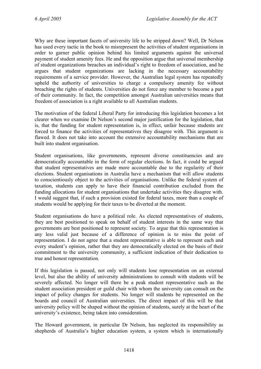Why are these important facets of university life to be stripped down? Well, Dr Nelson has used every tactic in the book to misrepresent the activities of student organisations in order to garner public opinion behind his limited arguments against the universal payment of student amenity fees. He and the opposition argue that universal membership of student organizations breaches an individual's right to freedom of association, and he argues that student organizations are lacking in the necessary accountability requirements of a service provider. However, the Australian legal system has repeatedly upheld the authority of universities to charge a compulsory amenity fee without breaching the rights of students. Universities do not force any member to become a part of their community. In fact, the competition amongst Australian universities means that freedom of association is a right available to all Australian students.

The motivation of the federal Liberal Party for introducing this legislation becomes a lot clearer when we examine Dr Nelson's second major justification for the legislation, that is, that the funding for student representation is, in effect, unfair because students are forced to finance the activities of representatives they disagree with. This argument is flawed. It does not take into account the extensive accountability mechanisms that are built into student organisation.

Student organisations, like governments, represent diverse constituencies and are democratically accountable in the form of regular elections. In fact, it could be argued that student representatives are made more accountable due to the regularity of their elections. Student organisations in Australia have a mechanism that will allow students to conscientiously object to the activities of organisations. Unlike the federal system of taxation, students can apply to have their financial contribution excluded from the funding allocations for student organisations that undertake activities they disagree with. I would suggest that, if such a provision existed for federal taxes, more than a couple of students would be applying for their taxes to be diverted at the moment.

Student organisations do have a political role. As elected representatives of students, they are best positioned to speak on behalf of student interests in the same way that governments are best positioned to represent society. To argue that this representation is any less valid just because of a difference of opinion is to miss the point of representation. I do not agree that a student representative is able to represent each and every student's opinion, rather that they are democratically elected on the basis of their commitment to the university community, a sufficient indication of their dedication to true and honest representation.

If this legislation is passed, not only will students lose representation on an external level, but also the ability of university administrations to consult with students will be severely affected. No longer will there be a peak student representative such as the student association president or guild chair with whom the university can consult on the impact of policy changes for students. No longer will students be represented on the boards and council of Australian universities. The direct impact of this will be that university policy will be shaped without the opinion of students, surely at the heart of the university's existence, being taken into consideration.

The Howard government, in particular Dr Nelson, has neglected its responsibility as shepherds of Australia's higher education system, a system which is internationally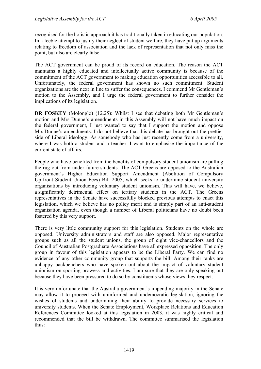recognised for the holistic approach it has traditionally taken in educating our population. In a feeble attempt to justify their neglect of student welfare, they have put up arguments relating to freedom of association and the lack of representation that not only miss the point, but also are clearly false.

The ACT government can be proud of its record on education. The reason the ACT maintains a highly educated and intellectually active community is because of the commitment of the ACT government to making education opportunities accessible to all. Unfortunately, the federal government has shown no such commitment. Student organizations are the next in line to suffer the consequences. I commend Mr Gentleman's motion to the Assembly, and I urge the federal government to further consider the implications of its legislation.

**DR FOSKEY** (Molonglo) (12.25): Whilst I see that debating both Mr Gentleman's motion and Mrs Dunne's amendments in this Assembly will not have much impact on the federal government, I just wanted to say that I support the motion and oppose Mrs Dunne's amendments. I do not believe that this debate has brought out the prettier side of Liberal ideology. As somebody who has just recently come from a university, where I was both a student and a teacher, I want to emphasise the importance of the current state of affairs.

People who have benefited from the benefits of compulsory student unionism are pulling the rug out from under future students. The ACT Greens are opposed to the Australian government's Higher Education Support Amendment (Abolition of Compulsory Up-front Student Union Fees) Bill 2005, which seeks to undermine student university organisations by introducing voluntary student unionism. This will have, we believe, a significantly detrimental effect on tertiary students in the ACT. The Greens representatives in the Senate have successfully blocked previous attempts to enact this legislation, which we believe has no policy merit and is simply part of an anti-student organisation agenda, even though a number of Liberal politicians have no doubt been fostered by this very support.

There is very little community support for this legislation. Students on the whole are opposed. University administrators and staff are also opposed. Major representative groups such as all the student unions, the group of eight vice-chancellors and the Council of Australian Postgraduate Associations have all expressed opposition. The only group in favour of this legislation appears to be the Liberal Party. We can find no evidence of any other community group that supports the bill. Among their ranks are unhappy backbenchers who have spoken out about the impact of voluntary student unionism on sporting prowess and activities. I am sure that they are only speaking out because they have been pressured to do so by constituents whose views they respect.

It is very unfortunate that the Australia government's impending majority in the Senate may allow it to proceed with uninformed and undemocratic legislation, ignoring the wishes of students and undermining their ability to provide necessary services to university students. When the Senate Employment, Workplace Relations and Education References Committee looked at this legislation in 2003, it was highly critical and recommended that the bill be withdrawn. The committee summarised the legislation thus: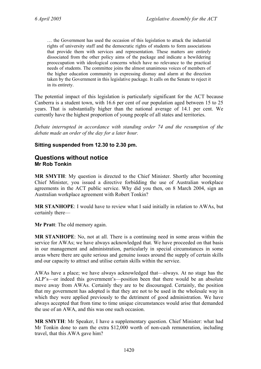… the Government has used the occasion of this legislation to attack the industrial rights of university staff and the democratic rights of students to form associations that provide them with services and representation. These matters are entirely dissociated from the other policy aims of the package and indicate a bewildering preoccupation with ideological concerns which have no relevance to the practical needs of students. The committee joins the almost unanimous voices of members of the higher education community in expressing dismay and alarm at the direction taken by the Government in this legislative package. It calls on the Senate to reject it in its entirety.

The potential impact of this legislation is particularly significant for the ACT because Canberra is a student town, with 16.6 per cent of our population aged between 15 to 25 years. That is substantially higher than the national average of 14.1 per cent. We currently have the highest proportion of young people of all states and territories.

*Debate interrupted in accordance with standing order 74 and the resumption of the debate made an order of the day for a later hour.* 

#### **Sitting suspended from 12.30 to 2.30 pm.**

### <span id="page-33-0"></span>**Questions without notice Mr Rob Tonkin**

**MR SMYTH**: My question is directed to the Chief Minister. Shortly after becoming Chief Minister, you issued a directive forbidding the use of Australian workplace agreements in the ACT public service. Why did you then, on 8 March 2004, sign an Australian workplace agreement with Robert Tonkin?

**MR STANHOPE**: I would have to review what I said initially in relation to AWAs, but certainly there—

**Mr Pratt**: The old memory again.

**MR STANHOPE**: No, not at all. There is a continuing need in some areas within the service for AWAs; we have always acknowledged that. We have proceeded on that basis in our management and administration, particularly in special circumstances in some areas where there are quite serious and genuine issues around the supply of certain skills and our capacity to attract and utilise certain skills within the service.

AWAs have a place; we have always acknowledged that—always. At no stage has the ALP's—or indeed this government's—position been that there would be an absolute move away from AWAs. Certainly they are to be discouraged. Certainly, the position that my government has adopted is that they are not to be used in the wholesale way in which they were applied previously to the detriment of good administration. We have always accepted that from time to time unique circumstances would arise that demanded the use of an AWA, and this was one such occasion.

**MR SMYTH**: Mr Speaker, I have a supplementary question. Chief Minister: what had Mr Tonkin done to earn the extra \$12,000 worth of non-cash remuneration, including travel, that this AWA gave him?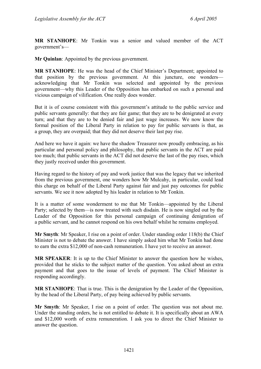**MR STANHOPE**: Mr Tonkin was a senior and valued member of the ACT government's—

**Mr Quinlan**: Appointed by the previous government.

**MR STANHOPE**: He was the head of the Chief Minister's Department; appointed to that position by the previous government. At this juncture, one wonders acknowledging that Mr Tonkin was selected and appointed by the previous government—why this Leader of the Opposition has embarked on such a personal and vicious campaign of vilification. One really does wonder.

But it is of course consistent with this government's attitude to the public service and public servants generally: that they are fair game; that they are to be denigrated at every turn; and that they are to be denied fair and just wage increases. We now know the formal position of the Liberal Party in relation to pay for public servants is that, as a group, they are overpaid; that they did not deserve their last pay rise.

And here we have it again: we have the shadow Treasurer now proudly embracing, as his particular and personal policy and philosophy, that public servants in the ACT are paid too much; that public servants in the ACT did not deserve the last of the pay rises, which they justly received under this government.

Having regard to the history of pay and work justice that was the legacy that we inherited from the previous government, one wonders how Mr Mulcahy, in particular, could lead this charge on behalf of the Liberal Party against fair and just pay outcomes for public servants. We see it now adopted by his leader in relation to Mr Tonkin.

It is a matter of some wonderment to me that Mr Tonkin—appointed by the Liberal Party; selected by them—is now treated with such disdain. He is now singled out by the Leader of the Opposition for this personal campaign of continuing denigration of a public servant, and he cannot respond on his own behalf whilst he remains employed.

**Mr Smyth**: Mr Speaker, I rise on a point of order. Under standing order 118(b) the Chief Minister is not to debate the answer. I have simply asked him what Mr Tonkin had done to earn the extra \$12,000 of non-cash remuneration. I have yet to receive an answer.

**MR SPEAKER**: It is up to the Chief Minister to answer the question how he wishes, provided that he sticks to the subject matter of the question. You asked about an extra payment and that goes to the issue of levels of payment. The Chief Minister is responding accordingly.

**MR STANHOPE**: That is true. This is the denigration by the Leader of the Opposition, by the head of the Liberal Party, of pay being achieved by public servants.

**Mr Smyth**: Mr Speaker, I rise on a point of order. The question was not about me. Under the standing orders, he is not entitled to debate it. It is specifically about an AWA and \$12,000 worth of extra remuneration. I ask you to direct the Chief Minister to answer the question.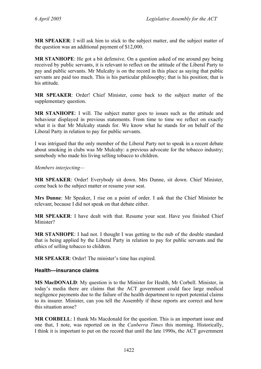**MR SPEAKER**: I will ask him to stick to the subject matter, and the subject matter of the question was an additional payment of \$12,000.

**MR STANHOPE**: He got a bit defensive. On a question asked of me around pay being received by public servants, it is relevant to reflect on the attitude of the Liberal Party to pay and public servants. Mr Mulcahy is on the record in this place as saying that public servants are paid too much. This is his particular philosophy; that is his position; that is his attitude.

**MR SPEAKER**: Order! Chief Minister, come back to the subject matter of the supplementary question.

**MR STANHOPE**: I will. The subject matter goes to issues such as the attitude and behaviour displayed in previous statements. From time to time we reflect on exactly what it is that Mr Mulcahy stands for. We know what he stands for on behalf of the Liberal Party in relation to pay for public servants.

I was intrigued that the only member of the Liberal Party not to speak in a recent debate about smoking in clubs was Mr Mulcahy: a previous advocate for the tobacco industry; somebody who made his living selling tobacco to children.

#### *Members interjecting—*

**MR SPEAKER**: Order! Everybody sit down. Mrs Dunne, sit down. Chief Minister, come back to the subject matter or resume your seat.

**Mrs Dunne**: Mr Speaker, I rise on a point of order. I ask that the Chief Minister be relevant, because I did not speak on that debate either.

**MR SPEAKER**: I have dealt with that. Resume your seat. Have you finished Chief Minister?

**MR STANHOPE**: I had not. I thought I was getting to the nub of the double standard that is being applied by the Liberal Party in relation to pay for public servants and the ethics of selling tobacco to children.

**MR SPEAKER**: Order! The minister's time has expired.

#### <span id="page-35-0"></span>**Health—insurance claims**

**MS MacDONALD**: My question is to the Minister for Health, Mr Corbell. Minister, in today's media there are claims that the ACT government could face large medical negligence payments due to the failure of the health department to report potential claims to its insurer. Minister, can you tell the Assembly if these reports are correct and how this situation arose?

**MR CORBELL**: I thank Ms Macdonald for the question. This is an important issue and one that, I note, was reported on in the *Canberra Times* this morning. Historically, I think it is important to put on the record that until the late 1990s, the ACT government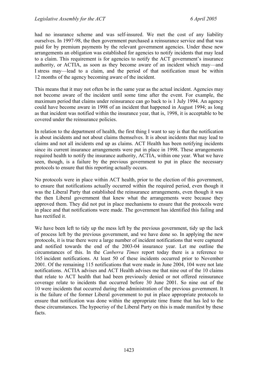had no insurance scheme and was self-insured. We met the cost of any liability ourselves. In 1997-98, the then government purchased a reinsurance service and that was paid for by premium payments by the relevant government agencies. Under these new arrangements an obligation was established for agencies to notify incidents that may lead to a claim. This requirement is for agencies to notify the ACT government's insurance authority, or ACTIA, as soon as they become aware of an incident which may—and I stress may—lead to a claim, and the period of that notification must be within 12 months of the agency becoming aware of the incident.

This means that it may not often be in the same year as the actual incident. Agencies may not become aware of the incident until some time after the event. For example, the maximum period that claims under reinsurance can go back to is 1 July 1994. An agency could have become aware in 1998 of an incident that happened in August 1994; as long as that incident was notified within the insurance year, that is, 1998, it is acceptable to be covered under the reinsurance policies.

In relation to the department of health, the first thing I want to say is that the notification is about incidents and not about claims themselves. It is about incidents that may lead to claims and not all incidents end up as claims. ACT Health has been notifying incidents since its current insurance arrangements were put in place in 1998. These arrangements required health to notify the insurance authority, ACTIA, within one year. What we have seen, though, is a failure by the previous government to put in place the necessary protocols to ensure that this reporting actually occurs.

No protocols were in place within ACT health, prior to the election of this government, to ensure that notifications actually occurred within the required period, even though it was the Liberal Party that established the reinsurance arrangements, even though it was the then Liberal government that knew what the arrangements were because they approved them. They did not put in place mechanisms to ensure that the protocols were in place and that notifications were made. The government has identified this failing and has rectified it.

We have been left to tidy up the mess left by the previous government, tidy up the lack of process left by the previous government, and we have done so. In applying the new protocols, it is true there were a large number of incident notifications that were captured and notified towards the end of the 2003-04 insurance year. Let me outline the circumstances of this. In the *Canberra Times* report today there is a reference to 165 incident notifications. At least 50 of these incidents occurred prior to November 2001. Of the remaining 115 notifications that were made in June 2004, 104 were not late notifications. ACTIA advises and ACT Health advises me that nine out of the 10 claims that relate to ACT health that had been previously denied or not offered reinsurance coverage relate to incidents that occurred before 30 June 2001. So nine out of the 10 were incidents that occurred during the administration of the previous government. It is the failure of the former Liberal government to put in place appropriate protocols to ensure that notification was done within the appropriate time frame that has led to the these circumstances. The hypocrisy of the Liberal Party on this is made manifest by these facts.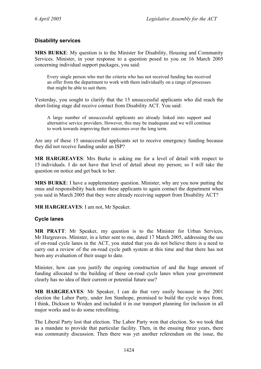## **Disability services**

**MRS BURKE**: My question is to the Minister for Disability, Housing and Community Services. Minister, in your response to a question posed to you on 16 March 2005 concerning individual support packages, you said:

Every single person who met the criteria who has not received funding has received an offer from the department to work with them individually on a range of processes that might be able to suit them.

Yesterday, you sought to clarify that the 15 unsuccessful applicants who did reach the short-listing stage did receive contact from Disability ACT. You said:

A large number of unsuccessful applicants are already linked into support and alternative service providers. However, this may be inadequate and we will continue to work towards improving their outcomes over the long term.

Are any of these 15 unsuccessful applicants set to receive emergency funding because they did not receive funding under an ISP?

**MR HARGREAVES**: Mrs Burke is asking me for a level of detail with respect to 15 individuals. I do not have that level of detail about my person; so I will take the question on notice and get back to her.

**MRS BURKE**: I have a supplementary question. Minister, why are you now putting the onus and responsibility back onto these applicants to again contact the department when you said in March 2005 that they were already receiving support from Disability ACT?

**MR HARGREAVES**: I am not, Mr Speaker.

#### **Cycle lanes**

**MR PRATT**: Mr Speaker, my question is to the Minister for Urban Services, Mr Hargreaves. Minister, in a letter sent to me, dated 17 March 2005, addressing the use of on-road cycle lanes in the ACT, you stated that you do not believe there is a need to carry out a review of the on-road cycle path system at this time and that there has not been any evaluation of their usage to date.

Minister, how can you justify the ongoing construction of and the huge amount of funding allocated to the building of these on-road cycle lanes when your government clearly has no idea of their current or potential future use?

**MR HARGREAVES**: Mr Speaker, I can do that very easily because in the 2001 election the Labor Party, under Jon Stanhope, promised to build the cycle ways from, I think, Dickson to Woden and included it in our transport planning for inclusion in all major works and to do some retrofitting.

The Liberal Party lost that election. The Labor Party won that election. So we took that as a mandate to provide that particular facility. Then, in the ensuing three years, there was community discussion. Then there was yet another referendum on the issue, the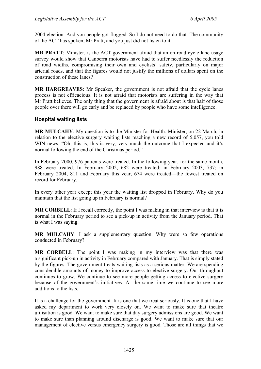2004 election. And you people got flogged. So I do not need to do that. The community of the ACT has spoken, Mr Pratt, and you just did not listen to it.

**MR PRATT**: Minister, is the ACT government afraid that an on-road cycle lane usage survey would show that Canberra motorists have had to suffer needlessly the reduction of road widths, compromising their own and cyclists' safety, particularly on major arterial roads, and that the figures would not justify the millions of dollars spent on the construction of these lanes?

**MR HARGREAVES**: Mr Speaker, the government is not afraid that the cycle lanes process is not efficacious. It is not afraid that motorists are suffering in the way that Mr Pratt believes. The only thing that the government is afraid about is that half of those people over there will go early and be replaced by people who have some intelligence.

## **Hospital waiting lists**

**MR MULCAHY**: My question is to the Minister for Health. Minister, on 22 March, in relation to the elective surgery waiting lists reaching a new record of 5,057, you told WIN news, "Oh, this is, this is very, very much the outcome that I expected and it's normal following the end of the Christmas period."

In February 2000, 976 patients were treated. In the following year, for the same month, 988 were treated. In February 2002, 682 were treated; in February 2003, 737; in February 2004, 811 and February this year, 674 were treated—the fewest treated on record for February.

In every other year except this year the waiting list dropped in February. Why do you maintain that the list going up in February is normal?

**MR CORBELL:** If I recall correctly, the point I was making in that interview is that it is normal in the February period to see a pick-up in activity from the January period. That is what I was saying.

**MR MULCAHY**: I ask a supplementary question. Why were so few operations conducted in February?

**MR CORBELL**: The point I was making in my interview was that there was a significant pick-up in activity in February compared with January. That is simply stated by the figures. The government treats waiting lists as a serious matter. We are spending considerable amounts of money to improve access to elective surgery. Our throughput continues to grow. We continue to see more people getting access to elective surgery because of the government's initiatives. At the same time we continue to see more additions to the lists.

It is a challenge for the government. It is one that we treat seriously. It is one that I have asked my department to work very closely on. We want to make sure that theatre utilisation is good. We want to make sure that day surgery admissions are good. We want to make sure than planning around discharge is good. We want to make sure that our management of elective versus emergency surgery is good. Those are all things that we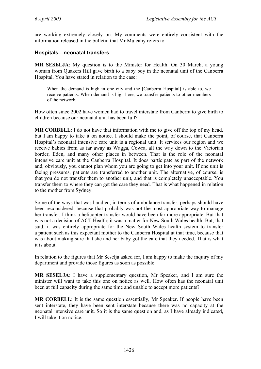are working extremely closely on. My comments were entirely consistent with the information released in the bulletin that Mr Mulcahy refers to.

### **Hospitals—neonatal transfers**

**MR SESELJA**: My question is to the Minister for Health. On 30 March, a young woman from Quakers Hill gave birth to a baby boy in the neonatal unit of the Canberra Hospital. You have stated in relation to the case:

When the demand is high in one city and the [Canberra Hospital] is able to, we receive patients. When demand is high here, we transfer patients to other members of the network.

How often since 2002 have women had to travel interstate from Canberra to give birth to children because our neonatal unit has been full?

**MR CORBELL**: I do not have that information with me to give off the top of my head, but I am happy to take it on notice. I should make the point, of course, that Canberra Hospital's neonatal intensive care unit is a regional unit. It services our region and we receive babies from as far away as Wagga, Cowra, all the way down to the Victorian border, Eden, and many other places in between. That is the role of the neonatal intensive care unit at the Canberra Hospital. It does participate as part of the network and, obviously, you cannot plan whom you are going to get into your unit. If one unit is facing pressures, patients are transferred to another unit. The alternative, of course, is that you do not transfer them to another unit, and that is completely unacceptable. You transfer them to where they can get the care they need. That is what happened in relation to the mother from Sydney.

Some of the ways that was handled, in terms of ambulance transfer, perhaps should have been reconsidered, because that probably was not the most appropriate way to manage her transfer. I think a helicopter transfer would have been far more appropriate. But that was not a decision of ACT Health; it was a matter for New South Wales health. But, that said, it was entirely appropriate for the New South Wales health system to transfer a patient such as this expectant mother to the Canberra Hospital at that time, because that was about making sure that she and her baby got the care that they needed. That is what it is about.

In relation to the figures that Mr Seselja asked for, I am happy to make the inquiry of my department and provide those figures as soon as possible.

**MR SESELJA**: I have a supplementary question, Mr Speaker, and I am sure the minister will want to take this one on notice as well. How often has the neonatal unit been at full capacity during the same time and unable to accept more patients?

**MR CORBELL**: It is the same question essentially, Mr Speaker. If people have been sent interstate, they have been sent interstate because there was no capacity at the neonatal intensive care unit. So it is the same question and, as I have already indicated, I will take it on notice.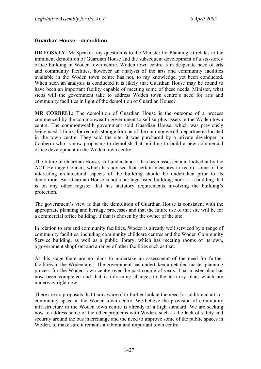## **Guardian House—demolition**

**DR FOSKEY**: Mr Speaker, my question is to the Minister for Planning. It relates to the imminent demolition of Guardian House and the subsequent development of a six-storey office building in Woden town centre. Woden town centre is in desperate need of arts and community facilities, however an analysis of the arts and community facilities available in the Woden town centre has not, to my knowledge, yet been conducted. When such an analysis is conducted it is likely that Guardian House may be found to have been an important facility capable of meeting some of these needs. Minister, what steps will the government take to address Woden town centre's need for arts and community facilities in light of the demolition of Guardian House?

**MR CORBELL**: The demolition of Guardian House is the outcome of a process commenced by the commonwealth government to sell surplus assets in the Woden town centre. The commonwealth government sold Guardian House, which was previously being used, I think, for records storage for one of the commonwealth departments located in the town centre. They sold the site; it was purchased by a private developer in Canberra who is now proposing to demolish that building to build a new commercial office development in the Woden town centre.

The future of Guardian House, as I understand it, has been assessed and looked at by the ACT Heritage Council, which has advised that certain measures to record some of the interesting architectural aspects of the building should be undertaken prior to its demolition. But Guardian House is not a heritage-listed building; nor is it a building that is on any other register that has statutory requirements involving the building's protection.

The government's view is that the demolition of Guardian House is consistent with the appropriate planning and heritage processes and that the future use of that site will be for a commercial office building, if that is chosen by the owner of the site.

In relation to arts and community facilities, Woden is already well serviced by a range of community facilities, including community childcare centres and the Woden Community Service building, as well as a public library, which has meeting rooms of its own, a government shopfront and a range of other facilities such as that.

At this stage there are no plans to undertake an assessment of the need for further facilities in the Woden area. The government has undertaken a detailed master planning process for the Woden town centre over the past couple of years. That master plan has now been completed and that is informing changes to the territory plan, which are underway right now.

There are no proposals that I am aware of to further look at the need for additional arts or community space in the Woden town centre. We believe the provision of community infrastructure in the Woden town centre is already of a high standard. We are seeking now to address some of the other problems with Woden, such as the lack of safety and security around the bus interchange and the need to improve some of the public spaces in Woden, to make sure it remains a vibrant and important town centre.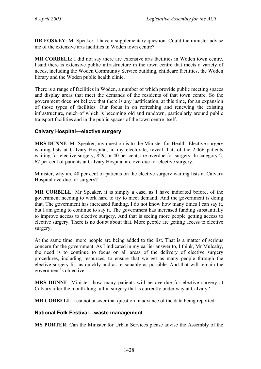**DR FOSKEY**: Mr Speaker, I have a supplementary question. Could the minister advise me of the extensive arts facilities in Woden town centre?

**MR CORBELL**: I did not say there are extensive arts facilities in Woden town centre, I said there is extensive public infrastructure in the town centre that meets a variety of needs, including the Woden Community Service building, childcare facilities, the Woden library and the Woden public health clinic.

There is a range of facilities in Woden, a number of which provide public meeting spaces and display areas that meet the demands of the residents of that town centre. So the government does not believe that there is any justification, at this time, for an expansion of those types of facilities. Our focus in on refreshing and renewing the existing infrastructure, much of which is becoming old and rundown, particularly around public transport facilities and in the public spaces of the town centre itself.

## **Calvary Hospital—elective surgery**

**MRS DUNNE**: Mr Speaker, my question is to the Minister for Health. Elective surgery waiting lists at Calvary Hospital, in my electorate, reveal that, of the 2,066 patients waiting for elective surgery, 829, or 40 per cent, are overdue for surgery. In category 2, 67 per cent of patients at Calvary Hospital are overdue for elective surgery.

Minister, why are 40 per cent of patients on the elective surgery waiting lists at Calvary Hospital overdue for surgery?

**MR CORBELL**: Mr Speaker, it is simply a case, as I have indicated before, of the government needing to work hard to try to meet demand. And the government is doing that. The government has increased funding. I do not know how many times I can say it, but I am going to continue to say it. The government has increased funding substantially to improve access to elective surgery. And that is seeing more people getting access to elective surgery. There is no doubt about that. More people are getting access to elective surgery.

At the same time, more people are being added to the list. That is a matter of serious concern for the government. As I indicated in my earlier answer to, I think, Mr Mulcahy, the need is to continue to focus on all areas of the delivery of elective surgery procedures, including resources, to ensure that we get as many people through the elective surgery list as quickly and as reasonably as possible. And that will remain the government's objective.

**MRS DUNNE**: Minister, how many patients will be overdue for elective surgery at Calvary after the month-long lull in surgery that is currently under way at Calvary?

**MR CORBELL**: I cannot answer that question in advance of the data being reported.

#### **National Folk Festival—waste management**

**MS PORTER**: Can the Minister for Urban Services please advise the Assembly of the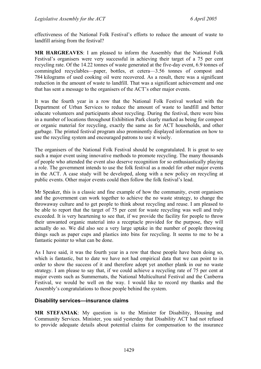effectiveness of the National Folk Festival's efforts to reduce the amount of waste to landfill arising from the festival?

**MR HARGREAVES**: I am pleased to inform the Assembly that the National Folk Festival's organisers were very successful in achieving their target of a 75 per cent recycling rate. Of the 14.22 tonnes of waste generated at the five-day event, 6.9 tonnes of commingled recyclables—paper, bottles, et cetera—3.56 tonnes of compost and 784 kilograms of used cooking oil were recovered. As a result, there was a significant reduction in the amount of waste to landfill. That was a significant achievement and one that has sent a message to the organisers of the ACT's other major events.

It was the fourth year in a row that the National Folk Festival worked with the Department of Urban Services to reduce the amount of waste to landfill and better educate volunteers and participants about recycling. During the festival, there were bins in a number of locations throughout Exhibition Park clearly marked as being for compost or organic material for recycling, exactly the same as for ACT households, and other garbage. The printed festival program also prominently displayed information on how to use the recycling system and encouraged patrons to use it wisely.

The organisers of the National Folk Festival should be congratulated. It is great to see such a major event using innovative methods to promote recycling. The many thousands of people who attended the event also deserve recognition for so enthusiastically playing a role. The government intends to use the folk festival as a model for other major events in the ACT. A case study will be developed, along with a new policy on recycling at public events. Other major events could then follow the folk festival's lead.

Mr Speaker, this is a classic and fine example of how the community, event organisers and the government can work together to achieve the no waste strategy, to change the throwaway culture and to get people to think about recycling and reuse. I am pleased to be able to report that the target of 75 per cent for waste recycling was well and truly exceeded. It is very heartening to see that, if we provide the facility for people to throw their unwanted organic material into a receptacle provided for the purpose, they will actually do so. We did also see a very large uptake in the number of people throwing things such as paper cups and plastics into bins for recycling. It seems to me to be a fantastic pointer to what can be done.

As I have said, it was the fourth year in a row that these people have been doing so, which is fantastic, but to date we have not had empirical data that we can point to in order to show the success of it and therefore adopt yet another plank in our no waste strategy. I am please to say that, if we could achieve a recycling rate of 75 per cent at major events such as Summernats, the National Multicultural Festival and the Canberra Festival, we would be well on the way. I would like to record my thanks and the Assembly's congratulations to those people behind the system.

## **Disability services—insurance claims**

**MR STEFANIAK**: My question is to the Minister for Disability, Housing and Community Services. Minister, you said yesterday that Disability ACT had not refused to provide adequate details about potential claims for compensation to the insurance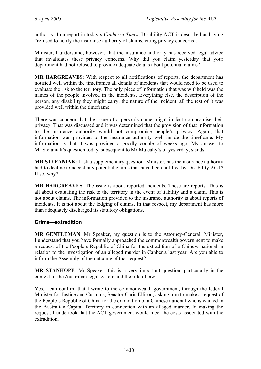authority. In a report in today's *Canberra Times*, Disability ACT is described as having "refused to notify the insurance authority of claims, citing privacy concerns".

Minister, I understand, however, that the insurance authority has received legal advice that invalidates these privacy concerns. Why did you claim yesterday that your department had not refused to provide adequate details about potential claims?

**MR HARGREAVES**: With respect to all notifications of reports, the department has notified well within the timeframes all details of incidents that would need to be used to evaluate the risk to the territory. The only piece of information that was withheld was the names of the people involved in the incidents. Everything else, the description of the person, any disability they might carry, the nature of the incident, all the rest of it was provided well within the timeframe.

There was concern that the issue of a person's name might in fact compromise their privacy. That was discussed and it was determined that the provision of that information to the insurance authority would not compromise people's privacy. Again, that information was provided to the insurance authority well inside the timeframe. My information is that it was provided a goodly couple of weeks ago. My answer to Mr Stefaniak's question today, subsequent to Mr Mulcahy's of yesterday, stands.

**MR STEFANIAK**: I ask a supplementary question. Minister, has the insurance authority had to decline to accept any potential claims that have been notified by Disability ACT? If so, why?

**MR HARGREAVES**: The issue is about reported incidents. These are reports. This is all about evaluating the risk to the territory in the event of liability and a claim. This is not about claims. The information provided to the insurance authority is about reports of incidents. It is not about the lodging of claims. In that respect, my department has more than adequately discharged its statutory obligations.

#### **Crime—extradition**

**MR GENTLEMAN**: Mr Speaker, my question is to the Attorney-General. Minister, I understand that you have formally approached the commonwealth government to make a request of the People's Republic of China for the extradition of a Chinese national in relation to the investigation of an alleged murder in Canberra last year. Are you able to inform the Assembly of the outcome of that request?

**MR STANHOPE**: Mr Speaker, this is a very important question, particularly in the context of the Australian legal system and the rule of law.

Yes, I can confirm that I wrote to the commonwealth government, through the federal Minister for Justice and Customs, Senator Chris Ellison, asking him to make a request of the People's Republic of China for the extradition of a Chinese national who is wanted in the Australian Capital Territory in connection with an alleged murder. In making the request, I undertook that the ACT government would meet the costs associated with the extradition.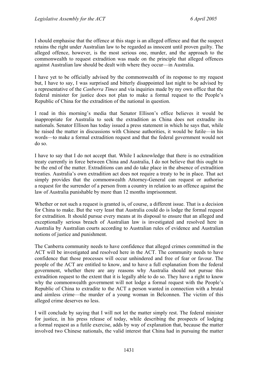I should emphasise that the offence at this stage is an alleged offence and that the suspect retains the right under Australian law to be regarded as innocent until proven guilty. The alleged offence, however, is the most serious one, murder, and the approach to the commonwealth to request extradition was made on the principle that alleged offences against Australian law should be dealt with where they occur—in Australia.

I have yet to be officially advised by the commonwealth of its response to my request but, I have to say, I was surprised and bitterly disappointed last night to be advised by a representative of the *Canberra Times* and via inquiries made by my own office that the federal minister for justice does not plan to make a formal request to the People's Republic of China for the extradition of the national in question.

I read in this morning's media that Senator Ellison's office believes it would be inappropriate for Australia to seek the extradition as China does not extradite its nationals. Senator Ellison has today issued a press statement in which he says that, while he raised the matter in discussions with Chinese authorities, it would be futile—in his words—to make a formal extradition request and that the federal government would not do so.

I have to say that I do not accept that. While I acknowledge that there is no extradition treaty currently in force between China and Australia, I do not believe that this ought to be the end of the matter. Extraditions can and do take place in the absence of extradition treaties. Australia's own extradition act does not require a treaty to be in place. That act simply provides that the commonwealth Attorney-General can request or authorise a request for the surrender of a person from a country in relation to an offence against the law of Australia punishable by more than 12 months imprisonment.

Whether or not such a request is granted is, of course, a different issue. That is a decision for China to make. But the very least that Australia could do is lodge the formal request for extradition. It should pursue every means at its disposal to ensure that an alleged and exceptionally serious breach of Australian law is investigated and resolved here in Australia by Australian courts according to Australian rules of evidence and Australian notions of justice and punishment.

The Canberra community needs to have confidence that alleged crimes committed in the ACT will be investigated and resolved here in the ACT. The community needs to have confidence that those processes will occur unhindered and free of fear or favour. The people of the ACT are entitled to know, and to have a full explanation from the federal government, whether there are any reasons why Australia should not pursue this extradition request to the extent that it is legally able to do so. They have a right to know why the commonwealth government will not lodge a formal request with the People's Republic of China to extradite to the ACT a person wanted in connection with a brutal and aimless crime—the murder of a young woman in Belconnen. The victim of this alleged crime deserves no less.

I will conclude by saying that I will not let the matter simply rest. The federal minister for justice, in his press release of today, while describing the prospects of lodging a formal request as a futile exercise, adds by way of explanation that, because the matter involved two Chinese nationals, the valid interest that China had in pursuing the matter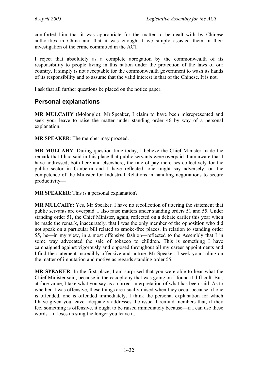comforted him that it was appropriate for the matter to be dealt with by Chinese authorities in China and that it was enough if we simply assisted them in their investigation of the crime committed in the ACT.

I reject that absolutely as a complete abrogation by the commonwealth of its responsibility to people living in this nation under the protection of the laws of our country. It simply is not acceptable for the commonwealth government to wash its hands of its responsibility and to assume that the valid interest is that of the Chinese. It is not.

I ask that all further questions be placed on the notice paper.

# **Personal explanations**

**MR MULCAHY** (Molonglo): Mr Speaker, I claim to have been misrepresented and seek your leave to raise the matter under standing order 46 by way of a personal explanation.

**MR SPEAKER**: The member may proceed.

**MR MULCAHY**: During question time today, I believe the Chief Minister made the remark that I had said in this place that public servants were overpaid. I am aware that I have addressed, both here and elsewhere, the rate of pay increases collectively for the public sector in Canberra and I have reflected, one might say adversely, on the competence of the Minister for Industrial Relations in handling negotiations to secure productivity—

**MR SPEAKER**: This is a personal explanation?

**MR MULCAHY**: Yes, Mr Speaker. I have no recollection of uttering the statement that public servants are overpaid. I also raise matters under standing orders 51 and 55. Under standing order 51, the Chief Minister, again, reflected on a debate earlier this year when he made the remark, inaccurately, that I was the only member of the opposition who did not speak on a particular bill related to smoke-free places. In relation to standing order 55, he—in my view, in a most offensive fashion—reflected to the Assembly that I in some way advocated the sale of tobacco to children. This is something I have campaigned against vigorously and opposed throughout all my career appointments and I find the statement incredibly offensive and untrue. Mr Speaker, I seek your ruling on the matter of imputation and motive as regards standing order 55.

**MR SPEAKER**: In the first place, I am surprised that you were able to hear what the Chief Minister said, because in the cacophony that was going on I found it difficult. But, at face value, I take what you say as a correct interpretation of what has been said. As to whether it was offensive, these things are usually raised when they occur because, if one is offended, one is offended immediately. I think the personal explanation for which I have given you leave adequately addresses the issue. I remind members that, if they feel something is offensive, it ought to be raised immediately because—if I can use these words—it loses its sting the longer you leave it.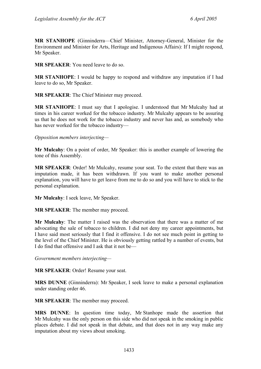**MR STANHOPE** (Ginninderra—Chief Minister, Attorney-General, Minister for the Environment and Minister for Arts, Heritage and Indigenous Affairs): If I might respond, Mr Speaker.

**MR SPEAKER**: You need leave to do so.

**MR STANHOPE**: I would be happy to respond and withdraw any imputation if I had leave to do so, Mr Speaker.

**MR SPEAKER**: The Chief Minister may proceed.

**MR STANHOPE**: I must say that I apologise. I understood that Mr Mulcahy had at times in his career worked for the tobacco industry. Mr Mulcahy appears to be assuring us that he does not work for the tobacco industry and never has and, as somebody who has never worked for the tobacco industry—

## *Opposition members interjecting—*

**Mr Mulcahy**: On a point of order, Mr Speaker: this is another example of lowering the tone of this Assembly.

**MR SPEAKER**: Order! Mr Mulcahy, resume your seat. To the extent that there was an imputation made, it has been withdrawn. If you want to make another personal explanation, you will have to get leave from me to do so and you will have to stick to the personal explanation.

**Mr Mulcahy**: I seek leave, Mr Speaker.

**MR SPEAKER**: The member may proceed.

**Mr Mulcahy**: The matter I raised was the observation that there was a matter of me advocating the sale of tobacco to children. I did not deny my career appointments, but I have said most seriously that I find it offensive. I do not see much point in getting to the level of the Chief Minister. He is obviously getting rattled by a number of events, but I do find that offensive and I ask that it not be—

*Government members interjecting—* 

**MR SPEAKER**: Order! Resume your seat.

**MRS DUNNE** (Ginninderra): Mr Speaker, I seek leave to make a personal explanation under standing order 46.

**MR SPEAKER**: The member may proceed.

**MRS DUNNE**: In question time today, Mr Stanhope made the assertion that Mr Mulcahy was the only person on this side who did not speak in the smoking in public places debate. I did not speak in that debate, and that does not in any way make any imputation about my views about smoking.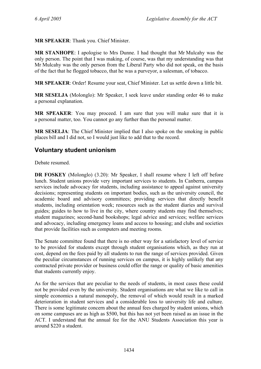**MR SPEAKER**: Thank you. Chief Minister.

**MR STANHOPE**: I apologise to Mrs Dunne. I had thought that Mr Mulcahy was the only person. The point that I was making, of course, was that my understanding was that Mr Mulcahy was the only person from the Liberal Party who did not speak, on the basis of the fact that he flogged tobacco, that he was a purveyor, a salesman, of tobacco.

**MR SPEAKER**: Order! Resume your seat, Chief Minister. Let us settle down a little bit.

**MR SESELJA** (Molonglo): Mr Speaker, I seek leave under standing order 46 to make a personal explanation.

**MR SPEAKER**: You may proceed. I am sure that you will make sure that it is a personal matter, too. You cannot go any further than the personal matter.

**MR SESELJA**: The Chief Minister implied that I also spoke on the smoking in public places bill and I did not, so I would just like to add that to the record.

# **Voluntary student unionism**

Debate resumed.

**DR FOSKEY** (Molonglo) (3.20): Mr Speaker, I shall resume where I left off before lunch. Student unions provide very important services to students. In Canberra, campus services include advocacy for students, including assistance to appeal against university decisions; representing students on important bodies, such as the university council, the academic board and advisory committees; providing services that directly benefit students, including orientation week; resources such as the student diaries and survival guides; guides to how to live in the city, where country students may find themselves; student magazines; second-hand bookshops; legal advice and services; welfare services and advocacy, including emergency loans and access to housing; and clubs and societies that provide facilities such as computers and meeting rooms.

The Senate committee found that there is no other way for a satisfactory level of service to be provided for students except through student organisations which, as they run at cost, depend on the fees paid by all students to run the range of services provided. Given the peculiar circumstances of running services on campus, it is highly unlikely that any contracted private provider or business could offer the range or quality of basic amenities that students currently enjoy.

As for the services that are peculiar to the needs of students, in most cases these could not be provided even by the university. Student organisations are what we like to call in simple economics a natural monopoly, the removal of which would result in a marked deterioration in student services and a considerable loss to university life and culture. There is some legitimate concern about the annual fees charged by student unions, which on some campuses are as high as \$500, but this has not yet been raised as an issue in the ACT. I understand that the annual fee for the ANU Students Association this year is around \$220 a student.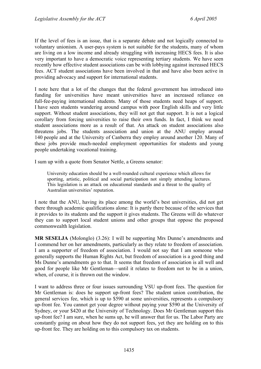If the level of fees is an issue, that is a separate debate and not logically connected to voluntary unionism. A user-pays system is not suitable for the students, many of whom are living on a low income and already struggling with increasing HECS fees. It is also very important to have a democratic voice representing tertiary students. We have seen recently how effective student associations can be with lobbying against increased HECS fees. ACT student associations have been involved in that and have also been active in providing advocacy and support for international students.

I note here that a lot of the changes that the federal government has introduced into funding for universities have meant universities have an increased reliance on full-fee-paying international students. Many of those students need heaps of support. I have seen students wandering around campus with poor English skills and very little support. Without student associations, they will not get that support. It is not a logical corollary from forcing universities to raise their own funds. In fact, I think we need student associations more as a result of that. An attack on student associations also threatens jobs. The students association and union at the ANU employ around 140 people and at the University of Canberra they employ around another 120. Many of these jobs provide much-needed employment opportunities for students and young people undertaking vocational training.

I sum up with a quote from Senator Nettle, a Greens senator:

University education should be a well-rounded cultural experience which allows for sporting, artistic, political and social participation not simply attending lectures. This legislation is an attack on educational standards and a threat to the quality of Australian universities' reputation.

I note that the ANU, having its place among the world's best universities, did not get there through academic qualifications alone: It is partly there because of the services that it provides to its students and the support it gives students. The Greens will do whatever they can to support local student unions and other groups that oppose the proposed commonwealth legislation.

**MR SESELJA** (Molonglo) (3.26): I will be supporting Mrs Dunne's amendments and I commend her on her amendments, particularly as they relate to freedom of association. I am a supporter of freedom of association. I would not say that I am someone who generally supports the Human Rights Act, but freedom of association is a good thing and Ms Dunne's amendments go to that. It seems that freedom of association is all well and good for people like Mr Gentleman—until it relates to freedom not to be in a union, when, of course, it is thrown out the window.

I want to address three or four issues surrounding VSU up-front fees. The question for Mr Gentleman is: does he support up-front fees? The student union contribution, the general services fee, which is up to \$590 at some universities, represents a compulsory up-front fee. You cannot get your degree without paying your \$590 at the University of Sydney, or your \$420 at the University of Technology. Does Mr Gentleman support this up-front fee? I am sure, when he sums up, he will answer that for us. The Labor Party are constantly going on about how they do not support fees, yet they are holding on to this up-front fee. They are holding on to this compulsory tax on students.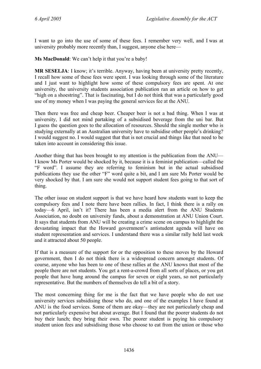I want to go into the use of some of these fees. I remember very well, and I was at university probably more recently than, I suggest, anyone else here—

**Ms MacDonald**: We can't help it that you're a baby!

**MR SESELJA**: I know; it's terrible. Anyway, having been at university pretty recently, I recall how some of these fees were spent. I was looking through some of the literature and I just want to highlight how some of these compulsory fees are spent. At one university, the university students association publication ran an article on how to get "high on a shoestring". That is fascinating, but I do not think that was a particularly good use of my money when I was paying the general services fee at the ANU.

Then there was free and cheap beer. Cheaper beer is not a bad thing. When I was at university, I did not mind partaking of a subsidised beverage from the uni bar. But I guess the question goes to the allocation of resources. Should the single mother who is studying externally at an Australian university have to subsidise other people's drinking? I would suggest no. I would suggest that that is not crucial and things like that need to be taken into account in considering this issue.

Another thing that has been brought to my attention is the publication from the ANU— I know Ms Porter would be shocked by it, because it is a feminist publication—called the "F word". I assume they are referring to feminism but in the actual subsidised publications they use the other "F" word quite a bit, and I am sure Ms Porter would be very shocked by that. I am sure she would not support student fees going to that sort of thing.

The other issue on student support is that we have heard how students want to keep the compulsory fees and I note there have been rallies. In fact, I think there is a rally on today—6 April, isn't it? There has been a media alert from the ANU Students Association, no doubt on university funds, about a demonstration at ANU Union Court. It says that students from ANU will be creating a crime scene on campus to highlight the devastating impact that the Howard government's antistudent agenda will have on student representation and services. I understand there was a similar rally held last week and it attracted about 50 people.

If that is a measure of the support for or the opposition to these moves by the Howard government, then I do not think there is a widespread concern amongst students. Of course, anyone who has been to one of these rallies at the ANU knows that most of the people there are not students. You get a rent-a-crowd from all sorts of places, or you get people that have hung around the campus for seven or eight years, so not particularly representative. But the numbers of themselves do tell a bit of a story.

The most concerning thing for me is the fact that we have people who do not use university services subsidising those who do, and one of the examples I have found at ANU is the food services. Some of them are okay—they are not particularly cheap and not particularly expensive but about average. But I found that the poorer students do not buy their lunch; they bring their own. The poorer student is paying his compulsory student union fees and subsidising those who choose to eat from the union or those who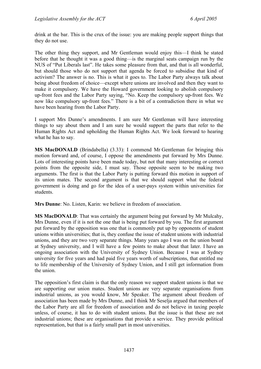drink at the bar. This is the crux of the issue: you are making people support things that they do not use.

The other thing they support, and Mr Gentleman would enjoy this—I think he stated before that he thought it was a good thing—is the marginal seats campaign run by the NUS of "Put Liberals last". He takes some pleasure from that, and that is all wonderful, but should those who do not support that agenda be forced to subsidise that kind of activism? The answer is no. This is what it goes to. The Labor Party always talk about being about freedom of choice—except where unions are involved and then they want to make it compulsory. We have the Howard government looking to abolish compulsory up-front fees and the Labor Party saying, "No. Keep the compulsory up-front fees. We now like compulsory up-front fees." There is a bit of a contradiction there in what we have been hearing from the Labor Party.

I support Mrs Dunne's amendments. I am sure Mr Gentleman will have interesting things to say about them and I am sure he would support the parts that refer to the Human Rights Act and upholding the Human Rights Act. We look forward to hearing what he has to say.

**MS MacDONALD** (Brindabella) (3.33): I commend Mr Gentleman for bringing this motion forward and, of course, I oppose the amendments put forward by Mrs Dunne. Lots of interesting points have been made today, but not that many interesting or correct points from the opposite side, I must say. Those opposite seem to be making two arguments. The first is that the Labor Party is putting forward this motion in support of its union mates. The second argument is that we should support what the federal government is doing and go for the idea of a user-pays system within universities for students.

**Mrs Dunne**: No. Listen, Karin: we believe in freedom of association.

**MS MacDONALD**: That was certainly the argument being put forward by Mr Mulcahy, Mrs Dunne, even if it is not the one that is being put forward by you. The first argument put forward by the opposition was one that is commonly put up by opponents of student unions within universities; that is, they confuse the issue of student unions with industrial unions, and they are two very separate things. Many years ago I was on the union board at Sydney university, and I will have a few points to make about that later. I have an ongoing association with the University of Sydney Union. Because I was at Sydney university for five years and had paid five years worth of subscriptions, that entitled me to life membership of the University of Sydney Union, and I still get information from the union.

The opposition's first claim is that the only reason we support student unions is that we are supporting our union mates. Student unions are very separate organisations from industrial unions, as you would know, Mr Speaker. The argument about freedom of association has been made by Mrs Dunne, and I think Mr Seselja argued that members of the Labor Party are all for freedom of association and do not believe in taxing people unless, of course, it has to do with student unions. But the issue is that these are not industrial unions; these are organisations that provide a service. They provide political representation, but that is a fairly small part in most universities.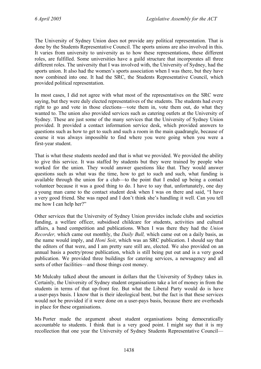The University of Sydney Union does not provide any political representation. That is done by the Students Representative Council. The sports unions are also involved in this. It varies from university to university as to how these representations, these different roles, are fulfilled. Some universities have a guild structure that incorporates all three different roles. The university that I was involved with, the University of Sydney, had the sports union. It also had the women's sports association when I was there, but they have now combined into one. It had the SRC, the Students Representative Council, which provided political representation.

In most cases, I did not agree with what most of the representatives on the SRC were saying, but they were duly elected representatives of the students. The students had every right to go and vote in those elections—vote them in, vote them out, do what they wanted to. The union also provided services such as catering outlets at the University of Sydney. These are just some of the many services that the University of Sydney Union provided. It provided a contact information service desk, which provided answers to questions such as how to get to such and such a room in the main quadrangle, because of course it was always impossible to find where you were going when you were a first-year student.

That is what these students needed and that is what we provided. We provided the ability to give this service. It was staffed by students but they were trained by people who worked for the union. They would answer questions like that. They would answer questions such as what was the time, how to get to such and such, what funding is available through the union for a club—to the point that I ended up being a contact volunteer because it was a good thing to do. I have to say that, unfortunately, one day a young man came to the contact student desk when I was on there and said, "I have a very good friend. She was raped and I don't think she's handling it well. Can you tell me how I can help her?"

Other services that the University of Sydney Union provides include clubs and societies funding, a welfare officer, subsidised childcare for students, activities and cultural affairs, a band competition and publications. When I was there they had the *Union Recorder,* which came out monthly, the *Daily Bull,* which came out on a daily basis, as the name would imply, and *Honi Soit*, which was an SRC publication. I should say that the editors of that were, and I am pretty sure still are, elected. We also provided on an annual basis a poetry/prose publication, which is still being put out and is a very good publication. We provided three buildings for catering services, a newsagency and all sorts of other facilities—and those things cost money.

Mr Mulcahy talked about the amount in dollars that the University of Sydney takes in. Certainly, the University of Sydney student organisations take a lot of money in from the students in terms of that up-front fee. But what the Liberal Party would do is have a user-pays basis. I know that is their ideological bent, but the fact is that these services would not be provided if it were done on a user-pays basis, because there are overheads in place for these organisations.

Ms Porter made the argument about student organisations being democratically accountable to students. I think that is a very good point. I might say that it is my recollection that one year the University of Sydney Students Representative Council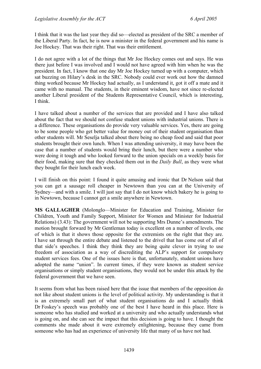I think that it was the last year they did so—elected as president of the SRC a member of the Liberal Party. In fact, he is now a minister in the federal government and his name is Joe Hockey. That was their right. That was their entitlement.

I do not agree with a lot of the things that Mr Joe Hockey comes out and says. He was there just before I was involved and I would not have agreed with him when he was the president. In fact, I know that one day Mr Joe Hockey turned up with a computer, which sat buzzing on Hilary's desk in the SRC. Nobody could ever work out how the damned thing worked because Mr Hockey had actually, as I understand it, got it off a mate and it came with no manual. The students, in their eminent wisdom, have not since re-elected another Liberal president of the Students Representative Council, which is interesting, I think.

I have talked about a number of the services that are provided and I have also talked about the fact that we should not confuse student unions with industrial unions. There is a difference. These organisations do provide very valuable services. Yes, there are going to be some people who get better value for money out of their student organisation than other students will. Mr Seselja talked about there being no cheap food and said that poor students brought their own lunch. When I was attending university, it may have been the case that a number of students would bring their lunch, but there were a number who were doing it tough and who looked forward to the union specials on a weekly basis for their food, making sure that they checked them out in the *Daily Bull*, as they were what they bought for their lunch each week.

I will finish on this point: I found it quite amusing and ironic that Dr Nelson said that you can get a sausage roll cheaper in Newtown than you can at the University of Sydney—and with a smile. I will just say that I do not know which bakery he is going to in Newtown, because I cannot get a smile anywhere in Newtown.

**MS GALLAGHER** (Molonglo—Minister for Education and Training, Minister for Children, Youth and Family Support, Minister for Women and Minister for Industrial Relations) (3.43): The government will not be supporting Mrs Dunne's amendments. The motion brought forward by Mr Gentleman today is excellent on a number of levels, one of which is that it shows those opposite for the extremists on the right that they are. I have sat through the entire debate and listened to the drivel that has come out of all of that side's speeches. I think they think they are being quite clever in trying to use freedom of association as a way of discrediting the ALP's support for compulsory student services fees. One of the issues here is that, unfortunately, student unions have adopted the name "union". In current times, if they were known as student service organisations or simply student organisations, they would not be under this attack by the federal government that we have seen.

It seems from what has been raised here that the issue that members of the opposition do not like about student unions is the level of political activity. My understanding is that it is an extremely small part of what student organisations do and I actually think Dr Foskey's speech was probably one of the best I have heard in this place. Here is someone who has studied and worked at a university and who actually understands what is going on, and she can see the impact that this decision is going to have. I thought the comments she made about it were extremely enlightening, because they came from someone who has had an experience of university life that many of us have not had.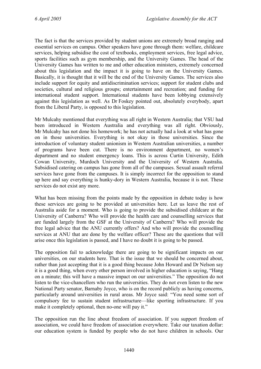The fact is that the services provided by student unions are extremely broad ranging and essential services on campus. Other speakers have gone through them: welfare, childcare services, helping subsidise the cost of textbooks, employment services, free legal advice, sports facilities such as gym membership, and the University Games. The head of the University Games has written to me and other education ministers, extremely concerned about this legislation and the impact it is going to have on the University Games. Basically, it is thought that it will be the end of the University Games. The services also include support for equity and antidiscrimination services; support for student clubs and societies, cultural and religious groups; entertainment and recreation; and funding for international student support. International students have been lobbying extensively against this legislation as well. As Dr Foskey pointed out, absolutely everybody, apart from the Liberal Party, is opposed to this legislation.

Mr Mulcahy mentioned that everything was all right in Western Australia; that VSU had been introduced in Western Australia and everything was all right. Obviously, Mr Mulcahy has not done his homework; he has not actually had a look at what has gone on in those universities. Everything is not okay in those universities. Since the introduction of voluntary student unionism in Western Australian universities, a number of programs have been cut. There is no environment department, no women's department and no student emergency loans. This is across Curtin University, Edith Cowan University, Murdoch University and the University of Western Australia. Subsidised catering on campus has gone from all of the campuses. Sexual assault referral services have gone from the campuses. It is simply incorrect for the opposition to stand up here and say everything is hunky-dory in Western Australia, because it is not. These services do not exist any more.

What has been missing from the points made by the opposition in debate today is how these services are going to be provided at universities here. Let us leave the rest of Australia aside for a moment. Who is going to provide the subsidised childcare at the University of Canberra? Who will provide the health care and counselling services that are funded largely from the GSF at the University of Canberra? Who will provide the free legal advice that the ANU currently offers? And who will provide the counselling services at ANU that are done by the welfare officer? These are the questions that will arise once this legislation is passed, and I have no doubt it is going to be passed.

The opposition fail to acknowledge there are going to be significant impacts on our universities, on our students here. That is the issue that we should be concerned about, rather than just accepting that it is a good thing because John Howard and Dr Nelson say it is a good thing, when every other person involved in higher education is saying, "Hang on a minute; this will have a massive impact on our universities." The opposition do not listen to the vice-chancellors who run the universities. They do not even listen to the new National Party senator, Barnaby Joyce, who is on the record publicly as having concerns, particularly around universities in rural areas. Mr Joyce said: "You need some sort of compulsory fee to sustain student infrastructure—like sporting infrastructure. If you make it completely optional, then no-one will pay it."

The opposition run the line about freedom of association. If you support freedom of association, we could have freedom of association everywhere. Take our taxation dollar: our education system is funded by people who do not have children in schools. Our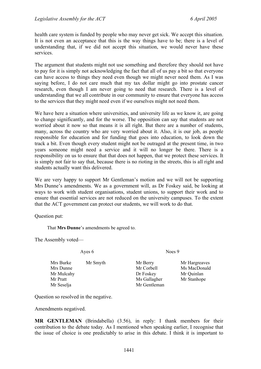health care system is funded by people who may never get sick. We accept this situation. It is not even an acceptance that this is the way things have to be; there is a level of understanding that, if we did not accept this situation, we would never have these services.

The argument that students might not use something and therefore they should not have to pay for it is simply not acknowledging the fact that all of us pay a bit so that everyone can have access to things they need even though we might never need them. As I was saying before, I do not care much that my tax dollar might go into prostate cancer research, even though I am never going to need that research. There is a level of understanding that we all contribute in our community to ensure that everyone has access to the services that they might need even if we ourselves might not need them.

We have here a situation where universities, and university life as we know it, are going to change significantly, and for the worse. The opposition can say that students are not worried about it now so that means it is all right. But there are a number of students, many, across the country who are very worried about it. Also, it is our job, as people responsible for education and for funding that goes into education, to look down the track a bit. Even though every student might not be outraged at the present time, in two years someone might need a service and it will no longer be there. There is a responsibility on us to ensure that that does not happen, that we protect these services. It is simply not fair to say that, because there is no rioting in the streets, this is all right and students actually want this delivered.

We are very happy to support Mr Gentleman's motion and we will not be supporting Mrs Dunne's amendments. We as a government will, as Dr Foskey said, be looking at ways to work with student organisations, student unions, to support their work and to ensure that essential services are not reduced on the university campuses. To the extent that the ACT government can protect our students, we will work to do that.

Question put:

That **Mrs Dunne**'s amendments be agreed to.

The Assembly voted—

Ayes 6 Noes 9

Mrs Burke Mr Smyth Mr Berry Mr Hargreaves Mrs Dunne Mr Corbell Ms MacDonald Mr Mulcahy **Dr Foskey** Mr Quinlan Mr Pratt Mr Stanhope Ms Gallagher Mr Stanhope Mr Seselja Mr Gentleman

Question so resolved in the negative.

Amendments negatived.

**MR GENTLEMAN** (Brindabella) (3.56), in reply: I thank members for their contribution to the debate today. As I mentioned when speaking earlier, I recognise that the issue of choice is one predictably to arise in this debate. I think it is important to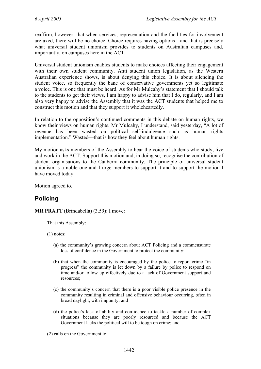reaffirm, however, that when services, representation and the facilities for involvement are axed, there will be no choice. Choice requires having options—and that is precisely what universal student unionism provides to students on Australian campuses and, importantly, on campuses here in the ACT.

Universal student unionism enables students to make choices affecting their engagement with their own student community. Anti student union legislation, as the Western Australian experience shows, is about denying this choice. It is about silencing the student voice, so frequently the bane of conservative governments yet so legitimate a voice. This is one that must be heard. As for Mr Mulcahy's statement that I should talk to the students to get their views, I am happy to advise him that I do, regularly, and I am also very happy to advise the Assembly that it was the ACT students that helped me to construct this motion and that they support it wholeheartedly.

In relation to the opposition's continued comments in this debate on human rights, we know their views on human rights. Mr Mulcahy, I understand, said yesterday, "A lot of revenue has been wasted on political self-indulgence such as human rights implementation." Wasted—that is how they feel about human rights.

My motion asks members of the Assembly to hear the voice of students who study, live and work in the ACT. Support this motion and, in doing so, recognise the contribution of student organisations to the Canberra community. The principle of universal student unionism is a noble one and I urge members to support it and to support the motion I have moved today.

Motion agreed to.

# **Policing**

**MR PRATT** (Brindabella) (3.59): I move:

That this Assembly:

(1) notes:

- (a) the community's growing concern about ACT Policing and a commensurate loss of confidence in the Government to protect the community;
- (b) that when the community is encouraged by the police to report crime "in progress" the community is let down by a failure by police to respond on time and/or follow up effectively due to a lack of Government support and resources;
- (c) the community's concern that there is a poor visible police presence in the community resulting in criminal and offensive behaviour occurring, often in broad daylight, with impunity; and
- (d) the police's lack of ability and confidence to tackle a number of complex situations because they are poorly resourced and because the ACT Government lacks the political will to be tough on crime; and

(2) calls on the Government to: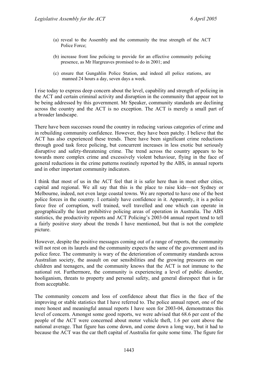- (a) reveal to the Assembly and the community the true strength of the ACT Police Force;
- (b) increase front line policing to provide for an effective community policing presence, as Mr Hargreaves promised to do in 2001; and
- (c) ensure that Gungahlin Police Station, and indeed all police stations, are manned 24 hours a day, seven days a week.

I rise today to express deep concern about the level, capability and strength of policing in the ACT and certain criminal activity and disruption in the community that appear not to be being addressed by this government. Mr Speaker, community standards are declining across the country and the ACT is no exception. The ACT is merely a small part of a broader landscape.

There have been successes round the country in reducing various categories of crime and in rebuilding community confidence. However, they have been patchy. I believe that the ACT has also experienced these trends. There have been significant crime reductions through good task force policing, but concurrent increases in less exotic but seriously disruptive and safety-threatening crime. The trend across the country appears to be towards more complex crime and excessively violent behaviour, flying in the face of general reductions in the crime patterns routinely reported by the ABS, in annual reports and in other important community indicators.

I think that most of us in the ACT feel that it is safer here than in most other cities, capital and regional. We all say that this is the place to raise kids—not Sydney or Melbourne, indeed, not even large coastal towns. We are reported to have one of the best police forces in the country. I certainly have confidence in it. Apparently, it is a police force free of corruption, well trained, well travelled and one which can operate in geographically the least prohibitive policing areas of operation in Australia. The ABS statistics, the productivity reports and ACT Policing's 2003-04 annual report tend to tell a fairly positive story about the trends I have mentioned, but that is not the complete picture.

However, despite the positive messages coming out of a range of reports, the community will not rest on its laurels and the community expects the same of the government and its police force. The community is wary of the deterioration of community standards across Australian society, the assault on our sensibilities and the growing pressures on our children and teenagers, and the community knows that the ACT is not immune to the national rot. Furthermore, the community is experiencing a level of public disorder, hooliganism, threats to property and personal safety, and general disrespect that is far from acceptable.

The community concern and loss of confidence about that flies in the face of the improving or stable statistics that I have referred to. The police annual report, one of the more honest and meaningful annual reports I have seen for 2003-04, demonstrates this level of concern. Amongst some good reports, we were advised that 68.6 per cent of the people of the ACT were concerned about motor vehicle theft, 1.6 per cent above the national average. That figure has come down, and come down a long way, but it had to because the ACT was the car theft capital of Australia for quite some time. The figure for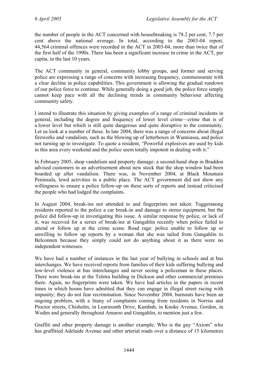the number of people in the ACT concerned with housebreaking is 78.2 per cent, 7.7 per cent above the national average. In total, according to the 2003-04 report, 44,564 criminal offences were recorded in the ACT in 2003-04, more than twice that of the first half of the 1990s. There has been a significant increase in crime in the ACT, per capita, in the last 10 years.

The ACT community in general, community lobby groups, and former and serving police are expressing a range of concerns with increasing frequency, commensurate with a clear decline in police capabilities. This government is allowing the gradual rundown of our police force to continue. While generally doing a good job, the police force simply cannot keep pace with all the declining trends in community behaviour affecting community safety.

I intend to illustrate this situation by giving examples of a range of criminal incidents in general, including the degree and frequency of lower level crime—crime that is of a lower level but which is still quite dangerous and quite disruptive to the community. Let us look at a number of those. In late 2004, there was a range of concerns about illegal fireworks and vandalism, such as the blowing up of letterboxes in Wanniassa, and police not turning up to investigate. To quote a resident, "Powerful explosives are used by kids in this area every weekend and the police seem totally impotent in dealing with it."

In February 2005, shop vandalism and property damage: a second-hand shop in Braddon advised customers in an advertisement about new stock that the shop window had been boarded up after vandalism. There was, in November 2004, at Black Mountain Peninsula, lewd activities in a public place. The ACT government did not show any willingness to ensure a police follow-up on these sorts of reports and instead criticised the people who had lodged the complaints.

In August 2004, break-ins not attended to and fingerprints not taken: Tuggeranong residents reported to the police a car break-in and damage to stereo equipment, but the police did follow-up in investigating this issue. A similar response by police, or lack of it, was received for a series of break-ins at Gungahlin recently when police failed to attend or follow up at the crime scene. Road rage: police unable to follow up or unwilling to follow up reports by a woman that she was tailed from Gungahlin to Belconnen because they simply could not do anything about it as there were no independent witnesses.

We have had a number of instances in the last year of bullying in schools and at bus interchanges. We have received reports from families of their kids suffering bullying and low-level violence at bus interchanges and never seeing a policeman in these places. There were break-ins at the Telstra building in Dickson and other commercial premises there. Again, no fingerprints were taken. We have had articles in the papers in recent times in which hoons have admitted that they can engage in illegal street racing with impunity; they do not fear recrimination. Since November 2004, burnouts have been an ongoing problem, with a litany of complaints coming from residents in Norriss and Proctor streets, Chisholm, in Learmonth Drive, Kambah, in Knoke Avenue, Gordon, in Woden and generally throughout Amaroo and Gungahlin, to mention just a few.

Graffiti and other property damage is another example. Who is the guy "Axiom" who has graffitied Adelaide Avenue and other arterial roads over a distance of 15 kilometres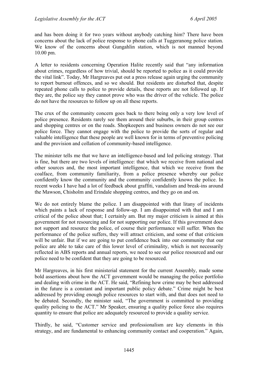and has been doing it for two years without anybody catching him? There have been concerns about the lack of police response to phone calls at Tuggeranong police station. We know of the concerns about Gungahlin station, which is not manned beyond 10.00 pm.

A letter to residents concerning Operation Halite recently said that "any information about crimes, regardless of how trivial, should be reported to police as it could provide the vital link". Today, Mr Hargreaves put out a press release again urging the community to report burnout offences, and so we should. But residents are disturbed that, despite repeated phone calls to police to provide details, these reports are not followed up. If they are, the police say they cannot prove who was the driver of the vehicle. The police do not have the resources to follow up on all these reports.

The crux of the community concern goes back to there being only a very low level of police presence. Residents rarely see them around their suburbs, in their group centres and shopping centres or on the roads. Shopkeepers and business owners do not see our police force. They cannot engage with the police to provide the sorts of regular and valuable intelligence that these people are well known for in terms of preventive policing and the provision and collation of community-based intelligence.

The minister tells me that we have an intelligence-based and led policing strategy. That is fine, but there are two levels of intelligence: that which we receive from national and other sources and, the most important intelligence, that which we receive from the coalface, from community familiarity, from a police presence whereby our police confidently know the community and the community confidently knows the police. In recent weeks I have had a lot of feedback about graffiti, vandalism and break-ins around the Mawson, Chisholm and Erindale shopping centres, and they go on and on.

We do not entirely blame the police. I am disappointed with that litany of incidents which paints a lack of response and follow-up. I am disappointed with that and I am critical of the police about that; I certainly am. But my major criticism is aimed at this government for not resourcing and for not supporting our police. If this government does not support and resource the police, of course their performance will suffer. When the performance of the police suffers, they will attract criticism, and some of that criticism will be unfair. But if we are going to put confidence back into our community that our police are able to take care of this lower level of criminality, which is not necessarily reflected in ABS reports and annual reports, we need to see our police resourced and our police need to be confident that they are going to be resourced.

Mr Hargreaves, in his first ministerial statement for the current Assembly, made some bold assertions about how the ACT government would be managing the police portfolio and dealing with crime in the ACT. He said, "Refining how crime may be best addressed in the future is a constant and important public policy debate." Crime might be best addressed by providing enough police resources to start with, and that does not need to be debated. Secondly, the minister said, "The government is committed to providing quality policing to the ACT." Mr Speaker, ensuring a quality police force also requires quantity to ensure that police are adequately resourced to provide a quality service.

Thirdly, he said, "Customer service and professionalism are key elements in this strategy, and are fundamental to enhancing community contact and cooperation." Again,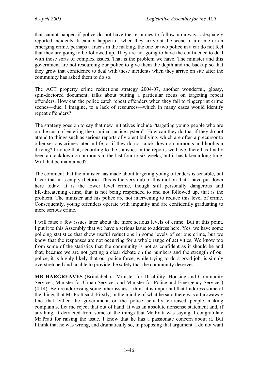that cannot happen if police do not have the resources to follow up always adequately reported incidents. It cannot happen if, when they arrive at the scene of a crime or an emerging crime, perhaps a fracas in the making, the one or two police in a car do not feel that they are going to be followed up. They are not going to have the confidence to deal with those sorts of complex issues. That is the problem we have. The minister and this government are not resourcing our police to give them the depth and the backup so that they grow that confidence to deal with these incidents when they arrive on site after the community has asked them to do so.

The ACT property crime reductions strategy 2004-07, another wonderful, glossy, spin-doctored document, talks about putting a particular focus on targeting repeat offenders. How can the police catch repeat offenders when they fail to fingerprint crime scenes—due, I imagine, to a lack of resources—which in many cases would identify repeat offenders?

The strategy goes on to say that new initiatives include "targeting young people who are on the cusp of entering the criminal justice system". How can they do that if they do not attend to things such as serious reports of violent bullying, which are often a precursor to other serious crimes later in life, or if they do not crack down on burnouts and hooligan driving? I notice that, according to the statistics in the reports we have, there has finally been a crackdown on burnouts in the last four to six weeks, but it has taken a long time. Will that be maintained?

The comment that the minister has made about targeting young offenders is sensible, but I fear that it is empty rhetoric. This is the very nub of this motion that I have put down here today. It is the lower level crime, though still personally dangerous and life-threatening crime, that is not being responded to and not followed up, that is the problem. The minister and his police are not intervening to reduce this level of crime. Consequently, young offenders operate with impunity and are confidently graduating to more serious crime.

I will raise a few issues later about the more serious levels of crime. But at this point, I put it to this Assembly that we have a serious issue to address here. Yes, we have some policing statistics that show useful reductions in some levels of serious crime, but we know that the responses are not occurring for a whole range of activities. We know too from some of the statistics that the community is not as confident as it should be and that, because we are not getting a clear debate on the numbers and the strength of our police, it is highly likely that our police force, while trying to do a good job, is simply overstretched and unable to provide the safety that the community deserves.

**MR HARGREAVES** (Brindabella—Minister for Disability, Housing and Community Services, Minister for Urban Services and Minister for Police and Emergency Services) (4.14): Before addressing some other issues, I think it is important that I address some of the things that Mr Pratt said. Firstly, in the middle of what he said there was a throwaway line that either the government or the police actually criticised people making complaints. Let me reject that out of hand. It was an absolute nonsense statement and, if anything, it detracted from some of the things that Mr Pratt was saying. I congratulate Mr Pratt for raising the issue. I know that he has a passionate concern about it. But I think that he was wrong, and dramatically so, in proposing that argument. I do not want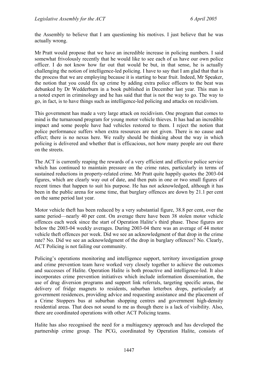the Assembly to believe that I am questioning his motives. I just believe that he was actually wrong.

Mr Pratt would propose that we have an incredible increase in policing numbers. I said somewhat frivolously recently that he would like to see each of us have our own police officer. I do not know how far out that would be but, in that sense, he is actually challenging the notion of intelligence-led policing. I have to say that I am glad that that is the process that we are employing because it is starting to bear fruit. Indeed, Mr Speaker, the notion that you could fix up crime by adding extra police officers to the beat was debunked by Dr Wedderburn in a book published in December last year. This man is a noted expert in criminology and he has said that that is not the way to go. The way to go, in fact, is to have things such as intelligence-led policing and attacks on recidivism.

This government has made a very large attack on recidivism. One program that comes to mind is the turnaround program for young motor vehicle thieves. It has had an incredible impact and some people have had vehicles restored to them. I reject the notion that police performance suffers when extra resources are not given. There is no cause and effect; there is no nexus here. We really should be thinking about the way in which policing is delivered and whether that is efficacious, not how many people are out there on the streets.

The ACT is currently reaping the rewards of a very efficient and effective police service which has continued to maintain pressure on the crime rates, particularly in terms of sustained reductions in property-related crime. Mr Pratt quite happily quotes the 2003-04 figures, which are clearly way out of date, and then puts in one or two small figures of recent times that happen to suit his purpose. He has not acknowledged, although it has been in the public arena for some time, that burglary offences are down by 21.1 per cent on the same period last year.

Motor vehicle theft has been reduced by a very substantial figure, 38.8 per cent, over the same period—nearly 40 per cent. On average there have been 38 stolen motor vehicle offences each week since the start of Operation Halite's third phase. These figures are below the 2003-04 weekly averages. During 2003-04 there was an average of 44 motor vehicle theft offences per week. Did we see an acknowledgment of that drop in the crime rate? No. Did we see an acknowledgment of the drop in burglary offences? No. Clearly, ACT Policing is not failing our community.

Policing's operations monitoring and intelligence support, territory investigation group and crime prevention team have worked very closely together to achieve the outcomes and successes of Halite. Operation Halite is both proactive and intelligence-led. It also incorporates crime prevention initiatives which include information dissemination, the use of drug diversion programs and support link referrals, targeting specific areas, the delivery of fridge magnets to residents, suburban letterbox drops, particularly at government residences, providing advice and requesting assistance and the placement of a Crime Stoppers bus at suburban shopping centres and government high-density residential areas. That does not sound to me as though there is a lack of visibility. Also, there are coordinated operations with other ACT Policing teams.

Halite has also recognised the need for a multiagency approach and has developed the partnership crime group. The PCG, coordinated by Operation Halite, consists of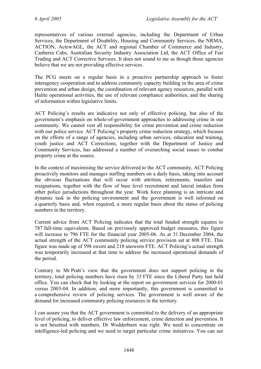representatives of various external agencies, including the Department of Urban Services, the Department of Disability, Housing and Community Services, the NRMA, ACTION, ActewAGL, the ACT and regional Chamber of Commerce and Industry, Canberra Cabs, Australian Security Industry Association Ltd, the ACT Office of Fair Trading and ACT Corrective Services. It does not sound to me as though those agencies believe that we are not providing effective services.

The PCG meets on a regular basis in a proactive partnership approach to foster interagency cooperation and to address community capacity building in the area of crime prevention and urban design, the coordination of relevant agency resources, parallel with Halite operational activities, the use of relevant compliance authorities, and the sharing of information within legislative limits.

ACT Policing's results are indicative not only of effective policing, but also of the government's emphasis on whole-of-government approaches to addressing crime in our community. We cannot vest all responsibility for crime prevention and crime reduction with our police service. ACT Policing's property crime reduction strategy, which focuses on the efforts of a range of agencies, including urban services, education and training, youth justice and ACT Corrections, together with the Department of Justice and Community Services, has addressed a number of overarching social issues to combat property crime at the source.

In the context of maximising the service delivered to the ACT community, ACT Policing proactively monitors and manages staffing numbers on a daily basis, taking into account the obvious fluctuations that will occur with attrition, retirements, transfers and resignations, together with the flow of base level recruitment and lateral intakes from other police jurisdictions throughout the year. Work force planning is an intricate and dynamic task in the policing environment and the government is well informed on a quarterly basis and, when required, a more regular basis about the status of policing numbers in the territory.

Current advice from ACT Policing indicates that the total funded strength equates to 787 full-time equivalents. Based on previously approved budget measures, this figure will increase to 796 FTE for the financial year 2005-06. As at 31 December 2004, the actual strength of the ACT community policing service provision sat at 808 FTE. This figure was made up of 598 sworn and 210 unsworn FTE. ACT Policing's actual strength was temporarily increased at that time to address the increased operational demands of the period.

Contrary to Mr Pratt's view that the government does not support policing in the territory, total policing numbers have risen by 33 FTE since the Liberal Party last held office. You can check that by looking at the report on government services for 2000-01 versus 2003-04. In addition, and more importantly, this government is committed to a comprehensive review of policing services. The government is well aware of the demand for increased community policing resources in the territory.

I can assure you that the ACT government is committed to the delivery of an appropriate level of policing, to deliver effective law enforcement, crime detection and prevention. It is not besotted with numbers. Dr Wedderburn was right. We need to concentrate on intelligence-led policing and we need to target particular crime initiatives. You can see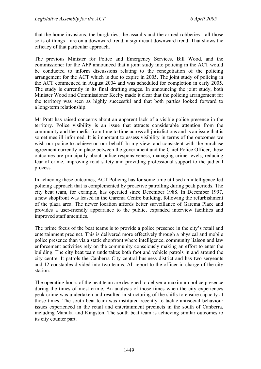that the home invasions, the burglaries, the assaults and the armed robberies—all those sorts of things—are on a downward trend, a significant downward trend. That shows the efficacy of that particular approach.

The previous Minister for Police and Emergency Services, Bill Wood, and the commissioner for the AFP announced that a joint study into policing in the ACT would be conducted to inform discussions relating to the renegotiation of the policing arrangement for the ACT which is due to expire in 2005. The joint study of policing in the ACT commenced in August 2004 and was scheduled for completion in early 2005. The study is currently in its final drafting stages. In announcing the joint study, both Minister Wood and Commissioner Keelty made it clear that the policing arrangement for the territory was seen as highly successful and that both parties looked forward to a long-term relationship.

Mr Pratt has raised concerns about an apparent lack of a visible police presence in the territory. Police visibility is an issue that attracts considerable attention from the community and the media from time to time across all jurisdictions and is an issue that is sometimes ill informed. It is important to assess visibility in terms of the outcomes we wish our police to achieve on our behalf. In my view, and consistent with the purchase agreement currently in place between the government and the Chief Police Officer, these outcomes are principally about police responsiveness, managing crime levels, reducing fear of crime, improving road safety and providing professional support to the judicial process.

In achieving these outcomes, ACT Policing has for some time utilised an intelligence-led policing approach that is complemented by proactive patrolling during peak periods. The city beat team, for example, has operated since December 1988. In December 1997, a new shopfront was leased in the Garema Centre building, following the refurbishment of the plaza area. The newer location affords better surveillance of Garema Place and provides a user-friendly appearance to the public, expanded interview facilities and improved staff amenities.

The prime focus of the beat teams is to provide a police presence in the city's retail and entertainment precinct. This is delivered more effectively through a physical and mobile police presence than via a static shopfront where intelligence, community liaison and law enforcement activities rely on the community consciously making an effort to enter the building. The city beat team undertakes both foot and vehicle patrols in and around the city centre. It patrols the Canberra City central business district and has two sergeants and 12 constables divided into two teams. All report to the officer in charge of the city station.

The operating hours of the beat team are designed to deliver a maximum police presence during the times of most crime. An analysis of those times when the city experiences peak crime was undertaken and resulted in structuring of the shifts to ensure capacity at those times. The south beat team was instituted recently to tackle antisocial behaviour issues experienced in the retail and entertainment precincts in the south of Canberra, including Manuka and Kingston. The south beat team is achieving similar outcomes to its city counter part.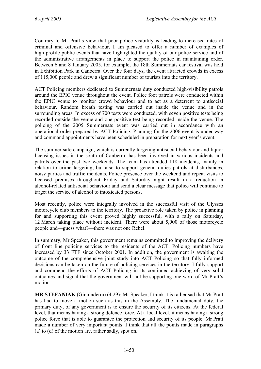Contrary to Mr Pratt's view that poor police visibility is leading to increased rates of criminal and offensive behaviour, I am pleased to offer a number of examples of high-profile public events that have highlighted the quality of our police service and of the administrative arrangements in place to support the police in maintaining order. Between 6 and 8 January 2005, for example, the 18th Summernats car festival was held in Exhibition Park in Canberra. Over the four days, the event attracted crowds in excess of 115,000 people and drew a significant number of tourists into the territory.

ACT Policing members dedicated to Summernats duty conducted high-visibility patrols around the EPIC venue throughout the event. Police foot patrols were conducted within the EPIC venue to monitor crowd behaviour and to act as a deterrent to antisocial behaviour. Random breath testing was carried out inside the venue and in the surrounding areas. In excess of 700 tests were conducted, with seven positive tests being recorded outside the venue and one positive test being recorded inside the venue. The policing of the 2005 Summernats event was carried out in accordance with an operational order prepared by ACT Policing. Planning for the 2006 event is under way and command appointments have been scheduled in preparation for next year's event.

The summer safe campaign, which is currently targeting antisocial behaviour and liquor licensing issues in the south of Canberra, has been involved in various incidents and patrols over the past two weekends. The team has attended 118 incidents, mainly in relation to crime targeting, but also to support general duties patrols at disturbances, noisy parties and traffic incidents. Police presence over the weekend and repeat visits to licensed premises throughout Friday and Saturday night result in a reduction in alcohol-related antisocial behaviour and send a clear message that police will continue to target the service of alcohol to intoxicated persons.

Most recently, police were integrally involved in the successful visit of the Ulysses motorcycle club members to the territory. The proactive role taken by police in planning for and supporting this event proved highly successful, with a rally on Saturday, 12 March taking place without incident. There were about 5,000 of those motorcycle people and—guess what?—there was not one Rebel.

In summary, Mr Speaker, this government remains committed to improving the delivery of front line policing services to the residents of the ACT. Policing numbers have increased by 33 FTE since October 2001. In addition, the government is awaiting the outcome of the comprehensive joint study into ACT Policing so that fully informed decisions can be taken on the future of policing services in the territory. I fully support and commend the efforts of ACT Policing in its continued achieving of very solid outcomes and signal that the government will not be supporting one word of Mr Pratt's motion.

**MR STEFANIAK** (Ginninderra) (4.29): Mr Speaker, I think it is rather sad that Mr Pratt has had to move a motion such as this in the Assembly. The fundamental duty, the primary duty, of any government is to ensure the security of its citizens. At the federal level, that means having a strong defence force. At a local level, it means having a strong police force that is able to guarantee the protection and security of its people. Mr Pratt made a number of very important points. I think that all the points made in paragraphs (a) to (d) of the motion are, rather sadly, spot on.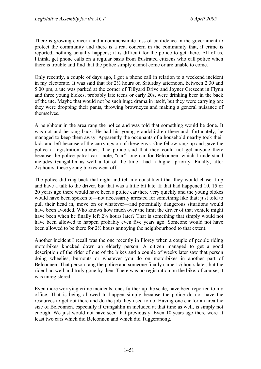There is growing concern and a commensurate loss of confidence in the government to protect the community and there is a real concern in the community that, if crime is reported, nothing actually happens; it is difficult for the police to get there. All of us, I think, get phone calls on a regular basis from frustrated citizens who call police when there is trouble and find that the police simply cannot come or are unable to come.

Only recently, a couple of days ago, I got a phone call in relation to a weekend incident in my electorate. It was said that for 2½ hours on Saturday afternoon, between 2.30 and 5.00 pm, a ute was parked at the corner of Tillyard Drive and Joyner Crescent in Flynn and three young blokes, probably late teens or early 20s, were drinking beer in the back of the ute. Maybe that would not be such huge drama in itself, but they were carrying on: they were dropping their pants, throwing browneyes and making a general nuisance of themselves.

A neighbour in the area rang the police and was told that something would be done. It was not and he rang back. He had his young grandchildren there and, fortunately, he managed to keep them away. Apparently the occupants of a household nearby took their kids and left because of the carryings on of these guys. One fellow rang up and gave the police a registration number. The police said that they could not get anyone there because the police patrol car—note, "car"; one car for Belconnen, which I understand includes Gungahlin as well a lot of the time—had a higher priority. Finally, after 2½ hours, these young blokes went off.

The police did ring back that night and tell my constituent that they would chase it up and have a talk to the driver, but that was a little bit late. If that had happened 10, 15 or 20 years ago there would have been a police car there very quickly and the young blokes would have been spoken to—not necessarily arrested for something like that; just told to pull their head in, move on or whatever—and potentially dangerous situations would have been avoided. Who knows how much over the limit the driver of that vehicle might have been when he finally left 2½ hours later? That is something that simply would not have been allowed to happen probably even five years ago. Someone would not have been allowed to be there for 2½ hours annoying the neighbourhood to that extent.

Another incident I recall was the one recently in Florey when a couple of people riding motorbikes knocked down an elderly person. A citizen managed to get a good description of the rider of one of the bikes and a couple of weeks later saw that person doing wheelies, burnouts or whatever you do on motorbikes in another part of Belconnen. That person rang the police and someone finally came  $1\frac{1}{2}$  hours later, but the rider had well and truly gone by then. There was no registration on the bike, of course; it was unregistered.

Even more worrying crime incidents, ones further up the scale, have been reported to my office. That is being allowed to happen simply because the police do not have the resources to get out there and do the job they used to do. Having one car for an area the size of Belconnen, especially if Gungahlin in included at that time as well, is simply not enough. We just would not have seen that previously. Even 10 years ago there were at least two cars which did Belconnen and which did Tuggeranong.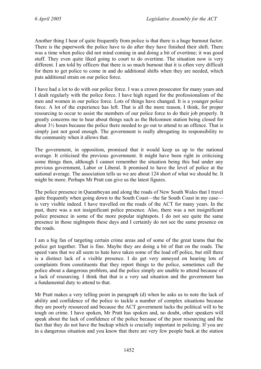Another thing I hear of quite frequently from police is that there is a huge burnout factor. There is the paperwork the police have to do after they have finished their shift. There was a time when police did not mind coming in and doing a bit of overtime; it was good stuff. They even quite liked going to court to do overtime. The situation now is very different. I am told by officers that there is so much burnout that it is often very difficult for them to get police to come in and do additional shifts when they are needed, which puts additional strain on our police force.

I have had a lot to do with our police force. I was a crown prosecutor for many years and I dealt regularly with the police force. I have high regard for the professionalism of the men and women in our police force. Lots of things have changed. It is a younger police force. A lot of the experience has left. That is all the more reason, I think, for proper resourcing to occur to assist the members of our police force to do their job properly. It greatly concerns me to hear about things such as the Belconnen station being closed for about 3½ hours because the police there needed to go out to attend to an offence. That is simply just not good enough. The government is really abrogating its responsibility to the community when it allows that.

The government, in opposition, promised that it would keep us up to the national average. It criticised the previous government. It might have been right in criticising some things then, although I cannot remember the situation being this bad under any previous government, Labor or Liberal. It promised to have the level of police at the national average. The association tells us we are about 124 short of what we should be. It might be more. Perhaps Mr Pratt can give us the latest figures.

The police presence in Queanbeyan and along the roads of New South Wales that I travel quite frequently when going down to the South Coast—the far South Coast in my case is very visible indeed. I have travelled on the roads of the ACT for many years. In the past, there was a not insignificant police presence. Also, there was a not insignificant police presence in some of the more popular nightspots. I do not see quite the same presence in those nightspots these days and I certainly do not see the same presence on the roads.

I am a big fan of targeting certain crime areas and of some of the great teams that the police get together. That is fine. Maybe they are doing a bit of that on the roads. The speed vans that we all seem to hate have taken some of the load off police, but still there is a distinct lack of a visible presence. I do get very annoyed on hearing lots of complaints from constituents that they report things to the police, sometimes call the police about a dangerous problem, and the police simply are unable to attend because of a lack of resourcing. I think that that is a very sad situation and the government has a fundamental duty to attend to that.

Mr Pratt makes a very telling point in paragraph (d) when he asks us to note the lack of ability and confidence of the police to tackle a number of complex situations because they are poorly resourced and because the ACT government lacks the political will to be tough on crime. I have spoken, Mr Pratt has spoken and, no doubt, other speakers will speak about the lack of confidence of the police because of the poor resourcing and the fact that they do not have the backup which is crucially important in policing. If you are in a dangerous situation and you know that there are very few people back at the station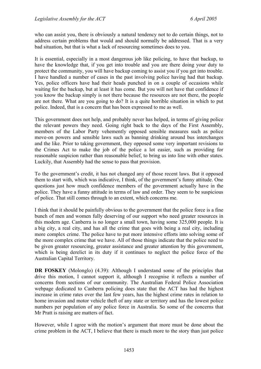who can assist you, there is obviously a natural tendency not to do certain things, not to address certain problems that would and should normally be addressed. That is a very bad situation, but that is what a lack of resourcing sometimes does to you.

It is essential, especially in a most dangerous job like policing, to have that backup, to have the knowledge that, if you get into trouble and you are there doing your duty to protect the community, you will have backup coming to assist you if you get into trouble. I have handled a number of cases in the past involving police having had that backup. Yes, police officers have had their heads punched in on a couple of occasions while waiting for the backup, but at least it has come. But you will not have that confidence if you know the backup simply is not there because the resources are not there, the people are not there. What are you going to do? It is a quite horrible situation in which to put police. Indeed, that is a concern that has been expressed to me as well.

This government does not help, and probably never has helped, in terms of giving police the relevant powers they need. Going right back to the days of the First Assembly, members of the Labor Party vehemently opposed sensible measures such as police move-on powers and sensible laws such as banning drinking around bus interchanges and the like. Prior to taking government, they opposed some very important revisions to the Crimes Act to make the job of the police a lot easier, such as providing for reasonable suspicion rather than reasonable belief, to bring us into line with other states. Luckily, that Assembly had the sense to pass that provision.

To the government's credit, it has not changed any of those recent laws. But it opposed them to start with, which was indicative, I think, of the government's funny attitude. One questions just how much confidence members of the government actually have in the police. They have a funny attitude in terms of law and order. They seem to be suspicious of police. That still comes through to an extent, which concerns me.

I think that it should be painfully obvious to the government that the police force is a fine bunch of men and women fully deserving of our support who need greater resources in this modern age. Canberra is no longer a small town, having some 325,000 people. It is a big city, a real city, and has all the crime that goes with being a real city, including more complex crime. The police have to put more intensive efforts into solving some of the more complex crime that we have. All of those things indicate that the police need to be given greater resourcing, greater assistance and greater attention by this government, which is being derelict in its duty if it continues to neglect the police force of the Australian Capital Territory.

**DR FOSKEY** (Molonglo) (4.39): Although I understand some of the principles that drive this motion, I cannot support it, although I recognise it reflects a number of concerns from sections of our community. The Australian Federal Police Association webpage dedicated to Canberra policing does state that the ACT has had the highest increase in crime rates over the last few years, has the highest crime rates in relation to home invasion and motor vehicle theft of any state or territory and has the lowest police numbers per population of any police force in Australia. So some of the concerns that Mr Pratt is raising are matters of fact.

However, while I agree with the motion's argument that more must be done about the crime problem in the ACT, I believe that there is much more to the story than just police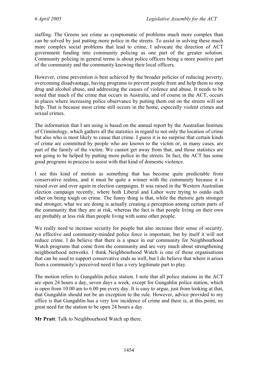staffing. The Greens see crime as symptomatic of problems much more complex than can be solved by just putting more police in the streets. To assist in solving these much more complex social problems that lead to crime, I advocate the direction of ACT government funding into community policing as one part of the greater solution. Community policing in general terms is about police officers being a more positive part of the community and the community knowing their local officers.

However, crime prevention is best achieved by the broader policies of reducing poverty, overcoming disadvantage, having programs to prevent people from and help them to stop drug and alcohol abuse, and addressing the causes of violence and abuse. It needs to be noted that much of the crime that occurs in Australia, and of course in the ACT, occurs in places where increasing police observance by putting them out on the streets will not help. That is because most crime still occurs in the home, especially violent crimes and sexual crimes.

The information that I am using is based on the annual report by the Australian Institute of Criminology, which gathers all the statistics in regard to not only the location of crime but also who is most likely to cause that crime. I guess it is no surprise that certain kinds of crime are committed by people who are known to the victim or, in many cases, are part of the family of the victim. We cannot get away from that, and those statistics are not going to be helped by putting more police in the streets. In fact, the ACT has some good programs in process to assist with that kind of domestic violence.

I see this kind of motion as something that has become quite predictable from conservative realms, and it must be quite a winner with the community because it is raised over and over again in election campaigns. It was raised in the Western Australian election campaign recently, where both Liberal and Labor were trying to outdo each other on being tough on crime. The funny thing is that, while the rhetoric gets stronger and stronger, what we are doing is actually creating a perception among certain parts of the community that they are at risk, whereas the fact is that people living on their own are probably at less risk than people living with some other people.

We really need to increase security for people but also increase their sense of security. An effective and community-minded police force is important, but by itself it will not reduce crime. I do believe that there is a space in our community for Neighbourhood Watch programs that come from the community and are very much about strengthening neighbourhood networks. I think Neighbourhood Watch is one of those organisations that can be used to support conservative ends as well, but I do believe that where it arises from a community's perceived need it has a very legitimate part to play.

The motion refers to Gungahlin police station. I note that all police stations in the ACT are open 24 hours a day, seven days a week, except for Gungahlin police station, which is open from 10.00 am to 6.00 pm every day. It is easy to argue, just from looking at that, that Gungahlin should not be an exception to the rule. However, advice provided to my office is that Gungahlin has a very low incidence of crime and there is, at this point, no great need for the station to be open 24 hours a day.

**Mr Pratt**: Talk to Neighbourhood Watch up there.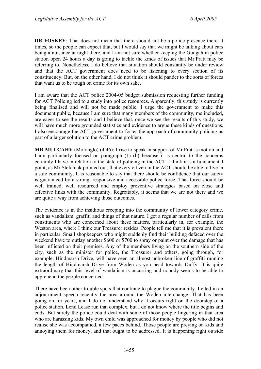**DR FOSKEY**: That does not mean that there should not be a police presence there at times, so the people can expect that, but I would say that we might be talking about cars being a nuisance at night there, and I am not sure whether keeping the Gungahlin police station open 24 hours a day is going to tackle the kinds of issues that Mr Pratt may be referring to. Nonetheless, I do believe that situation should constantly be under review and that the ACT government does need to be listening to every section of its constituency. But, on the other hand, I do not think it should pander to the sorts of forces that want us to be tough on crime for its own sake.

I am aware that the ACT police 2004-05 budget submission requesting further funding for ACT Policing led to a study into police resources. Apparently, this study is currently being finalised and will not be made public. I urge the government to make this document public, because I am sure that many members of the community, me included, are eager to see the results and I believe that, once we see the results of this study, we will have much more grounded statistics and evidence to argue these kinds of questions. I also encourage the ACT government to foster the approach of community policing as part of a larger solution to the ACT crime problem.

**MR MULCAHY** (Molonglo) (4.46): I rise to speak in support of Mr Pratt's motion and I am particularly focused on paragraph (1) (b) because it is central to the concerns certainly I have in relation to the state of policing in the ACT. I think it is a fundamental point, as Mr Stefaniak pointed out, that every citizen in the ACT should be able to live in a safe community. It is reasonable to say that there should be confidence that our safety is guaranteed by a strong, responsive and accessible police force. That force should be well trained, well resourced and employ preventive strategies based on close and effective links with the community. Regrettably, it seems that we are not there and we are quite a way from achieving those outcomes.

The evidence is in the insidious creeping into the community of lower category crime, such as vandalism, graffiti and things of that nature. I get a regular number of calls from constituents who are concerned about these matters, particularly in, for example, the Weston area, where I think our Treasurer resides. People tell me that it is prevalent there in particular. Small shopkeepers who might suddenly find their building defaced over the weekend have to outlay another \$600 or \$700 to spray or paint over the damage that has been inflicted on their premises. Any of the members living on the southern side of the city, such as the minister for police, the Treasurer and others, going through, for example, Hindmarsh Drive, will have seen an almost unbroken line of graffiti running the length of Hindmarsh Drive from Woden as you head towards Duffy. It is quite extraordinary that this level of vandalism is occurring and nobody seems to be able to apprehend the people concerned.

There have been other trouble spots that continue to plague the community. I cited in an adjournment speech recently the area around the Woden interchange. That has been going on for years, and I do not understand why it occurs right on the doorstep of a police station. Lend Lease run that complex, but I do not know where the title begins and ends. But surely the police could deal with some of those people lingering in that area who are harassing kids. My own child was approached for money by people who did not realise she was accompanied, a few paces behind. Those people are preying on kids and annoying them for money, and that ought to be addressed. It is happening right outside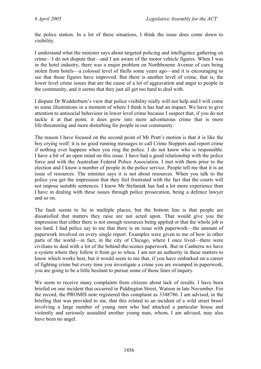the police station. In a lot of these situations, I think the issue does come down to visibility.

I understand what the minister says about targeted policing and intelligence gathering on crime—I do not dispute that—and I am aware of the motor vehicle figures. When I was in the hotel industry, there was a major problem on Northbourne Avenue of cars being stolen from hotels—a colossal level of thefts some years ago—and it is encouraging to see that those figures have improved. But there is another level of crime, that is, the lower level crime issues that are the cause of a lot of aggravation and angst to people in the community, and it seems that they just all get too hard to deal with.

I dispute Dr Wedderburn's view that police visibility really will not help and I will come to some illustrations in a moment of where I think it has had an impact. We have to give attention to antisocial behaviour in lower level crime because I suspect that, if you do not tackle it at that point, it does grow into more adventurous crime that is more life-threatening and more disturbing for people in our community.

The reason I have focused on the second point of Mr Pratt's motion is that it is like the boy crying wolf: it is no good running messages to call Crime Stoppers and report crime if nothing ever happens when you ring the police. I do not know who is responsible. I have a bit of an open mind on this issue. I have had a good relationship with the police force and with the Australian Federal Police Association. I met with them prior to the election and I know a number of people in the police service. People tell me that it is an issue of resources. The minister says it is not about resources. When you talk to the police you get the impression that they feel frustrated with the fact that the courts will not impose suitable sentences. I know Mr Stefaniak has had a lot more experience than I have in dealing with these issues through police prosecution, being a defence lawyer and so on.

The fault seems to lie in multiple places, but the bottom line is that people are dissatisfied that matters they raise are not acted upon. That would give you the impression that either there is not enough resources being applied or that the whole job is too hard. I had police say to me that there is an issue with paperwork—the amount of paperwork involved on every single report. Examples were given to me of how in other parts of the world—in fact, in the city of Chicago, where I once lived—there were civilians to deal with a lot of the behind-the-scenes paperwork. But in Canberra we have a system where they follow it from go to whoa. I am not an authority in these matters to know which works best, but it would seem to me that, if you have embarked on a career of fighting crime but every time you investigate a crime you are swamped in paperwork, you are going to be a little hesitant to pursue some of those lines of inquiry.

We seem to receive many complaints from citizens about lack of results. I have been briefed on one incident that occurred in Piddington Street, Watson in late November. For the record, the PROMIS note registered this complaint as 3348786. I am advised, in the briefing that was provided to me, that this related to an incident of a wild street brawl involving a large number of young men who had attacked a particular house and violently and seriously assaulted another young man, whom, I am advised, may also have been no angel.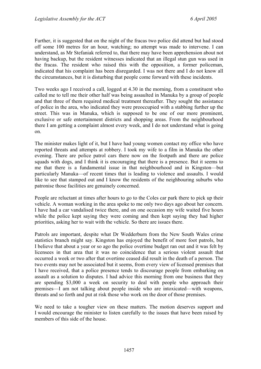Further, it is suggested that on the night of the fracas two police did attend but had stood off some 100 metres for an hour, watching; no attempt was made to intervene. I can understand, as Mr Stefaniak referred to, that there may have been apprehension about not having backup, but the resident witnesses indicated that an illegal stun gun was used in the fracas. The resident who raised this with the opposition, a former policeman, indicated that his complaint has been disregarded. I was not there and I do not know all the circumstances, but it is disturbing that people come forward with these incidents.

Two weeks ago I received a call, logged at 4.30 in the morning, from a constituent who called me to tell me their other half was being assaulted in Manuka by a group of people and that three of them required medical treatment thereafter. They sought the assistance of police in the area, who indicated they were preoccupied with a stabbing further up the street. This was in Manuka, which is supposed to be one of our more prominent, exclusive or safe entertainment districts and shopping areas. From the neighbourhood there I am getting a complaint almost every week, and I do not understand what is going on.

The minister makes light of it, but I have had young women contact my office who have reported threats and attempts at robbery. I took my wife to a film in Manuka the other evening. There are police patrol cars there now on the footpath and there are police squads with dogs, and I think it is encouraging that there is a presence. But it seems to me that there is a fundamental issue in that neighbourhood and in Kingston—but particularly Manuka—of recent times that is leading to violence and assaults. I would like to see that stamped out and I know the residents of the neighbouring suburbs who patronise those facilities are genuinely concerned.

People are reluctant at times after hours to go to the Coles car park there to pick up their vehicle. A woman working in the area spoke to me only two days ago about her concern. I have had a car vandalised twice there, and on one occasion my wife waited five hours while the police kept saying they were coming and then kept saying they had higher priorities, asking her to wait with the vehicle. So there are issues there.

Patrols are important, despite what Dr Wedderburn from the New South Wales crime statistics branch might say. Kingston has enjoyed the benefit of more foot patrols, but I believe that about a year or so ago the police overtime budget ran out and it was felt by licensees in that area that it was no coincidence that a serious violent assault that occurred a week or two after that overtime ceased did result in the death of a person. The two events may not be associated but it seems, from every view of licensed premises that I have received, that a police presence tends to discourage people from embarking on assault as a solution to disputes. I had advice this morning from one business that they are spending \$3,000 a week on security to deal with people who approach their premises—I am not talking about people inside who are intoxicated—with weapons, threats and so forth and put at risk those who work on the door of those premises.

We need to take a tougher view on these matters. The motion deserves support and I would encourage the minister to listen carefully to the issues that have been raised by members of this side of the house.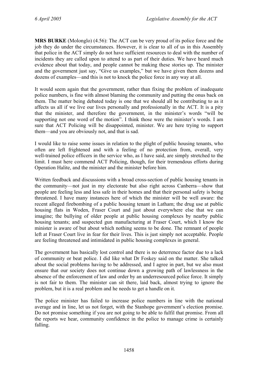**MRS BURKE** (Molonglo) (4.56): The ACT can be very proud of its police force and the job they do under the circumstances. However, it is clear to all of us in this Assembly that police in the ACT simply do not have sufficient resources to deal with the number of incidents they are called upon to attend to as part of their duties. We have heard much evidence about that today, and people cannot be making these stories up. The minister and the government just say, "Give us examples," but we have given them dozens and dozens of examples—and this is not to knock the police force in any way at all.

It would seem again that the government, rather than fixing the problem of inadequate police numbers, is fine with almost blaming the community and putting the onus back on them. The matter being debated today is one that we should all be contributing to as it affects us all if we live our lives personally and professionally in the ACT. It is a pity that the minister, and therefore the government, in the minister's words "will be supporting not one word of the motion". I think those were the minister's words. I am sure that ACT Policing will be disappointed, minister. We are here trying to support them—and you are obviously not, and that is sad.

I would like to raise some issues in relation to the plight of public housing tenants, who often are left frightened and with a feeling of no protection from, overall, very well-trained police officers in the service who, as I have said, are simply stretched to the limit. I must here commend ACT Policing, though, for their tremendous efforts during Operation Halite, and the minister and the minister before him.

Written feedback and discussions with a broad cross-section of public housing tenants in the community—not just in my electorate but also right across Canberra—show that people are feeling less and less safe in their homes and that their personal safety is being threatened. I have many instances here of which the minister will be well aware: the recent alleged firebombing of a public housing tenant in Latham; the drug use at public housing flats in Woden, Fraser Court and just about everywhere else that we can imagine; the bullying of older people at public housing complexes by nearby public housing tenants; and suspected gun manufacturing at Fraser Court, which I know the minister is aware of but about which nothing seems to be done. The remnant of people left at Fraser Court live in fear for their lives. This is just simply not acceptable. People are feeling threatened and intimidated in public housing complexes in general.

The government has basically lost control and there is no deterrence factor due to a lack of community or beat police. I did like what Dr Foskey said on the matter. She talked about the social problems having to be addressed, and I agree in part, but we also must ensure that our society does not continue down a growing path of lawlessness in the absence of the enforcement of law and order by an underresourced police force. It simply is not fair to them. The minister can sit there, laid back, almost trying to ignore the problem, but it is a real problem and he needs to get a handle on it.

The police minister has failed to increase police numbers in line with the national average and in line, let us not forget, with the Stanhope government's election promise. Do not promise something if you are not going to be able to fulfil that promise. From all the reports we hear, community confidence in the police to manage crime is certainly falling.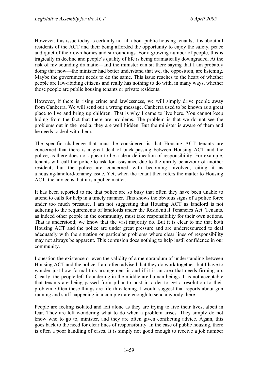However, this issue today is certainly not all about public housing tenants; it is about all residents of the ACT and their being afforded the opportunity to enjoy the safety, peace and quiet of their own homes and surroundings. For a growing number of people, this is tragically in decline and people's quality of life is being dramatically downgraded. At the risk of my sounding dramatic—and the minister can sit there saying that I am probably doing that now—the minister had better understand that we, the opposition, are listening. Maybe the government needs to do the same. This issue reaches to the heart of whether people are law-abiding citizens and really has nothing to do with, in many ways, whether those people are public housing tenants or private residents.

However, if there is rising crime and lawlessness, we will simply drive people away from Canberra. We will send out a wrong message. Canberra used to be known as a great place to live and bring up children. That is why I came to live here. You cannot keep hiding from the fact that there are problems. The problem is that we do not see the problems out in the media; they are well hidden. But the minister is aware of them and he needs to deal with them.

The specific challenge that must be considered is that Housing ACT tenants are concerned that there is a great deal of buck-passing between Housing ACT and the police, as there does not appear to be a clear delineation of responsibility. For example, tenants will call the police to ask for assistance due to the unruly behaviour of another resident, but the police are concerned with becoming involved, citing it as a housing/landlord/tenancy issue. Yet, when the tenant then refers the matter to Housing ACT, the advice is that it is a police matter.

It has been reported to me that police are so busy that often they have been unable to attend to calls for help in a timely manner. This shows the obvious signs of a police force under too much pressure. I am not suggesting that Housing ACT as landlord is not adhering to the requirements of landlords under the Residential Tenancies Act. Tenants, as indeed other people in the community, must take responsibility for their own actions. That is understood; we know that the vast majority do. But it is clear to me that both Housing ACT and the police are under great pressure and are underresourced to deal adequately with the situation or particular problems where clear lines of responsibility may not always be apparent. This confusion does nothing to help instil confidence in our community.

I question the existence or even the validity of a memorandum of understanding between Housing ACT and the police. I am often advised that they do work together, but I have to wonder just how formal this arrangement is and if it is an area that needs firming up. Clearly, the people left floundering in the middle are human beings. It is not acceptable that tenants are being passed from pillar to post in order to get a resolution to their problem. Often these things are life threatening. I would suggest that reports about gun running and stuff happening in a complex are enough to send anybody there.

People are feeling isolated and left alone as they are trying to live their lives, albeit in fear. They are left wondering what to do when a problem arises. They simply do not know who to go to, minister, and they are often given conflicting advice. Again, this goes back to the need for clear lines of responsibility. In the case of public housing, there is often a poor handling of cases. It is simply not good enough to receive a job number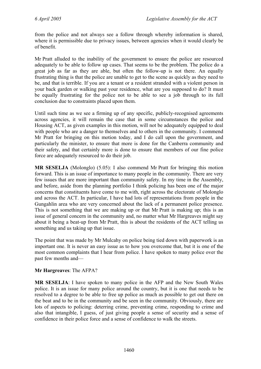from the police and not always see a follow through whereby information is shared, where it is permissible due to privacy issues, between agencies when it would clearly be of benefit.

Mr Pratt alluded to the inability of the government to ensure the police are resourced adequately to be able to follow up cases. That seems to be the problem. The police do a great job as far as they are able, but often the follow-up is not there. An equally frustrating thing is that the police are unable to get to the scene as quickly as they need to be, and that is terrible. If you are a tenant or a resident stranded with a violent person in your back garden or walking past your residence, what are you supposed to do? It must be equally frustrating for the police not to be able to see a job through to its full conclusion due to constraints placed upon them.

Until such time as we see a firming up of any specific, publicly-recognised agreements across agencies, it will remain the case that in some circumstances the police and Housing ACT, as given examples in this motion, will not be adequately equipped to deal with people who are a danger to themselves and to others in the community. I commend Mr Pratt for bringing on this motion today, and I do call upon the government, and particularly the minister, to ensure that more is done for the Canberra community and their safety, and that certainly more is done to ensure that members of our fine police force are adequately resourced to do their job.

**MR SESELJA** (Molonglo) (5.05): I also commend Mr Pratt for bringing this motion forward. This is an issue of importance to many people in the community. There are very few issues that are more important than community safety. In my time in the Assembly, and before, aside from the planning portfolio I think policing has been one of the major concerns that constituents have come to me with, right across the electorate of Molonglo and across the ACT. In particular, I have had lots of representations from people in the Gungahlin area who are very concerned about the lack of a permanent police presence. This is not something that we are making up or that Mr Pratt is making up; this is an issue of general concern in the community and, no matter what Mr Hargreaves might say about it being a beat-up from Mr Pratt, this is about the residents of the ACT telling us something and us taking up that issue.

The point that was made by Mr Mulcahy on police being tied down with paperwork is an important one. It is never an easy issue as to how you overcome that, but it is one of the most common complaints that I hear from police. I have spoken to many police over the past few months and—

#### **Mr Hargreaves**: The AFPA?

**MR SESELJA**: I have spoken to many police in the AFP and the New South Wales police. It is an issue for many police around the country, but it is one that needs to be resolved to a degree to be able to free up police as much as possible to get out there on the beat and to be in the community and be seen in the community. Obviously, there are lots of aspects to policing: deterring crime, preventing crime, responding to crime and also that intangible, I guess, of just giving people a sense of security and a sense of confidence in their police force and a sense of confidence to walk the streets.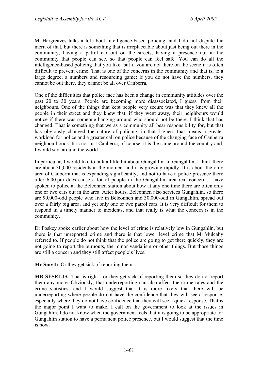Mr Hargreaves talks a lot about intelligence-based policing, and I do not dispute the merit of that, but there is something that is irreplaceable about just being out there in the community, having a patrol car out on the streets, having a presence out in the community that people can see, so that people can feel safe. You can do all the intelligence-based policing that you like, but if you are not there on the scene it is often difficult to prevent crime. That is one of the concerns in the community and that is, to a large degree, a numbers and resourcing game: if you do not have the numbers, they cannot be out there, they cannot be all over Canberra.

One of the difficulties that police face has been a change in community attitudes over the past 20 to 30 years. People are becoming more disassociated, I guess, from their neighbours. One of the things that kept people very secure was that they knew all the people in their street and they knew that, if they went away, their neighbours would notice if there was someone hanging around who should not be there. I think that has changed. That is something that we as a community all bear responsibility for, but that has obviously changed the nature of policing, in that I guess that means a greater workload for police and a greater call on police because of the changing face of Canberra neighbourhoods. It is not just Canberra, of course; it is the same around the country and, I would say, around the world.

In particular, I would like to talk a little bit about Gungahlin. In Gungahlin, I think there are about 30,000 residents at the moment and it is growing rapidly. It is about the only area of Canberra that is expanding significantly, and not to have a police presence there after 6.00 pm does cause a lot of people in the Gungahlin area real concern. I have spoken to police at the Belconnen station about how at any one time there are often only one or two cars out in the area. After hours, Belconnen also services Gungahlin, so there are 90,000-odd people who live in Belconnen and 30,000-odd in Gungahlin, spread out over a fairly big area, and yet only one or two patrol cars. It is very difficult for them to respond in a timely manner to incidents, and that really is what the concern is in the community.

Dr Foskey spoke earlier about how the level of crime is relatively low in Gungahlin, but there is that unreported crime and there is that lower level crime that Mr Mulcahy referred to. If people do not think that the police are going to get there quickly, they are not going to report the burnouts, the minor vandalism or other things. But those things are still a concern and they still affect people's lives.

**Mr Smyth**: Or they get sick of reporting them.

**MR SESELJA**: That is right—or they get sick of reporting them so they do not report them any more. Obviously, that underreporting can also affect the crime rates and the crime statistics, and I would suggest that it is more likely that there will be underreporting where people do not have the confidence that they will see a response, especially where they do not have confidence that they will see a quick response. That is the major point I want to make. I call on the government to look at the issues in Gungahlin. I do not know when the government feels that it is going to be appropriate for Gungahlin station to have a permanent police presence, but I would suggest that the time is now.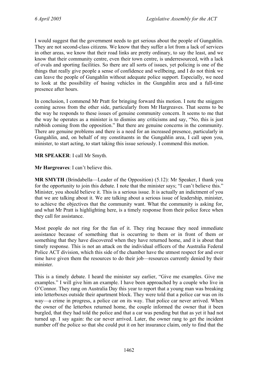I would suggest that the government needs to get serious about the people of Gungahlin. They are not second-class citizens. We know that they suffer a lot from a lack of services in other areas, we know that their road links are pretty ordinary, to say the least, and we know that their community centre, even their town centre, is underresourced, with a lack of ovals and sporting facilities. So there are all sorts of issues, yet policing is one of the things that really give people a sense of confidence and wellbeing, and I do not think we can leave the people of Gungahlin without adequate police support. Especially, we need to look at the possibility of basing vehicles in the Gungahlin area and a full-time presence after hours.

In conclusion, I commend Mr Pratt for bringing forward this motion. I note the sniggers coming across from the other side, particularly from Mr Hargreaves. That seems to be the way he responds to these issues of genuine community concern. It seems to me that the way he operates as a minister is to dismiss any criticisms and say, "No, this is just rubbish coming from the opposition." But there are genuine concerns in the community. There are genuine problems and there is a need for an increased presence, particularly in Gungahlin, and, on behalf of my constituents in the Gungahlin area, I call upon you, minister, to start acting, to start taking this issue seriously. I commend this motion.

**MR SPEAKER**: I call Mr Smyth.

**Mr Hargreaves**: I can't believe this.

**MR SMYTH** (Brindabella—Leader of the Opposition) (5.12): Mr Speaker, I thank you for the opportunity to join this debate. I note that the minister says; "I can't believe this." Minister, you should believe it. This is a serious issue. It is actually an indictment of you that we are talking about it. We are talking about a serious issue of leadership, minister, to achieve the objectives that the community want. What the community is asking for, and what Mr Pratt is highlighting here, is a timely response from their police force when they call for assistance.

Most people do not ring for the fun of it. They ring because they need immediate assistance because of something that is occurring to them or in front of them or something that they have discovered when they have returned home, and it is about that timely response. This is not an attack on the individual officers of the Australia Federal Police ACT division, which this side of the chamber have the utmost respect for and over time have given them the resources to do their job—resources currently denied by their minister.

This is a timely debate. I heard the minister say earlier, "Give me examples. Give me examples." I will give him an example. I have been approached by a couple who live in O'Connor. They rang on Australia Day this year to report that a young man was breaking into letterboxes outside their apartment block. They were told that a police car was on its way—a crime in progress, a police car on its way. That police car never arrived. When the owner of the letterbox returned home, the couple informed the owner that it been burgled, that they had told the police and that a car was pending but that as yet it had not turned up. I say again: the car never arrived. Later, the owner rang to get the incident number off the police so that she could put it on her insurance claim, only to find that the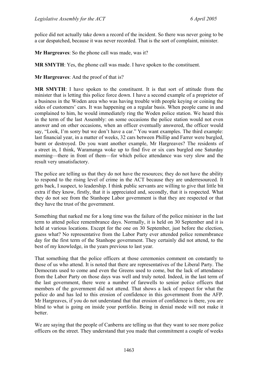police did not actually take down a record of the incident. So there was never going to be a car despatched, because it was never recorded. That is the sort of complaint, minister.

**Mr Hargreaves**: So the phone call was made, was it?

**MR SMYTH**: Yes, the phone call was made. I have spoken to the constituent.

**Mr Hargreaves**: And the proof of that is?

**MR SMYTH**: I have spoken to the constituent. It is that sort of attitude from the minister that is letting this police force down. I have a second example of a proprietor of a business in the Woden area who was having trouble with people keying or coining the sides of customers' cars. It was happening on a regular basis. When people came in and complained to him, he would immediately ring the Woden police station. We heard this in the term of the last Assembly: on some occasions the police station would not even answer and on other occasions, when an officer eventually answered, the officer would say, "Look, I'm sorry but we don't have a car." You want examples. The third example: last financial year, in a matter of weeks, 32 cars between Phillip and Farrer were burgled, burnt or destroyed. Do you want another example, Mr Hargreaves? The residents of a street in, I think, Waramanga woke up to find five or six cars burgled one Saturday morning—there in front of them—for which police attendance was very slow and the result very unsatisfactory.

The police are telling us that they do not have the resources; they do not have the ability to respond to the rising level of crime in the ACT because they are underresourced. It gets back, I suspect, to leadership. I think public servants are willing to give that little bit extra if they know, firstly, that it is appreciated and, secondly, that it is respected. What they do not see from the Stanhope Labor government is that they are respected or that they have the trust of the government.

Something that narked me for a long time was the failure of the police minister in the last term to attend police remembrance days. Normally, it is held on 30 September and it is held at various locations. Except for the one on 30 September, just before the election, guess what? No representative from the Labor Party ever attended police remembrance day for the first term of the Stanhope government. They certainly did not attend, to the best of my knowledge, in the years previous to last year.

That something that the police officers at those ceremonies comment on constantly to those of us who attend. It is noted that there are representatives of the Liberal Party. The Democrats used to come and even the Greens used to come, but the lack of attendance from the Labor Party on those days was well and truly noted. Indeed, in the last term of the last government, there were a number of farewells to senior police officers that members of the government did not attend. That shows a lack of respect for what the police do and has led to this erosion of confidence in this government from the AFP. Mr Hargreaves, if you do not understand that that erosion of confidence is there, you are blind to what is going on inside your portfolio. Being in denial mode will not make it better.

We are saying that the people of Canberra are telling us that they want to see more police officers on the street. They understand that you made that commitment a couple of weeks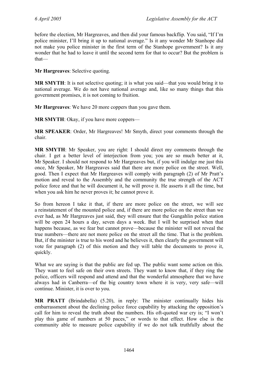before the election, Mr Hargreaves, and then did your famous backflip. You said, "If I'm police minister, I'll bring it up to national average." Is it any wonder Mr Stanhope did not make you police minister in the first term of the Stanhope government? Is it any wonder that he had to leave it until the second term for that to occur? But the problem is that—

**Mr Hargreaves**: Selective quoting.

**MR SMYTH:** It is not selective quoting; it is what you said—that you would bring it to national average. We do not have national average and, like so many things that this government promises, it is not coming to fruition.

**Mr Hargreaves**: We have 20 more coppers than you gave them.

**MR SMYTH**: Okay, if you have more coppers—

**MR SPEAKER**: Order, Mr Hargreaves! Mr Smyth, direct your comments through the chair.

**MR SMYTH**: Mr Speaker, you are right: I should direct my comments through the chair. I get a better level of interjection from you; you are so much better at it, Mr Speaker. I should not respond to Mr Hargreaves but, if you will indulge me just this once, Mr Speaker, Mr Hargreaves said that there are more police on the street. Well, good. Then I expect that Mr Hargreaves will comply with paragraph (2) of Mr Pratt's motion and reveal to the Assembly and the community the true strength of the ACT police force and that he will document it, he will prove it. He asserts it all the time, but when you ask him he never proves it; he cannot prove it.

So from hereon I take it that, if there are more police on the street, we will see a reinstatement of the mounted police and, if there are more police on the street than we ever had, as Mr Hargreaves just said, they will ensure that the Gungahlin police station will be open 24 hours a day, seven days a week. But I will be surprised when that happens because, as we fear but cannot prove—because the minister will not reveal the true numbers—there are not more police on the street all the time. That is the problem. But, if the minister is true to his word and he believes it, then clearly the government will vote for paragraph (2) of this motion and they will table the documents to prove it, quickly.

What we are saying is that the public are fed up. The public want some action on this. They want to feel safe on their own streets. They want to know that, if they ring the police, officers will respond and attend and that the wonderful atmosphere that we have always had in Canberra—of the big country town where it is very, very safe—will continue. Minister, it is over to you.

**MR PRATT** (Brindabella) (5.20), in reply: The minister continually hides his embarrassment about the declining police force capability by attacking the opposition's call for him to reveal the truth about the numbers. His oft-quoted war cry is; "I won't play this game of numbers at 50 paces," or words to that effect. How else is the community able to measure police capability if we do not talk truthfully about the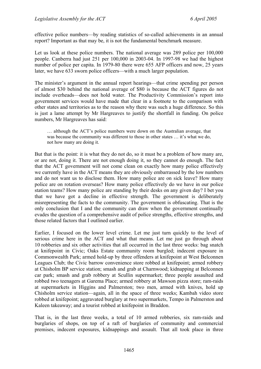effective police numbers—by reading statistics of so-called achievements in an annual report? Important as that may be, it is not the fundamental benchmark measure.

Let us look at these police numbers. The national average was 289 police per 100,000 people. Canberra had just 251 per 100,000 in 2003-04. In 1997-98 we had the highest number of police per capita. In 1979-80 there were 655 AFP officers and now, 25 years later, we have 633 sworn police officers—with a much larger population.

The minister's argument in the annual report hearings—that crime spending per person of almost \$30 behind the national average of \$80 is because the ACT figures do not include overheads—does not hold water. The Productivity Commission's report into government services would have made that clear in a footnote to the comparison with other states and territories as to the reason why there was such a huge difference. So this is just a lame attempt by Mr Hargreaves to justify the shortfall in funding. On police numbers, Mr Hargreaves has said:

… although the ACT's police numbers were down on the Australian average, that was because the community was different to those in other states ... it's what we do, not how many are doing it.

But that is the point: it is what they do not do, so it must be a problem of how many are, or are not, doing it. There are not enough doing it, so they cannot do enough. The fact that the ACT government will not come clean on exactly how many police effectively we currently have in the ACT means they are obviously embarrassed by the low numbers and do not want us to disclose them. How many police are on sick leave? How many police are on rotation overseas? How many police effectively do we have in our police station teams? How many police are standing by their desks on any given day? I bet you that we have got a decline in effective strength. The government is deliberately misrepresenting the facts to the community. The government is obfuscating. That is the only conclusion that I and the community can draw when the government continually evades the question of a comprehensive audit of police strengths, effective strengths, and those related factors that I outlined earlier.

Earlier, I focused on the lower level crime. Let me just turn quickly to the level of serious crime here in the ACT and what that means. Let me just go through about 10 robberies and six other activities that all occurred in the last three weeks: bag snatch at knifepoint in Civic; Oaks Estate community room burgled; indecent exposure in Commonwealth Park; armed hold-up by three offenders at knifepoint at West Belconnen Leagues Club; the Civic barrow convenience store robbed at knifepoint; armed robbery at Chisholm BP service station; smash and grab at Charnwood; kidnapping at Belconnen car park; smash and grab robbery at Scullin supermarket; three people assaulted and robbed two teenagers at Garema Place; armed robbery at Mawson pizza store; ram-raids at supermarkets in Higgins and Palmerston; two men, armed with knives, hold up Chisholm service station—again, all in the space of three weeks; Kambah video store robbed at knifepoint; aggravated burglary at two supermarkets, Tempo in Palmerston and Kaleen takeaway; and a tourist robbed at knifepoint in Braddon.

That is, in the last three weeks, a total of 10 armed robberies, six ram-raids and burglaries of shops, on top of a raft of burglaries of community and commercial premises, indecent exposures, kidnappings and assault. That all took place in three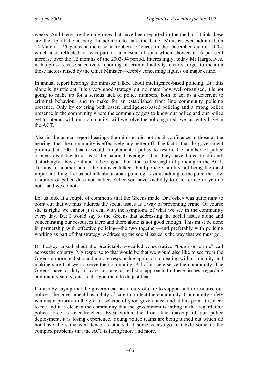weeks. And these are the only ones that have been reported in the media; I think these are the tip of the iceberg. In addition to that, the Chief Minister even admitted on 15 March a 55 per cent increase in robbery offences in the December quarter 2004, which also reflected, or was part of, a mosaic of stats which showed a 16 per cent increase over the 12 months of the 2003-04 period. Interestingly, today Mr Hargreaves, in his press release selectively reporting on criminal activity, clearly forgot to mention those factors raised by the Chief Minister—deeply concerning figures on major crime.

In annual report hearings the minister talked about intelligence-based policing. But this alone is insufficient. It is a very good strategy but, no matter how well organised, it is not going to make up for a serious lack of police numbers, both to act as a deterrent to criminal behaviour and to make for an established front line community policing presence. Only by covering both bases, intelligence-based policing and a strong police presence in the community where the community gets to know our police and our police get to interact with our community, will we solve the policing crisis we currently have in the ACT.

Also in the annual report hearings the minister did not instil confidence in those at the hearings that the community is effectively any better off. The fact is that the government promised in 2001 that it would "implement a policy to restore the number of police officers available to at least the national average". This they have failed to do and, disturbingly, they continue to be vague about the real strength of policing in the ACT. Turning to another point, the minister talked about police visibility not being the most important thing. Let us not talk about smart policing as value adding to the point that low visibility of police does not matter. Either you have visibility to deter crime or you do not—and we do not.

Let us look at a couple of comments that the Greens made. Dr Foskey was quite right to point out that we must address the social issues as a way of preventing crime. Of course she is right: we cannot just deal with the symptoms of what we see in the community every day. But I would say to the Greens that addressing the social issues alone and concentrating our resources there and there alone is not good enough. This must be done in partnership with effective policing—the two together—and preferably with policing working as part of that strategy. Addressing the social issues is the way that we must go.

Dr Foskey talked about the predictable so-called conservative "tough on crime" call across the country. My response to that would be that we would also like to see from the Greens a more realistic and a more responsible approach to dealing with criminality and making sure that we do serve the community. All of us here serve the community. The Greens have a duty of care to take a realistic approach to these issues regarding community safety, and I call upon them to do just that.

I finish by saying that the government has a duty of care to support and to resource our police. The government has a duty of care to protect the community. Community safety is a major priority in the greater scheme of good governance, and at this point it is clear to me and it is clear to the community that the government is failing in that regard. Our police force is overstretched. Even within the front line makeup of our police deployment, it is losing experience. Young police teams are being turned out which do not have the same confidence as others had some years ago to tackle some of the complex problems that the ACT is facing more and more.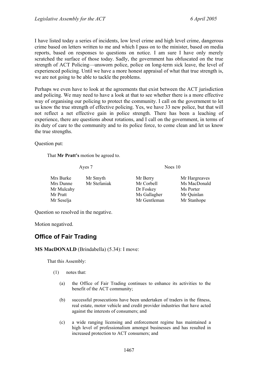I have listed today a series of incidents, low level crime and high level crime, dangerous crime based on letters written to me and which I pass on to the minister, based on media reports, based on responses to questions on notice. I am sure I have only merely scratched the surface of those today. Sadly, the government has obfuscated on the true strength of ACT Policing—unsworn police, police on long-term sick leave, the level of experienced policing. Until we have a more honest appraisal of what that true strength is, we are not going to be able to tackle the problems.

Perhaps we even have to look at the agreements that exist between the ACT jurisdiction and policing. We may need to have a look at that to see whether there is a more effective way of organising our policing to protect the community. I call on the government to let us know the true strength of effective policing. Yes, we have 33 new police, but that will not reflect a net effective gain in police strength. There has been a leaching of experience, there are questions about rotations, and I call on the government, in terms of its duty of care to the community and to its police force, to come clean and let us know the true strengths.

Question put:

That **Mr Pratt's** motion be agreed to.

Ayes 7 Noes 10

| Mrs Burke  | Mr Smyth     | Mr Berry     | Mr Hargreaves |
|------------|--------------|--------------|---------------|
| Mrs Dunne  | Mr Stefaniak | Mr Corbell   | Ms MacDonald  |
| Mr Mulcahy |              | Dr Foskey    | Ms Porter     |
| Mr Pratt   |              | Ms Gallagher | Mr Quinlan    |
| Mr Seselja |              | Mr Gentleman | Mr Stanhope   |

Question so resolved in the negative.

Motion negatived.

# **Office of Fair Trading**

#### **MS MacDONALD** (Brindabella) (5.34): I move:

That this Assembly:

- (1) notes that:
	- (a) the Office of Fair Trading continues to enhance its activities to the benefit of the ACT community;
	- (b) successful prosecutions have been undertaken of traders in the fitness, real estate, motor vehicle and credit provider industries that have acted against the interests of consumers; and
	- (c) a wide ranging licensing and enforcement regime has maintained a high level of professionalism amongst businesses and has resulted in increased protection to ACT consumers; and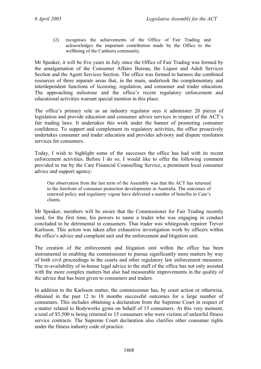(2) recognises the achievements of the Office of Fair Trading and acknowledges the important contribution made by the Office to the wellbeing of the Canberra community.

Mr Speaker, it will be five years in July since the Office of Fair Trading was formed by the amalgamation of the Consumer Affairs Bureau, the Liquor and Adult Services Section and the Agent Services Section. The office was formed to harness the combined resources of three separate areas that, in the main, undertook the complementary and interdependent functions of licensing, regulation, and consumer and trader education. The approaching milestone and the office's recent regulatory enforcement and educational activities warrant special mention in this place.

The office's primary role as an industry regulator sees it administer 20 pieces of legislation and provide education and consumer advice services in respect of the ACT's fair trading laws. It undertakes this work under the banner of promoting consumer confidence. To support and complement its regulatory activities, the office proactively undertakes consumer and trader education and provides advisory and dispute resolution services for consumers.

Today, I wish to highlight some of the successes the office has had with its recent enforcement activities. Before I do so, I would like to offer the following comment provided to me by the Care Financial Counselling Service, a prominent local consumer advice and support agency:

Our observation from the last term of the Assembly was that the ACT has returned to the forefront of consumer protection developments in Australia. The outcomes of renewed policy and regulatory vigour have delivered a number of benefits to Care's clients.

Mr Speaker, members will be aware that the Commissioner for Fair Trading recently used, for the first time, his powers to name a trader who was engaging in conduct concluded to be detrimental to consumers. That trader was whitegoods repairer Trevor Karlsson. This action was taken after exhaustive investigation work by officers within the office's advice and complaint unit and the enforcement and litigation unit.

The creation of the enforcement and litigation unit within the office has been instrumental in enabling the commissioner to pursue significantly more matters by way of both civil proceedings in the courts and other regulatory law enforcement measures. The re-availability of in-house legal advice to the staff of the office has not only assisted with the more complex matters but also had measurable improvements in the quality of the advice that has been given to consumers and traders.

In addition to the Karlsson matter, the commissioner has, by court action or otherwise, obtained in the past 12 to 18 months successful outcomes for a large number of consumers. This includes obtaining a declaration from the Supreme Court in respect of a matter related to Bodyworks gyms on behalf of 15 consumers. At this very moment, a total of \$5,500 is being returned to 15 consumers who were victims of unlawful fitness service contracts. The Supreme Court declaration also clarifies other consumer rights under the fitness industry code of practice.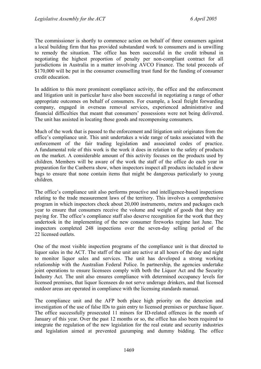The commissioner is shortly to commence action on behalf of three consumers against a local building firm that has provided substandard work to consumers and is unwilling to remedy the situation. The office has been successful in the credit tribunal in negotiating the highest proportion of penalty per non-compliant contract for all jurisdictions in Australia in a matter involving AVCO Finance. The total proceeds of \$170,000 will be put in the consumer counselling trust fund for the funding of consumer credit education.

In addition to this more prominent compliance activity, the office and the enforcement and litigation unit in particular have also been successful in negotiating a range of other appropriate outcomes on behalf of consumers. For example, a local freight forwarding company, engaged in overseas removal services, experienced administrative and financial difficulties that meant that consumers' possessions were not being delivered. The unit has assisted in locating those goods and recompensing consumers.

Much of the work that is passed to the enforcement and litigation unit originates from the office's compliance unit. This unit undertakes a wide range of tasks associated with the enforcement of the fair trading legislation and associated codes of practice. A fundamental role of this work is the work it does in relation to the safety of products on the market. A considerable amount of this activity focuses on the products used by children. Members will be aware of the work the staff of the office do each year in preparation for the Canberra show, when inspectors inspect all products included in show bags to ensure that none contain items that might be dangerous particularly to young children.

The office's compliance unit also performs proactive and intelligence-based inspections relating to the trade measurement laws of the territory. This involves a comprehensive program in which inspectors check about 20,000 instruments, meters and packages each year to ensure that consumers receive the volume and weight of goods that they are paying for. The office's compliance staff also deserve recognition for the work that they undertook in the implementing of the new consumer fireworks regime last June. The inspectors completed 248 inspections over the seven-day selling period of the 22 licensed outlets.

One of the most visible inspection programs of the compliance unit is that directed to liquor sales in the ACT. The staff of the unit are active at all hours of the day and night to monitor liquor sales and services. The unit has developed a strong working relationship with the Australian Federal Police. In partnership, the agencies undertake joint operations to ensure licensees comply with both the Liquor Act and the Security Industry Act. The unit also ensures compliance with determined occupancy levels for licensed premises, that liquor licensees do not serve underage drinkers, and that licensed outdoor areas are operated in compliance with the licensing standards manual.

The compliance unit and the AFP both place high priority on the detection and investigation of the use of false IDs to gain entry to licensed premises or purchase liquor. The office successfully prosecuted 11 minors for ID-related offences in the month of January of this year. Over the past 12 months or so, the office has also been required to integrate the regulation of the new legislation for the real estate and security industries and legislation aimed at prevented gazumping and dummy bidding. The office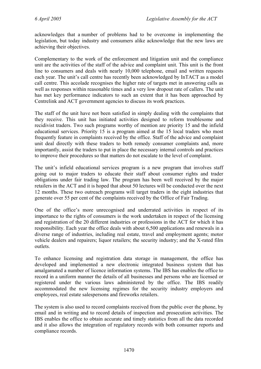acknowledges that a number of problems had to be overcome in implementing the legislation, but today industry and consumers alike acknowledge that the new laws are achieving their objectives.

Complementary to the work of the enforcement and litigation unit and the compliance unit are the activities of the staff of the advice and complaint unit. This unit is the front line to consumers and deals with nearly 10,000 telephone, email and written requests each year. The unit's call centre has recently been acknowledged by InTACT as a model call centre. This accolade recognises the higher rate of targets met in answering calls as well as responses within reasonable times and a very low dropout rate of callers. The unit has met key performance indicators to such an extent that it has been approached by Centrelink and ACT government agencies to discuss its work practices.

The staff of the unit have not been satisfied in simply dealing with the complaints that they receive. This unit has initiated activities designed to reform troublesome and recidivist traders. Two such programs worthy of mention are priority 15 and the infield educational services. Priority 15 is a program aimed at the 15 local traders who most frequently feature in complaints received by the office. Staff of the advice and complaint unit deal directly with these traders to both remedy consumer complaints and, more importantly, assist the traders to put in place the necessary internal controls and practices to improve their procedures so that matters do not escalate to the level of complaint.

The unit's infield educational services program is a new program that involves staff going out to major traders to educate their staff about consumer rights and trader obligations under fair trading law. The program has been well received by the major retailers in the ACT and it is hoped that about 50 lectures will be conducted over the next 12 months. These two outreach programs will target traders in the eight industries that generate over 55 per cent of the complaints received by the Office of Fair Trading.

One of the office's more unrecognised and underrated activities in respect of its importance to the rights of consumers is the work undertaken in respect of the licensing and registration of the 20 different industries or professions in the ACT for which it has responsibility. Each year the office deals with about 6,500 applications and renewals in a diverse range of industries, including real estate, travel and employment agents; motor vehicle dealers and repairers; liquor retailers; the security industry; and the X-rated film outlets.

To enhance licensing and registration data storage in management, the office has developed and implemented a new electronic integrated business system that has amalgamated a number of licence information systems. The IBS has enables the office to record in a uniform manner the details of all businesses and persons who are licensed or registered under the various laws administered by the office. The IBS readily accommodated the new licensing regimes for the security industry employers and employees, real estate salespersons and fireworks retailers.

The system is also used to record complaints received from the public over the phone, by email and in writing and to record details of inspection and prosecution activities. The IBS enables the office to obtain accurate and timely statistics from all the data recorded and it also allows the integration of regulatory records with both consumer reports and compliance records.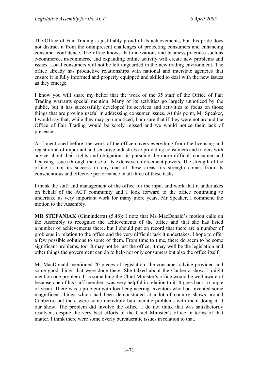The Office of Fair Trading is justifiably proud of its achievements, but this pride does not distract it from the omnipresent challenges of protecting consumers and enhancing consumer confidence. The office knows that innovations and business practices such as e-commerce, m-commerce and expanding online activity will create new problems and issues. Local consumers will not be left unguarded in the new trading environment. The office already has productive relationships with national and interstate agencies that ensure it is fully informed and properly equipped and skilled to deal with the new issues as they emerge.

I know you will share my belief that the work of the 35 staff of the Office of Fair Trading warrants special mention. Many of its activities go largely unnoticed by the public, but it has successfully developed its services and activities to focus on those things that are proving useful in addressing consumer issues. At this point, Mr Speaker, I would say that, while they may go unnoticed, I am sure that if they were not around the Office of Fair Trading would be sorely missed and we would notice their lack of presence.

As I mentioned before, the work of the office covers everything from the licensing and registration of important and sensitive industries to providing consumers and traders with advice about their rights and obligations in pursuing the more difficult consumer and licensing issues through the use of its extensive enforcement powers. The strength of the office is not its success in any one of these areas; its strength comes from its conscientious and effective performance in all three of these tasks.

I thank the staff and management of the office for the input and work that it undertakes on behalf of the ACT community and I look forward to the office continuing to undertake its very important work for many more years. Mr Speaker, I commend the motion to the Assembly.

**MR STEFANIAK** (Ginninderra) (5.48): I note that Ms MacDonald's motion calls on the Assembly to recognise the achievements of the office and that she has listed a number of achievements there, but I should put on record that there are a number of problems in relation to the office and the very difficult task it undertakes. I hope to offer a few possible solutions to some of them. From time to time, there do seem to be some significant problems, too. It may not be just the office; it may well be the legislation and other things the government can do to help not only consumers but also the office itself.

Ms MacDonald mentioned 20 pieces of legislation, the consumer advice provided and some good things that were done there. She talked about the Canberra show. I might mention one problem. It is something the Chief Minister's office would be well aware of because one of his staff members was very helpful in relation to it. It goes back a couple of years. There was a problem with local engineering inventors who had invented some magnificent things which had been demonstrated at a lot of country shows around Canberra, but there were some incredibly bureaucratic problems with them doing it at our show. The problem did involve the office. I do not think that was satisfactorily resolved, despite the very best efforts of the Chief Minister's office in terms of that matter. I think there were some overly bureaucratic issues in relation to that.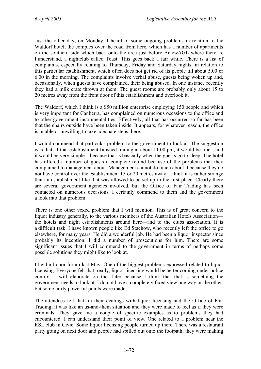Just the other day, on Monday, I heard of some ongoing problems in relation to the Waldorf hotel, the complex over the road from here, which has a number of apartments on the southern side which back onto the area just before ActewAGL where there is, I understand, a nightclub called Toast. This goes back a fair while. There is a list of complaints, especially relating to Thursday, Friday and Saturday nights, in relation to this particular establishment, which often does not get rid of its people till about 5.00 or 6.00 in the morning. The complaints involve verbal abuse, guests being woken up and, occasionally, when guests have complained, their being abused. In one instance recently they had a milk crate thrown at them. The guest rooms are probably only about 15 to 20 metres away from the front door of this establishment and overlook it.

The Waldorf, which I think is a \$50 million enterprise employing 150 people and which is very important for Canberra, has complained on numerous occasions to the office and to other government instrumentalities. Effectively, all that has occurred so far has been that the chairs outside have been taken inside. It appears, for whatever reason, the office is unable or unwilling to take adequate steps there.

I would commend that particular problem to the government to look at. The suggestion was that, if that establishment finished trading at about 11.00 pm, it would be fine—and it would be very simple—because that is basically when the guests go to sleep. The hotel has offered a number of guests a complete refund because of the problems that they complained to management about. Management cannot do much about it because they do not have control over the establishment 15 or 20 metres away. I think it is rather strange that an establishment like that was allowed to be set up in the first place. Clearly there are several government agencies involved, but the Office of Fair Trading has been contacted on numerous occasions. I certainly commend to them and the government a look into that problem.

There is one other vexed problem that I will mention. This is of great concern to the liquor industry generally, to the various members of the Australian Hotels Association the hotels and night establishments around here—and to the clubs association. It is a difficult task. I have known people like Ed Stachow, who recently left the office to go elsewhere, for many years. He did a wonderful job. He had been a liquor inspector since probably its inception. I did a number of prosecutions for him. There are some significant issues that I will commend to the government in terms of perhaps some possible solutions they might like to look at.

I held a liquor forum last May. One of the biggest problems expressed related to liquor licensing. Everyone felt that, really, liquor licensing would be better coming under police control. I will elaborate on that later because I think that that is something the government needs to look at. I do not have a completely fixed view one way or the other, but some fairly powerful points were made.

The attendees felt that, in their dealings with liquor licensing and the Office of Fair Trading, it was like an us-and-them situation and they were made to feel as if they were criminals. They gave me a couple of specific examples as to problems they had encountered. I can understand their point of view. One related to a problem near the RSL club in Civic. Some liquor licensing people turned up there. There was a restaurant party going on next door and people had spilled out onto the footpath; they were making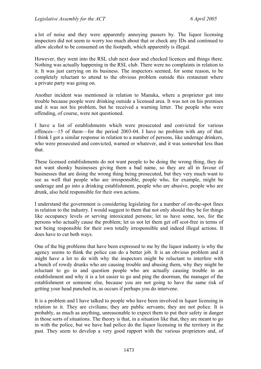a lot of noise and they were apparently annoying passers by. The liquor licensing inspectors did not seem to worry too much about that or check any IDs and continued to allow alcohol to be consumed on the footpath, which apparently is illegal.

However, they went into the RSL club next door and checked licences and things there. Nothing was actually happening in the RSL club. There were no complaints in relation to it. It was just carrying on its business. The inspectors seemed, for some reason, to be completely reluctant to attend to the obvious problem outside this restaurant where a private party was going on.

Another incident was mentioned in relation to Manuka, where a proprietor got into trouble because people were drinking outside a licensed area. It was not on his premises and it was not his problem, but he received a warning letter. The people who were offending, of course, were not questioned.

I have a list of establishments which were prosecuted and convicted for various offences—15 of them—for the period 2003-04. I have no problem with any of that. I think I got a similar response in relation to a number of persons, like underage drinkers, who were prosecuted and convicted, warned or whatever, and it was somewhat less than that.

These licensed establishments do not want people to be doing the wrong thing, they do not want shonky businesses giving them a bad name, so they are all in favour of businesses that are doing the wrong thing being prosecuted, but they very much want to see as well that people who are irresponsible, people who, for example, might be underage and go into a drinking establishment, people who are abusive, people who are drunk, also held responsible for their own actions.

I understand the government is considering legislating for a number of on-the-spot fines in relation to the industry. I would suggest to them that not only should they be for things like occupancy levels or serving intoxicated persons; let us have some, too, for the persons who actually cause the problem; let us not let them get off scot-free in terms of not being responsible for their own totally irresponsible and indeed illegal actions. It does have to cut both ways.

One of the big problems that have been expressed to me by the liquor industry is why the agency seems to think the police can do a better job. It is an obvious problem and it might have a lot to do with why the inspectors might be reluctant to interfere with a bunch of rowdy drunks who are causing trouble and abusing them, why they might be reluctant to go in and question people who are actually causing trouble in an establishment and why it is a lot easier to go and ping the doorman, the manager of the establishment or someone else, because you are not going to have the same risk of getting your head punched in, as occurs if perhaps you do intervene.

It is a problem and I have talked to people who have been involved in liquor licensing in relation to it. They are civilians; they are public servants; they are not police. It is probably, as much as anything, unreasonable to expect them to put their safety in danger in those sorts of situations. The theory is that, in a situation like that, they are meant to go in with the police, but we have had police do the liquor licensing in the territory in the past. They seem to develop a very good rapport with the various proprietors and, of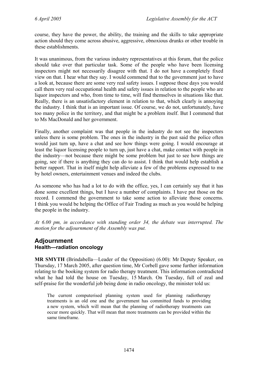course, they have the power, the ability, the training and the skills to take appropriate action should they come across abusive, aggressive, obnoxious drunks or other trouble in these establishments.

It was unanimous, from the various industry representatives at this forum, that the police should take over that particular task. Some of the people who have been licensing inspectors might not necessarily disagree with that. I do not have a completely fixed view on that. I hear what they say. I would commend that to the government just to have a look at, because there are some very real safety issues. I suppose these days you would call them very real occupational health and safety issues in relation to the people who are liquor inspectors and who, from time to time, will find themselves in situations like that. Really, there is an unsatisfactory element in relation to that, which clearly is annoying the industry. I think that is an important issue. Of course, we do not, unfortunately, have too many police in the territory, and that might be a problem itself. But I commend that to Ms MacDonald and her government.

Finally, another complaint was that people in the industry do not see the inspectors unless there is some problem. The ones in the industry in the past said the police often would just turn up, have a chat and see how things were going. I would encourage at least the liquor licensing people to turn up, just have a chat, make contact with people in the industry—not because there might be some problem but just to see how things are going, see if there is anything they can do to assist. I think that would help establish a better rapport. That in itself might help alleviate a few of the problems expressed to me by hotel owners, entertainment venues and indeed the clubs.

As someone who has had a lot to do with the office, yes, I can certainly say that it has done some excellent things, but I have a number of complaints. I have put those on the record. I commend the government to take some action to alleviate those concerns. I think you would be helping the Office of Fair Trading as much as you would be helping the people in the industry.

*At 6.00 pm, in accordance with standing order 34, the debate was interrupted. The motion for the adjournment of the Assembly was put.*

# **Adjournment Health—radiation oncology**

**MR SMYTH** (Brindabella—Leader of the Opposition) (6.00): Mr Deputy Speaker, on Thursday, 17 March 2005, after question time, Mr Corbell gave some further information relating to the booking system for radio therapy treatment. This information contradicted what he had told the house on Tuesday, 15 March. On Tuesday, full of zeal and self-praise for the wonderful job being done in radio oncology, the minister told us:

The current computerised planning system used for planning radiotherapy treatments is an old one and the government has committed funds to providing a new system, which will mean that the planning of radiotherapy treatments can occur more quickly. That will mean that more treatments can be provided within the same timeframe.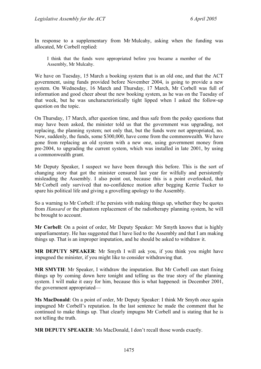In response to a supplementary from Mr Mulcahy, asking when the funding was allocated, Mr Corbell replied:

I think that the funds were appropriated before you became a member of the Assembly, Mr Mulcahy.

We have on Tuesday, 15 March a booking system that is an old one, and that the ACT government, using funds provided before November 2004, is going to provide a new system. On Wednesday, 16 March and Thursday, 17 March, Mr Corbell was full of information and good cheer about the new booking system, as he was on the Tuesday of that week, but he was uncharacteristically tight lipped when I asked the follow-up question on the topic.

On Thursday, 17 March, after question time, and thus safe from the pesky questions that may have been asked, the minister told us that the government was upgrading, not replacing, the planning system; not only that, but the funds were not appropriated, no. Now, suddenly, the funds, some \$300,000, have come from the commonwealth. We have gone from replacing an old system with a new one, using government money from pre-2004, to upgrading the current system, which was installed in late 2001, by using a commonwealth grant.

Mr Deputy Speaker, I suspect we have been through this before. This is the sort of changing story that got the minister censured last year for wilfully and persistently misleading the Assembly. I also point out, because this is a point overlooked, that Mr Corbell only survived that no-confidence motion after begging Kerrie Tucker to spare his political life and giving a grovelling apology to the Assembly.

So a warning to Mr Corbell: if he persists with making things up, whether they be quotes from *Hansard* or the phantom replacement of the radiotherapy planning system, he will be brought to account.

**Mr Corbell**: On a point of order, Mr Deputy Speaker: Mr Smyth knows that is highly unparliamentary. He has suggested that I have lied to the Assembly and that I am making things up. That is an improper imputation, and he should be asked to withdraw it.

**MR DEPUTY SPEAKER**: Mr Smyth I will ask you, if you think you might have impugned the minister, if you might like to consider withdrawing that.

**MR SMYTH**: Mr Speaker, I withdraw the imputation. But Mr Corbell can start fixing things up by coming down here tonight and telling us the true story of the planning system. I will make it easy for him, because this is what happened: in December 2001, the government appropriated—

**Ms MacDonald**: On a point of order, Mr Deputy Speaker: I think Mr Smyth once again impugned Mr Corbell's reputation. In the last sentence he made the comment that he continued to make things up. That clearly impugns Mr Corbell and is stating that he is not telling the truth.

**MR DEPUTY SPEAKER**: Ms MacDonald, I don't recall those words exactly.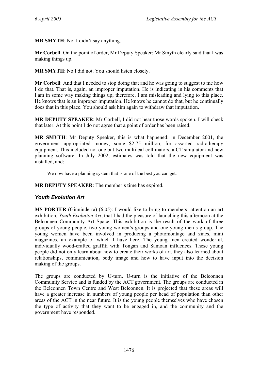**MR SMYTH**: No, I didn't say anything.

**Mr Corbell**: On the point of order, Mr Deputy Speaker: Mr Smyth clearly said that I was making things up.

**MR SMYTH**: No I did not. You should listen closely.

**Mr Corbell**: And that I needed to stop doing that and he was going to suggest to me how I do that. That is, again, an improper imputation. He is indicating in his comments that I am in some way making things up; therefore, I am misleading and lying to this place. He knows that is an improper imputation. He knows he cannot do that, but he continually does that in this place. You should ask him again to withdraw that imputation.

**MR DEPUTY SPEAKER**: Mr Corbell, I did not hear those words spoken. I will check that later. At this point I do not agree that a point of order has been raised.

**MR SMYTH**: Mr Deputy Speaker, this is what happened: in December 2001, the government appropriated money, some \$2.75 million, for assorted radiotherapy equipment. This included not one but two multileaf collimators, a CT simulator and new planning software. In July 2002, estimates was told that the new equipment was installed, and:

We now have a planning system that is one of the best you can get.

**MR DEPUTY SPEAKER**: The member's time has expired.

# *Youth Evolution Art*

**MS PORTER** (Ginninderra) (6.05): I would like to bring to members' attention an art exhibition, *Youth Evolution Art*, that I had the pleasure of launching this afternoon at the Belconnen Community Art Space. This exhibition is the result of the work of three groups of young people, two young women's groups and one young men's group. The young women have been involved in producing a photomontage and zines, mini magazines, an example of which I have here. The young men created wonderful, individually wood-crafted graffiti with Tongan and Samoan influences. These young people did not only learn about how to create their works of art, they also learned about relationships, communication, body image and how to have input into the decision making of the groups.

The groups are conducted by U-turn. U-turn is the initiative of the Belconnen Community Service and is funded by the ACT government. The groups are conducted in the Belconnen Town Centre and West Belconnen. It is projected that these areas will have a greater increase in numbers of young people per head of population than other areas of the ACT in the near future. It is the young people themselves who have chosen the type of activity that they want to be engaged in, and the community and the government have responded.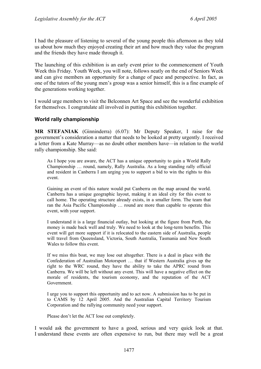I had the pleasure of listening to several of the young people this afternoon as they told us about how much they enjoyed creating their art and how much they value the program and the friends they have made through it.

The launching of this exhibition is an early event prior to the commencement of Youth Week this Friday. Youth Week, you will note, follows neatly on the end of Seniors Week and can give members an opportunity for a change of pace and perspective. In fact, as one of the tutors of the young men's group was a senior himself, this is a fine example of the generations working together.

I would urge members to visit the Belconnen Art Space and see the wonderful exhibition for themselves. I congratulate all involved in putting this exhibition together.

### **World rally championship**

**MR STEFANIAK** (Ginninderra) (6.07): Mr Deputy Speaker, I raise for the government's consideration a matter that needs to be looked at pretty urgently. I received a letter from a Kate Murray—as no doubt other members have—in relation to the world rally championship. She said:

As I hope you are aware, the ACT has a unique opportunity to gain a World Rally Championship … round, namely, Rally Australia. As a long standing rally official and resident in Canberra I am urging you to support a bid to win the rights to this event.

Gaining an event of this nature would put Canberra on the map around the world. Canberra has a unique geographic layout, making it an ideal city for this event to call home. The operating structure already exists, in a smaller form. The team that ran the Asia Pacific Championship … round are more than capable to operate this event, with your support.

I understand it is a large financial outlay, but looking at the figure from Perth, the money is made back well and truly. We need to look at the long-term benefits. This event will get more support if it is relocated to the eastern side of Australia, people will travel from Queensland, Victoria, South Australia, Tasmania and New South Wales to follow this event.

If we miss this boat, we may lose out altogether. There is a deal in place with the Confederation of Australian Motorsport … that if Western Australia gives up the right to the WRC round, they have the ability to take the APRC round from Canberra. We will be left without any event. This will have a negative effect on the morale of residents, the tourism economy, and the reputation of the ACT Government.

I urge you to support this opportunity and to act now. A submission has to be put in to CAMS by 12 April 2005. And the Australian Capital Territory Tourism Corporation and the rallying community need your support.

Please don't let the ACT lose out completely.

I would ask the government to have a good, serious and very quick look at that. I understand these events are often expensive to run, but there may well be a great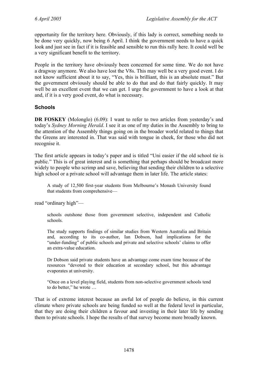opportunity for the territory here. Obviously, if this lady is correct, something needs to be done very quickly, now being 6 April. I think the government needs to have a quick look and just see in fact if it is feasible and sensible to run this rally here. It could well be a very significant benefit to the territory.

People in the territory have obviously been concerned for some time. We do not have a dragway anymore. We also have lost the V8s. This may well be a very good event. I do not know sufficient about it to say, "Yes, this is brilliant, this is an absolute must." But the government obviously should be able to do that and do that fairly quickly. It may well be an excellent event that we can get. I urge the government to have a look at that and, if it is a very good event, do what is necessary.

### **Schools**

**DR FOSKEY** (Molonglo) (6.09): I want to refer to two articles from yesterday's and today's *Sydney Morning Herald*. I see it as one of my duties in the Assembly to bring to the attention of the Assembly things going on in the broader world related to things that the Greens are interested in. That was said with tongue in cheek, for those who did not recognise it.

The first article appears in today's paper and is titled "Uni easier if the old school tie is public." This is of great interest and is something that perhaps should be broadcast more widely to people who scrimp and save, believing that sending their children to a selective high school or a private school will advantage them in later life. The article states:

A study of 12,500 first-year students from Melbourne's Monash University found that students from comprehensive—

read "ordinary high"—

schools outshone those from government selective, independent and Catholic schools.

The study supports findings of similar studies from Western Australia and Britain and, according to its co-author, Ian Dobson, had implications for the "under-funding" of public schools and private and selective schools' claims to offer an extra-value education.

Dr Dobson said private students have an advantage come exam time because of the resources "devoted to their education at secondary school, but this advantage evaporates at university.

"Once on a level playing field, students from non-selective government schools tend to do better," he wrote …

That is of extreme interest because an awful lot of people do believe, in this current climate where private schools are being funded so well at the federal level in particular, that they are doing their children a favour and investing in their later life by sending them to private schools. I hope the results of that survey become more broadly known.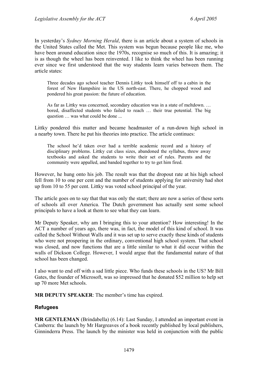In yesterday's *Sydney Morning Herald*, there is an article about a system of schools in the United States called the Met. This system was begun because people like me, who have been around education since the 1970s, recognise so much of this. It is amazing; it is as though the wheel has been reinvented. I like to think the wheel has been running ever since we first understood that the way students learn varies between them. The article states:

Three decades ago school teacher Dennis Littky took himself off to a cabin in the forest of New Hampshire in the US north-east. There, he chopped wood and pondered his great passion: the future of education.

As far as Littky was concerned, secondary education was in a state of meltdown. … bored, disaffected students who failed to reach … their true potential. The big question … was what could be done ...

Littky pondered this matter and became headmaster of a run-down high school in a nearby town. There he put his theories into practice. The article continues:

The school he'd taken over had a terrible academic record and a history of disciplinary problems. Littky cut class sizes, abandoned the syllabus, threw away textbooks and asked the students to write their set of rules. Parents and the community were appalled, and banded together to try to get him fired.

However, he hung onto his job. The result was that the dropout rate at his high school fell from 10 to one per cent and the number of students applying for university had shot up from 10 to 55 per cent. Littky was voted school principal of the year.

The article goes on to say that that was only the start; there are now a series of these sorts of schools all over America. The Dutch government has actually sent some school principals to have a look at them to see what they can learn.

Mr Deputy Speaker, why am I bringing this to your attention? How interesting! In the ACT a number of years ago, there was, in fact, the model of this kind of school. It was called the School Without Walls and it was set up to serve exactly these kinds of students who were not prospering in the ordinary, conventional high school system. That school was closed, and now functions that are a little similar to what it did occur within the walls of Dickson College. However, I would argue that the fundamental nature of that school has been changed.

I also want to end off with a sad little piece. Who funds these schools in the US? Mr Bill Gates, the founder of Microsoft, was so impressed that he donated \$52 million to help set up 70 more Met schools.

**MR DEPUTY SPEAKER**: The member's time has expired.

#### **Refugees**

**MR GENTLEMAN** (Brindabella) (6.14): Last Sunday, I attended an important event in Canberra: the launch by Mr Hargreaves of a book recently published by local publishers, Ginninderra Press. The launch by the minister was held in conjunction with the public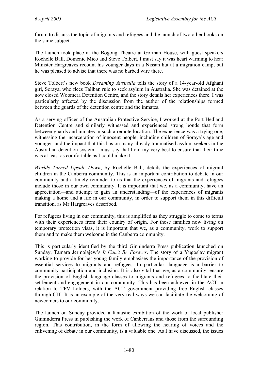forum to discuss the topic of migrants and refugees and the launch of two other books on the same subject.

The launch took place at the Bogong Theatre at Gorman House, with guest speakers Rochelle Ball, Domenic Mico and Steve Tolbert. I must say it was heart warming to hear Minister Hargreaves recount his younger days in a Nissan hut at a migration camp, but he was pleased to advise that there was no barbed wire there.

Steve Tolbert's new book *Dreaming Australia* tells the story of a 14-year-old Afghani girl, Soraya, who flees Taliban rule to seek asylum in Australia. She was detained at the now closed Woomera Detention Centre, and the story details her experiences there. I was particularly affected by the discussion from the author of the relationships formed between the guards of the detention centre and the inmates.

As a serving officer of the Australian Protective Service, I worked at the Port Hedland Detention Centre and similarly witnessed and experienced strong bonds that form between guards and inmates in such a remote location. The experience was a trying one, witnessing the incarceration of innocent people, including children of Soraya's age and younger, and the impact that this has on many already traumatised asylum seekers in the Australian detention system. I must say that I did my very best to ensure that their time was at least as comfortable as I could make it.

*Worlds Turned Upside Down*, by Rochelle Ball, details the experiences of migrant children in the Canberra community. This is an important contribution to debate in our community and a timely reminder to us that the experiences of migrants and refugees include those in our own community. It is important that we, as a community, have an appreciation—and attempt to gain an understanding—of the experiences of migrants making a home and a life in our community, in order to support them in this difficult transition, as Mr Hargreaves described.

For refugees living in our community, this is amplified as they struggle to come to terms with their experiences from their country of origin. For those families now living on temporary protection visas, it is important that we, as a community, work to support them and to make them welcome in the Canberra community.

This is particularly identified by the third Ginninderra Press publication launched on Sunday, Tamara Jermolajew's *It Can't Be Forever*. The story of a Yugoslav migrant working to provide for her young family emphasises the importance of the provision of essential services to migrants and refugees. In particular, language is a barrier to community participation and inclusion. It is also vital that we, as a community, ensure the provision of English language classes to migrants and refugees to facilitate their settlement and engagement in our community. This has been achieved in the ACT in relation to TPV holders, with the ACT government providing free English classes through CIT. It is an example of the very real ways we can facilitate the welcoming of newcomers to our community.

The launch on Sunday provided a fantastic exhibition of the work of local publisher Ginninderra Press in publishing the work of Canberrans and those from the surrounding region. This contribution, in the form of allowing the hearing of voices and the enlivening of debate in our community, is a valuable one. As I have discussed, the issues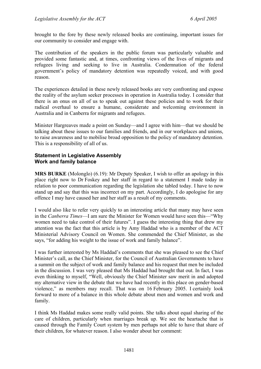brought to the fore by these newly released books are continuing, important issues for our community to consider and engage with.

The contribution of the speakers in the public forum was particularly valuable and provided some fantastic and, at times, confronting views of the lives of migrants and refugees living and seeking to live in Australia. Condemnation of the federal government's policy of mandatory detention was repeatedly voiced, and with good reason.

The experiences detailed in these newly released books are very confronting and expose the reality of the asylum seeker processes in operation in Australia today. I consider that there is an onus on all of us to speak out against these policies and to work for their radical overhaul to ensure a humane, considerate and welcoming environment in Australia and in Canberra for migrants and refugees.

Minister Hargreaves made a point on Sunday—and I agree with him—that we should be talking about these issues to our families and friends, and in our workplaces and unions, to raise awareness and to mobilise broad opposition to the policy of mandatory detention. This is a responsibility of all of us.

### **Statement in Legislative Assembly Work and family balance**

**MRS BURKE** (Molonglo) (6.19): Mr Deputy Speaker, I wish to offer an apology in this place right now to Dr Foskey and her staff in regard to a statement I made today in relation to poor communication regarding the legislation she tabled today. I have to now stand up and say that this was incorrect on my part. Accordingly, I do apologise for any offence I may have caused her and her staff as a result of my comments.

I would also like to refer very quickly to an interesting article that many may have seen in the *Canberra Times*—I am sure the Minister for Women would have seen this—"Why women need to take control of their futures". I guess the interesting thing that drew my attention was the fact that this article is by Amy Haddad who is a member of the ACT Ministerial Advisory Council on Women. She commended the Chief Minister, as she says, "for adding his weight to the issue of work and family balance".

I was further interested by Ms Haddad's comments that she was pleased to see the Chief Minister's call, as the Chief Minister, for the Council of Australian Governments to have a summit on the subject of work and family balance and his request that men be included in the discussion. I was very pleased that Ms Haddad had brought that out. In fact, I was even thinking to myself, "Well, obviously the Chief Minister saw merit in and adopted my alternative view in the debate that we have had recently in this place on gender-based violence," as members may recall. That was on 16 February 2005. I certainly look forward to more of a balance in this whole debate about men and women and work and family.

I think Ms Haddad makes some really valid points. She talks about equal sharing of the care of children, particularly when marriages break up. We see the heartache that is caused through the Family Court system by men perhaps not able to have that share of their children, for whatever reason. I also wonder about her comment: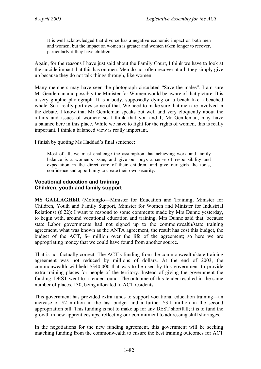It is well acknowledged that divorce has a negative economic impact on both men and women, but the impact on women is greater and women taken longer to recover, particularly if they have children.

Again, for the reasons I have just said about the Family Court, I think we have to look at the suicide impact that this has on men. Men do not often recover at all; they simply give up because they do not talk things through, like women.

Many members may have seen the photograph circulated "Save the males". I am sure Mr Gentleman and possibly the Minister for Women would be aware of that picture. It is a very graphic photograph. It is a body, supposedly dying on a beach like a beached whale. So it really portrays some of that. We need to make sure that men are involved in the debate. I know that Mr Gentleman speaks out well and very eloquently about the affairs and issues of women; so I think that you and I, Mr Gentleman, may have a balance here in this place. While we have to fight for the rights of women, this is really important. I think a balanced view is really important.

I finish by quoting Ms Haddad's final sentence:

Most of all, we must challenge the assumption that achieving work and family balance is a women's issue, and give our boys a sense of responsibility and expectation in the direct care of their children, and give our girls the tools, confidence and opportunity to create their own security.

### **Vocational education and training Children, youth and family support**

**MS GALLAGHER** (Molonglo—Minister for Education and Training, Minister for Children, Youth and Family Support, Minister for Women and Minister for Industrial Relations) (6.22): I want to respond to some comments made by Mrs Dunne yesterday, to begin with, around vocational education and training. Mrs Dunne said that, because state Labor governments had not signed up to the commonwealth/state training agreement, what was known as the ANTA agreement, the result has cost this budget, the budget of the ACT, \$4 million over the life of the agreement; so here we are appropriating money that we could have found from another source.

That is not factually correct. The ACT's funding from the commonwealth/state training agreement was not reduced by millions of dollars. At the end of 2003, the commonwealth withheld \$340,000 that was to be used by this government to provide extra training places for people of the territory. Instead of giving the government the funding, DEST went to a tender round. The outcome of this tender resulted in the same number of places, 130, being allocated to ACT residents.

This government has provided extra funds to support vocational education training—an increase of \$2 million in the last budget and a further \$3.1 million in the second appropriation bill. This funding is not to make up for any DEST shortfall; it is to fund the growth in new apprenticeships, reflecting our commitment to addressing skill shortages.

In the negotiations for the new funding agreement, this government will be seeking matching funding from the commonwealth to ensure the best training outcomes for ACT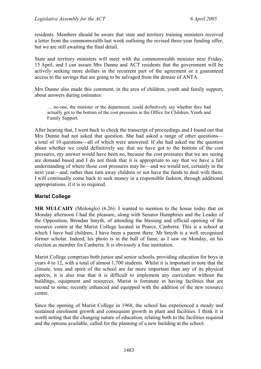residents. Members should be aware that state and territory training ministers received a letter from the commonwealth last week outlining the revised three-year funding offer, but we are still awaiting the final detail.

State and territory ministers will meet with the commonwealth minister next Friday, 15 April, and I can assure Mrs Dunne and ACT residents that the government will be actively seeking more dollars in the recurrent part of the agreement or a guaranteed access to the savings that are going to be salvaged from the demise of ANTA.

Mrs Dunne also made this comment, in the area of children, youth and family support, about answers during estimates:

 ... no-one, the minister or the department, could definitively say whether they had actually got to the bottom of the cost pressures in the Office for Children, Youth and Family Support.

After hearing that, I went back to check the transcript of proceedings and I found out that Mrs Dunne had not asked that question. She had asked a range of other questions a total of 10 questions—all of which were answered. If she had asked me the question about whether we could definitively say that we have got to the bottom of the cost pressures, my answer would have been no, because the cost pressures that we are seeing are demand based and I do not think that it is appropriate to say that we have a full understanding of where those cost pressures may be—and we would not, certainly in the next year—and, rather than turn away children or not have the funds to deal with them, I will continually come back to seek money in a responsible fashion, through additional appropriations, if it is so required.

# **Marist College**

**MR MULCAHY** (Molonglo) (6.26): I wanted to mention to the house today that on Monday afternoon I had the pleasure, along with Senator Humphries and the Leader of the Opposition, Brendan Smyth, of attending the blessing and official opening of the resource centre at the Marist College located in Pearce, Canberra. This is a school at which I have had children: I have been a parent there. Mr Smyth is a well recognised former scholar. Indeed, his photo is in the hall of fame, as I saw on Monday, on his election as member for Canberra. It is obviously a fine institution.

Marist College comprises both junior and senior schools, providing education for boys in years 4 to 12, with a total of almost 1,700 students. Whilst it is important to note that the climate, tone and spirit of the school are far more important than any of its physical aspects, it is also true that it is difficult to implement any curriculum without the buildings, equipment and resources. Marist is fortunate in having facilities that are second to none, recently enhanced and equipped with the addition of the new resource centre.

Since the opening of Marist College in 1968, the school has experienced a steady and sustained enrolment growth and consequent growth in plant and facilities. I think it is worth noting that the changing nature of education, relating both to the facilities required and the options available, called for the planning of a new building at the school.